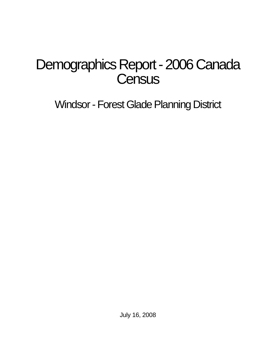# Demographics Report - 2006 Canada **Census**

Windsor - Forest Glade Planning District

July 16, 2008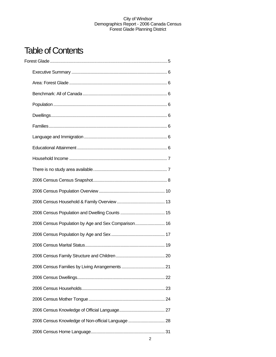## Table of Contents

| 2006 Census Population by Age and Sex Comparison 16 |  |
|-----------------------------------------------------|--|
|                                                     |  |
|                                                     |  |
|                                                     |  |
|                                                     |  |
|                                                     |  |
|                                                     |  |
|                                                     |  |
|                                                     |  |
| 2006 Census Knowledge of Non-official Language  28  |  |
|                                                     |  |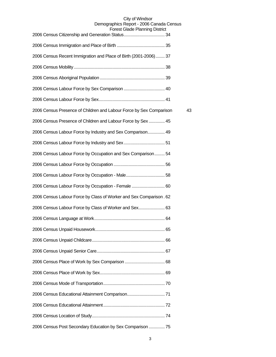| 2006 Census Recent Immigration and Place of Birth (2001-2006) 37    |    |
|---------------------------------------------------------------------|----|
|                                                                     |    |
|                                                                     |    |
|                                                                     |    |
|                                                                     |    |
| 2006 Census Presence of Children and Labour Force by Sex Comparison | 43 |
| 2006 Census Presence of Children and Labour Force by Sex  45        |    |
| 2006 Census Labour Force by Industry and Sex Comparison 49          |    |
|                                                                     |    |
| 2006 Census Labour Force by Occupation and Sex Comparison 54        |    |
|                                                                     |    |
|                                                                     |    |
| 2006 Census Labour Force by Occupation - Female  60                 |    |
| 2006 Census Labour Force by Class of Worker and Sex Comparison. 62  |    |
| 2006 Census Labour Force by Class of Worker and Sex 63              |    |
|                                                                     |    |
|                                                                     |    |
|                                                                     |    |
|                                                                     |    |
|                                                                     |    |
|                                                                     |    |
|                                                                     |    |
|                                                                     |    |
|                                                                     |    |
|                                                                     |    |
| 2006 Census Post Secondary Education by Sex Comparison  75          |    |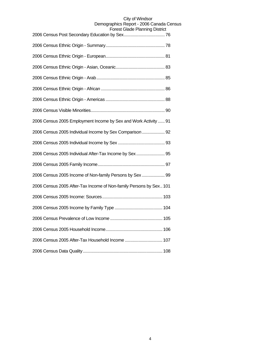| , 101 11 11 19 1                                                   |
|--------------------------------------------------------------------|
|                                                                    |
|                                                                    |
|                                                                    |
|                                                                    |
|                                                                    |
|                                                                    |
|                                                                    |
| 2006 Census 2005 Employment Income by Sex and Work Activity  91    |
| 2006 Census 2005 Individual Income by Sex Comparison 92            |
|                                                                    |
| 2006 Census 2005 Individual After-Tax Income by Sex 95             |
|                                                                    |
| 2006 Census 2005 Income of Non-family Persons by Sex  99           |
| 2006 Census 2005 After-Tax Income of Non-family Persons by Sex 101 |
|                                                                    |
|                                                                    |
|                                                                    |
|                                                                    |
| 2006 Census 2005 After-Tax Household Income  107                   |
|                                                                    |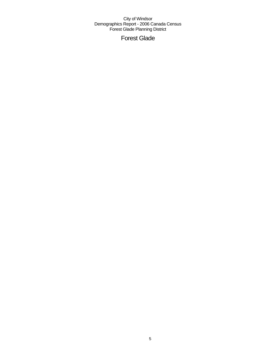Forest Glade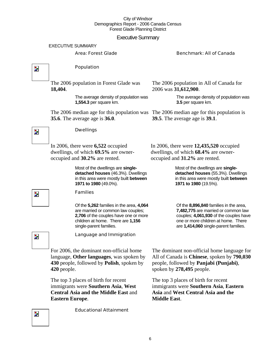### Executive Summary

#### EXECUTIVE SUMMARY

#### Area: Forest Glade Benchmark: All of Canada

 $\overline{\mathbf{z}}$ 

Z.

#### Population

Dwellings

The 2006 population in Forest Glade was **18,404**.

> The average density of population was **1,554.3** per square km.

The 2006 median age for this population was The 2006 median age for this population is **35.6**. The average age is **36.0**.

The 2006 population in All of Canada for 2006 was **31,612,900**.

> The average density of population was **3.5** per square km.

**39.5**. The average age is **39.1**.

In 2006, there were **6,522** occupied dwellings, of which **69.5%** are owneroccupied and **30.2%** are rented. In 2006, there were **12,435,520** occupied dwellings, of which **68.4%** are owneroccupied and **31.2%** are rented.

> Most of the dwellings are **singledetached houses** (46.3%). Dwellings in this area were mostly built **between 1971 to 1980** (49.0%).

#### Families

Of the **5,262** families in the area, **4,064**  are married or common law couples; **2,706** of the couples have one or more children at home. There are **1,156**  single-parent families.

**detached houses** (55.3%). Dwellings in this area were mostly built **between 1971 to 1980** (19.5%).

Most of the dwellings are **single-**

Of the **8,896,840** families in the area, **7,482,775** are married or common law couples; **4,061,930** of the couples have one or more children at home. There are **1,414,060** single-parent families.

Z.

Language and Immigration

For 2006, the dominant non-official home language, **Other languages**, was spoken by **430** people, followed by **Polish**, spoken by **420** people.

The top 3 places of birth for recent immigrants were **Southern Asia**, **West Central Asia and the Middle East** and **Eastern Europe**.

Educational Attainment

The dominant non-official home language for All of Canada is **Chinese**, spoken by **790,030** people, followed by **Panjabi (Punjabi)**, spoken by **278,495** people.

The top 3 places of birth for recent immigrants were **Southern Asia**, **Eastern Asia** and **West Central Asia and the Middle East**.

## Z.

 $\overline{\phantom{a}}$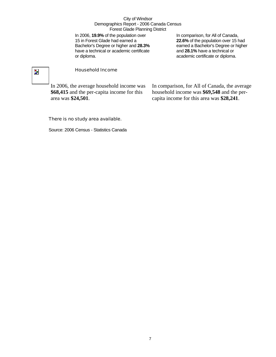In 2006, **19.9%** of the population over 15 in Forest Glade had earned a Bachelor's Degree or higher and **28.3%** have a technical or academic certificate or diploma.

In comparison, for All of Canada, **22.6%** of the population over 15 had earned a Bachelor's Degree or higher and **28.1%** have a technical or academic certificate or diploma.

## $\overline{\phantom{a}}$

#### Household Income

In 2006, the average household income was **\$68,415** and the per-capita income for this area was **\$24,501**.

In comparison, for All of Canada, the average household income was **\$69,548** and the percapita income for this area was **\$28,241**.

#### There is no study area available.

Source: 2006 Census - Statistics Canada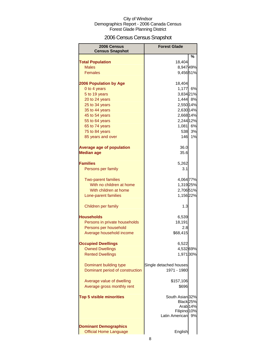## 2006 Census Census Snapshot

| 2006 Census<br><b>Census Snapshot</b> | <b>Forest Glade</b>            |    |
|---------------------------------------|--------------------------------|----|
|                                       |                                | %  |
| <b>Total Population</b>               | 18,404                         |    |
| <b>Males</b>                          | 8,94749%                       |    |
| <b>Females</b>                        | 9,45651%                       |    |
|                                       |                                |    |
| <b>2006 Population by Age</b>         | 18,404                         |    |
| 0 to 4 years                          | 1,177                          | 6% |
| 5 to 19 years                         | 3,834 21%                      |    |
| 20 to 24 years                        | 1,444 8%                       |    |
| 25 to 34 years                        | 2,550 14%                      |    |
| 35 to 44 years                        | 2,630 14%                      |    |
| 45 to 54 years                        | 2,668 14%                      |    |
| 55 to 64 years                        | 2,244 12%                      |    |
| 65 to 74 years                        | 1,081 6%                       |    |
| 75 to 84 years                        | 538                            | 3% |
| 85 years and over                     | 146                            | 1% |
|                                       |                                |    |
| <b>Average age of population</b>      | 36.0                           |    |
| <b>Median age</b>                     | 35.6                           |    |
|                                       |                                |    |
| <b>Families</b>                       | 5,262                          |    |
| Persons per family                    | 3.1                            |    |
| <b>Two-parent families</b>            | 4,064 77%                      |    |
| With no children at home              | 1,319 25%                      |    |
| With children at home                 | 2,706 51%                      |    |
| Lone-parent families                  | 1,156 22%                      |    |
|                                       |                                |    |
| Children per family                   | 1.3                            |    |
| Households                            |                                |    |
| Persons in private households         | 6,539<br>18,191                |    |
| Persons per household                 | 2.8                            |    |
| Average household income              | \$68,415                       |    |
|                                       |                                |    |
| <b>Occupied Dwellings</b>             | 6,522                          |    |
| <b>Owned Dwellings</b>                | 4,53269%                       |    |
| <b>Rented Dwellings</b>               | 1,971 30%                      |    |
|                                       |                                |    |
| Dominant building type                | Single detached houses         |    |
| Dominant period of construction       | 1971 - 1980                    |    |
|                                       |                                |    |
| Average value of dwelling             | \$157,106                      |    |
| Average gross monthly rent            | \$696                          |    |
|                                       |                                |    |
| <b>Top 5 visible minorities</b>       | South Asian 32%                |    |
|                                       | Black <sub>25%</sub>           |    |
|                                       | Arab <sub>14%</sub>            |    |
|                                       | Filipino 10%<br>Latin American |    |
|                                       |                                | 9% |
| <b>Dominant Demographics</b>          |                                |    |
| <b>Official Home Language</b>         | English                        |    |
|                                       |                                |    |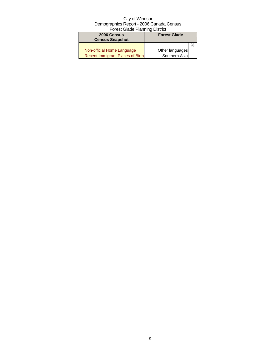| 2006 Census                             | <b>Forest Glade</b> |   |
|-----------------------------------------|---------------------|---|
| <b>Census Snapshot</b>                  |                     |   |
|                                         |                     | % |
| Non-official Home Language              | Other languages     |   |
| <b>Recent Immigrant Places of Birth</b> | Southern Asia       |   |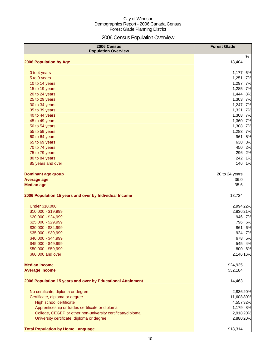## 2006 Census Population Overview

| 2006 Census<br><b>Population Overview</b>                   | <b>Forest Glade</b> |
|-------------------------------------------------------------|---------------------|
| 2006 Population by Age                                      | %<br>18,404         |
|                                                             |                     |
| 0 to 4 years                                                | 6%<br>1,177         |
| 5 to 9 years                                                | 1,251<br>7%         |
| 10 to 14 years                                              | 1,297<br>7%         |
| 15 to 19 years                                              | 1,285<br>7%         |
| 20 to 24 years                                              | 1,444<br>8%         |
| 25 to 29 years                                              | 1,303<br>7%         |
| 30 to 34 years                                              | 1,247<br>7%         |
| 35 to 39 years                                              | 1,321<br>7%         |
| 40 to 44 years                                              | 1,308<br>7%         |
| 45 to 49 years                                              | 1,360<br>7%         |
| 50 to 54 years                                              | 1,308<br>7%         |
| 55 to 59 years                                              | 1,283<br>7%         |
| 60 to 64 years                                              | 5%<br>961           |
| 65 to 69 years                                              | 630<br>3%           |
| 70 to 74 years                                              | 450<br>2%           |
| 75 to 79 years                                              | 296<br>2%           |
| 80 to 84 years                                              | 242<br>1%           |
| 85 years and over                                           | 146<br>1%           |
| <b>Dominant age group</b>                                   | 20 to 24 years      |
| <b>Average age</b>                                          | 36.0                |
| <b>Median age</b>                                           | 35.6                |
| 2006 Population 15 years and over by Individual Income      | 13,724              |
| <b>Under \$10,000</b>                                       | 2,994 22%           |
| \$10,000 - \$19,999                                         | 2,836 21%           |
| \$20,000 - \$24,999                                         | 946 7%              |
| \$25,000 - \$29,999                                         | 796<br>6%           |
| \$30,000 - \$34,999                                         | 861<br>6%           |
| \$35,000 - \$39,999                                         | 924<br>7%           |
| \$40,000 - \$44,999                                         | 678<br>5%           |
| \$45,000 - \$49,999                                         | 545<br>4%           |
| \$50,000 - \$59,999                                         | 800 6%              |
| \$60,000 and over                                           | 2,146 16%           |
| <b>Median income</b>                                        | \$24,935            |
| <b>Average income</b>                                       | \$32,184            |
| 2006 Population 15 years and over by Educational Attainment | 14,463              |
| No certificate, diploma or degree                           | 2,836 20%           |
| Certificate, diploma or degree                              | 11,608 80%          |
| High school certificate                                     | 4,557 32%           |
| Apprenticeship or trades certificate or diploma             | 1,179 8%            |
| College, CEGEP or other non-university certificate/diploma  | 2,918 20%           |
| University certificate, diploma or degree                   | 2,880 20%           |
| <b>Total Population by Home Language</b>                    | \$18,314            |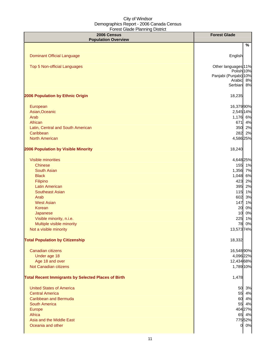| 2006 Census<br><b>Population Overview</b>                  | <b>Forest Glade</b>     |
|------------------------------------------------------------|-------------------------|
|                                                            | %                       |
|                                                            |                         |
| <b>Dominant Official Language</b>                          | English                 |
| Top 5 Non-official Languages                               | Other languages 11%     |
|                                                            | Polish <sub>10%</sub>   |
|                                                            | Panjabi (Punjabi) 10%   |
|                                                            | Arabic 8%<br>Serbian 8% |
| 2006 Population by Ethnic Origin                           | 18,235                  |
| European                                                   | 16,37990%               |
| Asian, Oceanic                                             | 2,545 14%               |
| Arab                                                       | 1,176 6%                |
| African                                                    | 671 4%                  |
| Latin, Central and South American                          | 350 2%                  |
| Caribbean                                                  | 282 2%                  |
| <b>North American</b>                                      | 4,586 25%               |
| 2006 Population by Visible Minority                        | 18,240                  |
| Visible minorities                                         | 4,648 25%               |
| <b>Chinese</b>                                             | 155 1%                  |
| South Asian                                                | 1,356 7%                |
| <b>Black</b>                                               | 1,048 6%                |
| Filipino                                                   | 423<br>2%               |
| <b>Latin American</b>                                      | 395 2%                  |
| <b>Southeast Asian</b>                                     | 115<br>1%               |
| Arab                                                       | 602<br>3%               |
| <b>West Asian</b>                                          | 1%<br>147               |
| Korean                                                     | 0%<br>20                |
| Japanese                                                   | 0%<br>10                |
| Visible minority, n.i.e.                                   | 225 1%                  |
| Multiple visible minority                                  | 78 0%                   |
| Not a visible minority                                     | 13,573 74%              |
| <b>Total Population by Citizenship</b>                     | 18,332                  |
| Canadian citizens                                          | 16,548 90%              |
| Under age 18                                               | 4,096 22%               |
| Age 18 and over                                            | 12,434 68%              |
| Not Canadian citizens                                      | 1,789 10%               |
| <b>Total Recent Immigrants by Selected Places of Birth</b> | 1,478                   |
| <b>United States of America</b>                            | 50 3%                   |
| <b>Central America</b>                                     | 55 4%                   |
| <b>Caribbean and Bermuda</b>                               | 60 4%                   |
| <b>South America</b>                                       | 55 4%                   |
| Europe                                                     | 404 27%                 |
| Africa                                                     | 65 4%                   |
| Asia and the Middle East                                   | 77552%                  |
| Oceania and other                                          | 0 0%                    |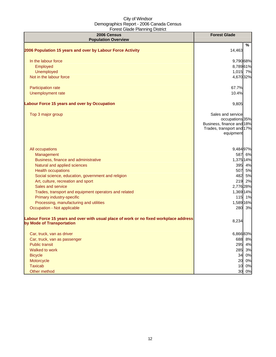| 2006 Census<br><b>Population Overview</b>                                                                          | <b>Forest Glade</b>                                                                                         |
|--------------------------------------------------------------------------------------------------------------------|-------------------------------------------------------------------------------------------------------------|
|                                                                                                                    | %                                                                                                           |
| 2006 Population 15 years and over by Labour Force Activity                                                         | 14,463                                                                                                      |
| In the labour force                                                                                                | 9,790 68%                                                                                                   |
| Employed                                                                                                           | 8,78961%                                                                                                    |
| Unemployed                                                                                                         | 1,015 7%                                                                                                    |
| Not in the labour force                                                                                            | 4,670 32%                                                                                                   |
| Participation rate                                                                                                 | 67.7%                                                                                                       |
| Unemployment rate                                                                                                  | 10.4%                                                                                                       |
| Labour Force 15 years and over by Occupation                                                                       | 9,805                                                                                                       |
| Top 3 major group                                                                                                  | Sales and service<br>occupations 35%<br>Business, finance and 18%<br>Trades, transport and 17%<br>equipment |
| All occupations                                                                                                    | 9,484 97%                                                                                                   |
| Management                                                                                                         | 587 6%                                                                                                      |
| Business, finance and administrative                                                                               | 1,375 14%                                                                                                   |
| Natural and applied sciences                                                                                       | 395 4%                                                                                                      |
| <b>Health occupations</b>                                                                                          | 507 5%                                                                                                      |
| Social science, education, government and religion                                                                 | 482 5%                                                                                                      |
| Art, culture, recreation and sport                                                                                 | 219 2%                                                                                                      |
| Sales and service                                                                                                  | 2,776 28%                                                                                                   |
| Trades, transport and equipment operators and related                                                              | 1,369 14%                                                                                                   |
| Primary industry-specific                                                                                          | 115 1%                                                                                                      |
| Processing, manufacturing and utilities                                                                            | 1,589 16%                                                                                                   |
| Occupation - Not applicable                                                                                        | 280 3%                                                                                                      |
| Labour Force 15 years and over with usual place of work or no fixed workplace address<br>by Mode of Transportation | 8,234                                                                                                       |
| Car, truck, van as driver                                                                                          | 6,86683%                                                                                                    |
| Car, truck, van as passenger                                                                                       | 688 8%                                                                                                      |
| <b>Public transit</b>                                                                                              | 295 4%                                                                                                      |
| Walked to work                                                                                                     | 285 3%                                                                                                      |
| <b>Bicycle</b>                                                                                                     | 34 0%                                                                                                       |
| Motorcycle                                                                                                         | 20 0%                                                                                                       |
| <b>Taxicab</b>                                                                                                     | 10 0%                                                                                                       |
| Other method                                                                                                       | 30<br>0%                                                                                                    |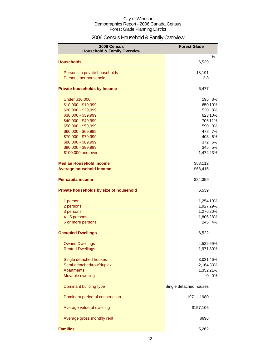## 2006 Census Household & Family Overview

| 2006 Census<br><b>Household &amp; Family Overview</b> | <b>Forest Glade</b>    |         |
|-------------------------------------------------------|------------------------|---------|
|                                                       |                        | %       |
| <b>Households</b>                                     | 6,539                  |         |
| Persons in private households                         | 18,191                 |         |
| Persons per household                                 | 2.8                    |         |
|                                                       |                        |         |
| <b>Private households by Income</b>                   | 6,477                  |         |
| <b>Under \$10,000</b>                                 | 195                    | 3%      |
| \$10,000 - \$19,999                                   |                        | 650 10% |
| \$20,000 - \$29,999                                   |                        | 530 8%  |
| \$30,000 - \$39,999                                   |                        | 623 10% |
| \$40,000 - \$49,999                                   |                        | 706 11% |
| \$50,000 - \$59,999                                   | 590                    | 9%      |
| \$60,000 - \$69,999                                   |                        | 478 7%  |
| \$70,000 - \$79,999                                   | 403                    | 6%      |
| \$80,000 - \$89,999                                   | 372                    | 6%      |
| \$90,000 - \$99,999                                   | 345                    | 5%      |
| \$100,000 and over                                    | 1,472 23%              |         |
| <b>Median Household Income</b>                        | \$58,112               |         |
| <b>Average household income</b>                       | \$68,415               |         |
| Per capita income                                     | \$24,359               |         |
| Private households by size of household               | 6,539                  |         |
| 1 person                                              | 1,254 19%              |         |
| 2 persons                                             | 1,927 29%              |         |
| 3 persons                                             | 1,276 20%              |         |
| 4 - 5 persons                                         | 1,806 28%              |         |
| 6 or more persons                                     | 245                    | 4%      |
| <b>Occupied Dwellings</b>                             | 6,522                  |         |
| <b>Owned Dwellings</b>                                | 4,532 69%              |         |
| <b>Rented Dwellings</b>                               | 1,971 30%              |         |
|                                                       |                        |         |
| Single detached houses<br>Semi-detached/row/duplex    | 3,031 46%              |         |
| <b>Apartments</b>                                     | 2,164 33%              |         |
| Movable dwelling                                      | 1,352 21%<br>01        | 0%      |
|                                                       |                        |         |
| Dominant building type                                | Single detached houses |         |
| Dominant period of construction                       | 1971 - 1980            |         |
| Average value of dwelling                             | \$157,106              |         |
| Average gross monthly rent                            | \$696                  |         |
| <b>Families</b>                                       | 5,262                  |         |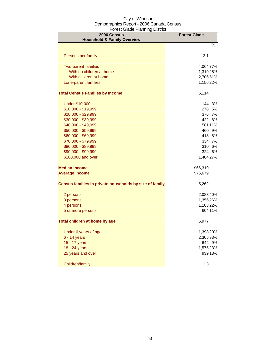| 2006 Census<br><b>Household &amp; Family Overview</b>   | <b>Forest Glade</b> |         |
|---------------------------------------------------------|---------------------|---------|
|                                                         |                     | %       |
|                                                         |                     |         |
| Persons per family                                      | 3.1                 |         |
| <b>Two-parent families</b>                              | 4,064 77%           |         |
| With no children at home                                | 1,319 25%           |         |
| With children at home                                   | 2,706 51%           |         |
| Lone-parent families                                    | 1,156 22%           |         |
| <b>Total Census Families by Income</b>                  | 5,114               |         |
| <b>Under \$10,000</b>                                   |                     | 144 3%  |
| \$10,000 - \$19,999                                     | 278                 | 5%      |
| \$20,000 - \$29,999                                     | 376                 | 7%      |
| \$30,000 - \$39,999                                     | 422                 | 8%      |
| \$40,000 - \$49,999                                     |                     | 581 11% |
| \$50,000 - \$59,999                                     | 460                 | 9%      |
| \$60,000 - \$69,999                                     | 418                 | 8%      |
| \$70,000 - \$79,999                                     | 334                 | 7%      |
| \$80,000 - \$89,999                                     | 310                 | 6%      |
| \$90,000 - \$99,999                                     | 324                 | 6%      |
| \$100,000 and over                                      | 1,404 27%           |         |
| <b>Median income</b>                                    | \$66,319            |         |
| <b>Average income</b>                                   | \$75,679            |         |
| Census families in private households by size of family | 5,262               |         |
| 2 persons                                               | 2,08340%            |         |
| 3 persons                                               | 1,356 26%           |         |
| 4 persons                                               | 1,183 22%           |         |
| 5 or more persons                                       |                     | 604 11% |
| Total children at home by age                           | 6,977               |         |
| Under 6 years of age                                    | 1,398 20%           |         |
| 6 - 14 years                                            | 2,305 33%           |         |
| 15 - 17 years                                           |                     | 644 9%  |
| 18 - 24 years                                           | 1,575 23%           |         |
| 25 years and over                                       |                     | 939 13% |
| Children/family                                         | 1.3                 |         |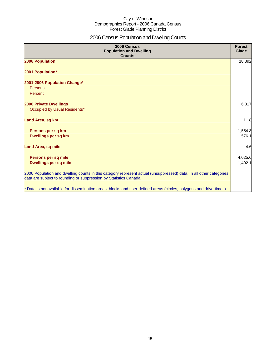## 2006 Census Population and Dwelling Counts

| 2006 Census<br><b>Population and Dwelling</b><br><b>Counts</b>                                                                                                                           | <b>Forest</b><br>Glade |
|------------------------------------------------------------------------------------------------------------------------------------------------------------------------------------------|------------------------|
| 2006 Population                                                                                                                                                                          | 18,392                 |
| 2001 Population*                                                                                                                                                                         |                        |
| 2001-2006 Population Change*<br>Persons<br>Percent                                                                                                                                       |                        |
| <b>2006 Private Dwellings</b><br>Occupied by Usual Residents*                                                                                                                            | 6,817                  |
| Land Area, sq km                                                                                                                                                                         | 11.8                   |
| Persons per sq km<br>Dwellings per sq km                                                                                                                                                 | 1,554.3<br>576.1       |
| <b>Land Area, sq mile</b>                                                                                                                                                                | 4.6                    |
| Persons per sq mile<br><b>Dwellings per sq mile</b>                                                                                                                                      | 4,025.6<br>1,492.1     |
| 2006 Population and dwelling counts in this category represent actual (unsuppressed) data. In all other categories,<br>data are subject to rounding or suppression by Statistics Canada. |                        |
| * Data is not available for dissemination areas, blocks and user-defined areas (circles, polygons and drive-times)                                                                       |                        |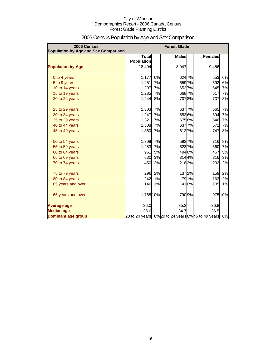| 2006 Census<br><b>Population by Age and Sex Comparison</b> |                                   |    | <b>Forest Glade</b>                                |                |         |
|------------------------------------------------------------|-----------------------------------|----|----------------------------------------------------|----------------|---------|
|                                                            | <b>Total</b><br><b>Population</b> |    | <b>Males</b>                                       | <b>Females</b> |         |
| <b>Population by Age</b>                                   | 18,404                            |    | 8,947                                              | 9,456          |         |
| 0 to 4 years                                               | 1,177                             | 6% | 6247%                                              | 553            | 6%      |
| 5 to 9 years                                               | 1,251                             | 7% | 6597%                                              | 592            | 6%      |
| 10 to 14 years                                             | 1,297                             | 7% | 6527%                                              | 645            | 7%      |
| 15 to 19 years                                             | 1,285                             | 7% | 6687%                                              | 617            | 7%      |
| 20 to 24 years                                             | 1,444                             | 8% | 7078%                                              | 737            | 8%      |
| 25 to 29 years                                             | 1,303                             | 7% | 6377%                                              | 665            | 7%      |
| 30 to 34 years                                             | 1,247                             | 7% | 5536%                                              | 694            | 7%      |
| 35 to 39 years                                             | 1,321                             | 7% | 6758%                                              | 646            | 7%      |
| 40 to 44 years                                             | 1,308                             | 7% | 6377%                                              | 671            | 7%      |
| 45 to 49 years                                             | 1,360                             | 7% | 6127%                                              | 747            | 8%      |
| 50 to 54 years                                             | 1,308                             | 7% | 5927%                                              | 716            | 8%      |
| 55 to 59 years                                             | 1,283                             | 7% | 6237%                                              | 660            | 7%      |
| 60 to 64 years                                             | 961                               | 5% | 494 6%                                             | 467            | 5%      |
| 65 to 69 years                                             | 630                               | 3% | 3144%                                              | 316            | 3%      |
| 70 to 74 years                                             | 450                               | 2% | 218 2%                                             | 232            | 2%      |
| 75 to 79 years                                             | 296                               | 2% | 1372%                                              | 159            | 2%      |
| 80 to 84 years                                             | 242                               | 1% | 791%                                               | 163            | 2%      |
| 85 years and over                                          | 146                               | 1% | 410%                                               | 105            | 1%      |
| 65 years and over                                          | 1,765 10%                         |    | 7909%                                              |                | 975 10% |
| <b>Average age</b>                                         | 36.0                              |    | 35.2                                               | 36.8           |         |
| <b>Median age</b>                                          | 35.6                              |    | 34.7                                               | 36.5           |         |
| <b>Dominant age group</b>                                  |                                   |    | 20 to 24 years 8% 20 to 24 years 8% 45 to 49 years |                | 8%      |

## 2006 Census Population by Age and Sex Comparison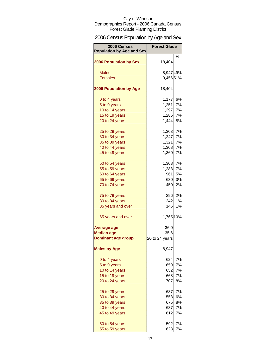## 2006 Census Population by Age and Sex

| 2006 Census<br><b>Population by Age and Sex</b> | <b>Forest Glade</b> |        |
|-------------------------------------------------|---------------------|--------|
|                                                 |                     | ℅      |
| <b>2006 Population by Sex</b>                   | 18,404              |        |
| <b>Males</b>                                    | 8,94749%            |        |
| <b>Females</b>                                  | 9,45651%            |        |
|                                                 |                     |        |
| <b>2006 Population by Age</b>                   | 18,404              |        |
| 0 to 4 years                                    | 1,177               | 6%     |
| 5 to 9 years                                    | 1,251               | 7%     |
| 10 to 14 years                                  | 1,297               | 7%     |
| 15 to 19 years                                  | 1,285               | 7%     |
| 20 to 24 years                                  | 1,444               | 8%     |
| 25 to 29 years                                  | 1,303               | 7%     |
| 30 to 34 years                                  | 1,247               | 7%     |
| 35 to 39 years                                  | 1,321               | 7%     |
| 40 to 44 years                                  | 1,308               | 7%     |
| 45 to 49 years                                  | 1,360               | 7%     |
| 50 to 54 years                                  | 1,308               | 7%     |
| 55 to 59 years                                  | 1,283               | 7%     |
| 60 to 64 years                                  | 961                 | 5%     |
| 65 to 69 years                                  | 630                 | 3%     |
| 70 to 74 years                                  | 450                 | 2%     |
| 75 to 79 years                                  |                     | 296 2% |
| 80 to 84 years                                  | 242                 | 1%     |
| 85 years and over                               | 146                 | 1%     |
| 65 years and over                               | 1,765 10%           |        |
| <b>Average age</b>                              | 36.0                |        |
| <b>Median age</b>                               | 35.6                |        |
| Dominant age group                              | 20 to 24 years      |        |
| <b>Males by Age</b>                             | 8,947               |        |
| 0 to 4 years                                    | 624                 | 7%     |
| 5 to 9 years                                    | 659                 | 7%     |
| 10 to 14 years                                  | 652                 | 7%     |
| 15 to 19 years                                  | 668                 | 7%     |
| 20 to 24 years                                  | 707                 | 8%     |
| 25 to 29 years                                  | 637                 | 7%     |
| 30 to 34 years                                  | 553                 | 6%     |
| 35 to 39 years                                  | 675                 | 8%     |
| 40 to 44 years                                  | 637                 | 7%     |
| 45 to 49 years                                  | 612                 | 7%     |
| 50 to 54 years                                  | 592                 | 7%     |
| 55 to 59 years                                  | 623                 | 7%     |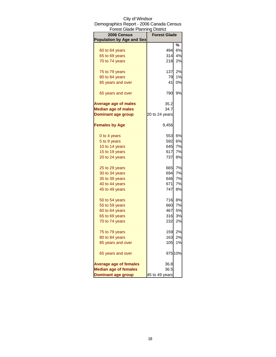| <b>Forest Glade Planning District</b> |                     |         |
|---------------------------------------|---------------------|---------|
| 2006 Census                           | <b>Forest Glade</b> |         |
| <b>Population by Age and Sex</b>      |                     |         |
|                                       |                     | %       |
| 60 to 64 years                        | 494                 | 6%      |
| 65 to 69 years                        | 314                 | 4%      |
| 70 to 74 years                        | 218                 | 2%      |
| 75 to 79 years                        | 137                 | 2%      |
| 80 to 84 years                        | 79                  | 1%      |
| 85 years and over                     | 41                  | 0%      |
| 65 years and over                     | 790                 | 9%      |
| <b>Average age of males</b>           | 35.2                |         |
| <b>Median age of males</b>            | 34.7                |         |
| <b>Dominant age group</b>             | 20 to 24 years      |         |
| <b>Females by Age</b>                 | 9,456               |         |
| 0 to 4 years                          | 553                 | 6%      |
| 5 to 9 years                          | 592                 | 6%      |
| 10 to 14 years                        | 645                 | 7%      |
| 15 to 19 years                        | 617                 | 7%      |
| 20 to 24 years                        | 737                 | 8%      |
| 25 to 29 years                        | 665                 | 7%      |
| 30 to 34 years                        | 694                 | 7%      |
| 35 to 39 years                        | 646                 | 7%      |
| 40 to 44 years                        | 671                 | 7%      |
| 45 to 49 years                        | 747                 | 8%      |
|                                       |                     | 8%      |
| 50 to 54 years                        | 716                 | 7%      |
| 55 to 59 years<br>60 to 64 years      | 660<br>467          | 5%      |
|                                       | 316                 |         |
| 65 to 69 years                        |                     | 3%      |
| 70 to 74 years                        | 232                 | 2%      |
| 75 to 79 years                        | 159                 | 2%      |
| 80 to 84 years                        | 163                 | 2%      |
| 85 years and over                     | 105                 | 1%      |
| 65 years and over                     |                     | 975 10% |
| <b>Average age of females</b>         | 36.8                |         |
| <b>Median age of females</b>          | 36.5                |         |
| <b>Dominant age group</b>             | 45 to 49 years      |         |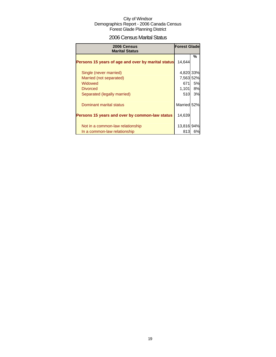## 2006 Census Marital Status

| 2006 Census<br><b>Marital Status</b>               | <b>Forest Glade</b> |           |
|----------------------------------------------------|---------------------|-----------|
| Persons 15 years of age and over by marital status | 14.644              | %         |
| Single (never married)                             | 4,820 33%           |           |
| Married (not separated)                            | 7,563 52%           |           |
| Widowed                                            | 671                 | 5%        |
| <b>Divorced</b>                                    | 1,101               | <b>8%</b> |
| Separated (legally married)                        | 510                 | 3%        |
| Dominant marital status                            | Married 52%         |           |
| Persons 15 years and over by common-law status     | 14,639              |           |
| Not in a common-law relationship                   | 13,816 94%          |           |
| In a common-law relationship                       | 813                 | 6%l       |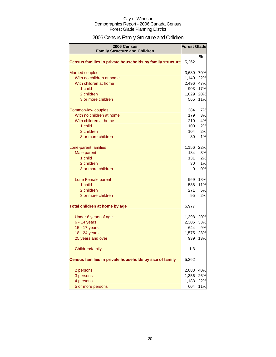## 2006 Census Family Structure and Children

| <b>2006 Census</b><br><b>Family Structure and Children</b> | <b>Forest Glade</b> |     |
|------------------------------------------------------------|---------------------|-----|
|                                                            |                     | %   |
| Census families in private households by family structure  | 5,262               |     |
| <b>Married couples</b>                                     | 3,680               | 70% |
| With no children at home                                   | 1,140               | 22% |
| With children at home                                      | 2,496               | 47% |
| 1 child                                                    | 903                 | 17% |
| 2 children                                                 | 1,029               | 20% |
| 3 or more children                                         | 565                 | 11% |
| Common-law couples                                         | 384                 | 7%  |
| With no children at home                                   | 179                 | 3%  |
| With children at home                                      | 210                 | 4%  |
| 1 child                                                    | 100                 | 2%  |
| 2 children                                                 | 104                 | 2%  |
| 3 or more children                                         | 30                  | 1%  |
| Lone-parent families                                       | 1,156               | 22% |
| Male parent                                                | 184                 | 3%  |
| 1 child                                                    | 131                 | 2%  |
| 2 children                                                 | 30                  | 1%  |
| 3 or more children                                         | $\overline{0}$      | 0%  |
| Lone Female parent                                         | 969                 | 18% |
| 1 child                                                    | 588                 | 11% |
| 2 children                                                 | 271                 | 5%  |
| 3 or more children                                         | 95                  | 2%  |
| Total children at home by age                              | 6,977               |     |
| Under 6 years of age                                       | 1,398               | 20% |
| $6 - 14$ years                                             | 2,305               | 33% |
| 15 - 17 years                                              | 644                 | 9%  |
| 18 - 24 years                                              | 1,575               | 23% |
| 25 years and over                                          | 939                 | 13% |
| Children/family                                            | 1.3                 |     |
| Census families in private households by size of family    | 5,262               |     |
| 2 persons                                                  | 2,083               | 40% |
| 3 persons                                                  | 1,356               | 26% |
| 4 persons                                                  | 1,183               | 22% |
| 5 or more persons                                          | 604                 | 11% |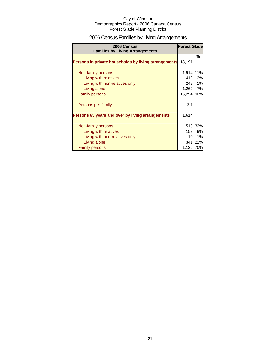## 2006 Census Families by Living Arrangements

| 2006 Census<br><b>Families by Living Arrangements</b> | <b>Forest Glade</b> |         |
|-------------------------------------------------------|---------------------|---------|
|                                                       | 18,191              | %       |
| Persons in private households by living arrangements  |                     |         |
| Non-family persons                                    | 1,914               | 11%     |
| Living with relatives                                 | 413                 | 2%      |
| Living with non-relatives only                        | 249                 | 1%      |
| Living alone                                          | 1,262               | 7%      |
| <b>Family persons</b>                                 | 16,294              | 90%     |
| Persons per family                                    | 3.1                 |         |
| Persons 65 years and over by living arrangements      | 1,614               |         |
| Non-family persons                                    |                     | 513 32% |
| Living with relatives                                 | 153                 | 9%      |
| Living with non-relatives only                        | 10                  | 1%      |
| Living alone                                          |                     | 341 21% |
| <b>Family persons</b>                                 | 1,126               | 70%     |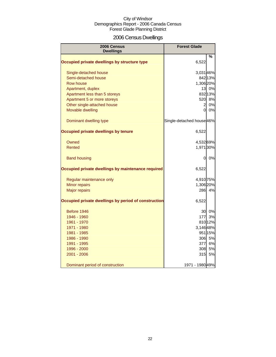## 2006 Census Dwellings

| 2006 Census<br><b>Dwellings</b>                      | <b>Forest Glade</b>       |         |
|------------------------------------------------------|---------------------------|---------|
|                                                      |                           | %       |
| Occupied private dwellings by structure type         | 6,522                     |         |
| Single-detached house                                | 3,03146%                  |         |
| Semi-detached house                                  |                           | 842 13% |
| Row house                                            | 1,306 20%                 |         |
| Apartment, duplex                                    |                           | 13 0%   |
| Apartment less than 5 storeys                        |                           | 832 13% |
| Apartment 5 or more storeys                          |                           | 520 8%  |
| Other single-attached house                          | $\overline{a}$            | 0%      |
| Movable dwelling                                     | Οl                        | 0%      |
| Dominant dwelling type                               | Single-detached house 46% |         |
| Occupied private dwellings by tenure                 | 6,522                     |         |
| Owned                                                | 4,532 69%                 |         |
| Rented                                               | 1,971 30%                 |         |
| <b>Band housing</b>                                  | 0                         | 0%      |
| Occupied private dwellings by maintenance required   | 6,522                     |         |
| Regular maintenance only                             | 4,910 75%                 |         |
| Minor repairs                                        | 1,306 20%                 |         |
| <b>Major repairs</b>                                 | 286                       | 4%      |
| Occupied private dwellings by period of construction | 6,522                     |         |
| Before 1946                                          | 30                        | 0%      |
| 1946 - 1960                                          | 177                       | 3%      |
| 1961 - 1970                                          |                           | 810 12% |
| 1971 - 1980                                          | 3,146 48%                 |         |
| 1981 - 1985                                          |                           | 951 15% |
| 1986 - 1990                                          | 306                       | 5%      |
| 1991 - 1995                                          | 377                       | 6%      |
| 1996 - 2000                                          | 308                       | 5%      |
| 2001 - 2006                                          | 315                       | 5%      |
| Dominant period of construction                      | 1971 - 1980 49%           |         |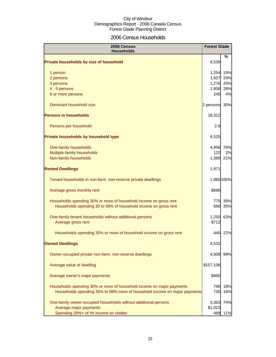## 2006 Census Households

| 2006 Census<br><b>Households</b>                                                                                                     | <b>Forest Glade</b> |            |
|--------------------------------------------------------------------------------------------------------------------------------------|---------------------|------------|
| Private households by size of household                                                                                              | 6,539               | ℅          |
| 1 person                                                                                                                             | 1,254               | 19%        |
| 2 persons                                                                                                                            | 1,927               | 29%        |
| 3 persons<br>4 - 5 persons                                                                                                           | 1,276<br>1,806      | 20%<br>28% |
| 6 or more persons                                                                                                                    | 245                 | 4%         |
| Dominant household size                                                                                                              | 2 persons           | 30%        |
| <b>Persons in households</b>                                                                                                         | 18,312              |            |
| Persons per household                                                                                                                | 2.8                 |            |
| Private households by household type                                                                                                 | 6,525               |            |
| One-family households                                                                                                                | 4,956               | 76%        |
| Multiple-family households                                                                                                           | 122                 | 2%         |
| Non-family households                                                                                                                | 1,389               | 21%        |
| <b>Rented Dwellings</b>                                                                                                              | 1,971               |            |
| Tenant households in non-farm, non-reserve private dwellings                                                                         |                     | 1,980 100% |
| Average gross monthly rent                                                                                                           | \$696               |            |
| Households spending 30% or more of household income on gross rent<br>Households spending 30 to 99% of household income on gross rent | 775<br>686          | 39%<br>35% |
| One-family tenant households without additional persons<br>Average gross rent                                                        | 1,250<br>\$713      | 63%        |
| Households spending 30% or more of household income on gross rent                                                                    | 440                 | 22%        |
| <b>Owned Dwellings</b>                                                                                                               | 4,532               |            |
| Owner-occupied private non-farm, non-reserve dwellings                                                                               | 4,509               | 99%        |
| Average value of dwelling                                                                                                            | \$157,106           |            |
| Average owner's major payments                                                                                                       | \$990               |            |
| Households spending 30% or more of household income on major payments                                                                | 796                 | 18%        |
| Households spending 30% to 99% more of household income on major payments                                                            | 726                 | 16%        |
| One-family owner-occupied households without additional persons                                                                      | 3,363               | 74%        |
| Average major payments                                                                                                               | \$1,023             |            |
| Spending 30%+ of hh income on shelter                                                                                                | 489                 | 11%        |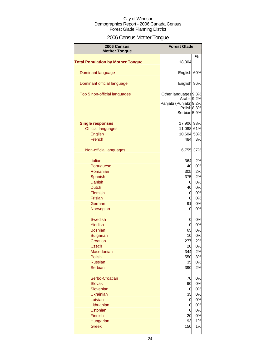## 2006 Census Mother Tongue

| 2006 Census<br><b>Mother Tongue</b>      | <b>Forest Glade</b>                            |     |
|------------------------------------------|------------------------------------------------|-----|
|                                          |                                                | %   |
| <b>Total Population by Mother Tongue</b> | 18,304                                         |     |
| Dominant language                        | English 60%                                    |     |
| Dominant official language               | English 96%                                    |     |
| Top 5 non-official languages             | Other languages 9.3%<br>Arabic <sup>9.2%</sup> |     |
|                                          | Panjabi (Punjabi) 9.2%                         |     |
|                                          | Polish <sub>8.3%</sub>                         |     |
|                                          | Serbian <sup>5.9%</sup>                        |     |
| <b>Single responses</b>                  | 17,906 98%                                     |     |
| <b>Official languages</b>                | 11,088 61%                                     |     |
| English                                  | 10,604 58%                                     |     |
| French                                   | 484                                            | 3%  |
|                                          |                                                |     |
| Non-official languages                   | 6,755                                          | 37% |
| Italian                                  | 364                                            | 2%  |
| Portuguese                               | 40                                             | 0%  |
| Romanian                                 | 305                                            | 2%  |
| Spanish                                  | 375                                            | 2%  |
| Danish                                   | 0                                              | 0%  |
| <b>Dutch</b>                             | 40                                             | 0%  |
| Flemish                                  | 0                                              | 0%  |
| Frisian                                  | 0                                              | 0%  |
| German                                   | 91                                             | 0%  |
| Norwegian                                | 0                                              | 0%  |
| <b>Swedish</b>                           | 0                                              | 0%  |
| Yiddish                                  | 0                                              | 0%  |
| <b>Bosnian</b>                           | 65                                             | 0%  |
| <b>Bulgarian</b>                         | 10                                             | 0%  |
| Croatian                                 | 277                                            | 2%  |
| <b>Czech</b>                             | 20                                             | 0%  |
| Macedonian                               | 344                                            | 2%  |
| Polish                                   | 550                                            | 3%  |
|                                          |                                                |     |
| <b>Russian</b>                           | 35                                             | 0%  |
| <b>Serbian</b>                           | 390                                            | 2%  |
| Serbo-Croatian                           | 70                                             | 0%  |
| <b>Slovak</b>                            | 90                                             | 0%  |
| Slovenian                                | 0                                              | 0%  |
| <b>Ukrainian</b>                         | 35                                             | 0%  |
| Latvian                                  | 0                                              | 0%  |
| Lithuanian                               | 0                                              | 0%  |
| Estonian                                 | 0                                              | 0%  |
| Finnish                                  | 20                                             | 0%  |
| Hungarian                                | 93                                             | 1%  |
| <b>Greek</b>                             | 150                                            | 1%  |
|                                          |                                                |     |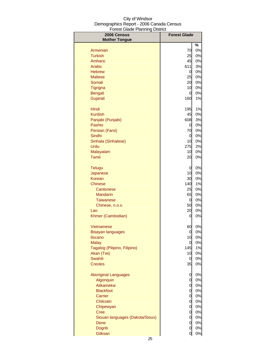| 2006 Census<br><b>Mother Tongue</b> | <b>Forest Glade</b> |          |
|-------------------------------------|---------------------|----------|
|                                     |                     | %        |
| Armenian                            | 70                  | 0%       |
| <b>Turkish</b>                      | 25                  | 0%       |
| Amharic                             | 45                  | 0%       |
| Arabic                              | 611                 | 3%       |
| <b>Hebrew</b>                       | 0                   | 0%       |
| <b>Maltese</b>                      | 25                  | 0%       |
| Somali                              | 20                  | 0%       |
| Tigrigna                            | 10                  | 0%       |
| <b>Bengali</b>                      | 0                   | 0%       |
| Gujarati                            | 160                 | 1%       |
| Hindi                               | 195                 | 1%       |
| <b>Kurdish</b>                      | 45                  | 0%       |
| Panjabi (Punjabi)                   | 608                 | 3%       |
| Pashto                              | 0                   | 0%       |
| Persian (Farsi)                     | 70                  | 0%       |
| Sindhi                              | 0                   | 0%       |
| Sinhala (Sinhalese)                 | 10                  | 0%       |
| Urdu                                | 275                 | 2%       |
| Malayalam                           | 10                  | 0%       |
| Tamil                               | 20                  | 0%       |
| <b>Telugu</b>                       | 0                   | 0%       |
| Japanese                            | 10                  | 0%       |
| Korean                              | 30                  | 0%       |
| Chinese                             | 140                 | 1%       |
| Cantonese                           | 25                  | 0%       |
| <b>Mandarin</b>                     | 65                  | 0%       |
| Taiwanese                           | 0                   | 0%       |
| Chinese, n.o.s.                     | 50                  | 0%       |
| Lao                                 | 20                  | 0%       |
| Khmer (Cambodian)                   | 0                   | 0%       |
| Vietnamese                          | 60                  | 0%       |
| Bisayan languages                   | 0                   | 0%       |
| Ilocano                             | 10                  | 0%       |
| <b>Malay</b>                        | 0                   | 0%       |
| Tagalog (Pilipino, Filipino)        | 145                 | 1%       |
| Akan (Twi)                          | 10                  | 0%       |
| Swahili                             | 0                   | 0%       |
| <b>Creoles</b>                      | 35                  | 0%       |
| <b>Aboriginal Languages</b>         | 0                   | 0%       |
| Algonquin                           | $\overline{0}$      | 0%       |
| Atikamekw                           | $\mathbf 0$         | 0%       |
| <b>Blackfoot</b>                    | $\mathbf 0$         | 0%       |
| Carrier                             | $\mathbf 0$         | 0%       |
| Chilcotin                           | $\overline{O}$      | 0%       |
| Chipewyan                           | $\overline{O}$      | 0%       |
| <b>Cree</b>                         | $\overline{O}$      | 0%       |
| Siouan languages (Dakota/Sioux)     | 0                   | 0%       |
| Dene                                | 0<br>0              | 0%<br>0% |
| <b>Dogrib</b><br>Gitksan            | 0                   | 0%       |
|                                     |                     |          |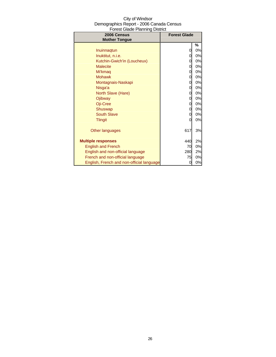| 2006 Census                               | <b>Forest Glade</b> |    |
|-------------------------------------------|---------------------|----|
| <b>Mother Tongue</b>                      |                     |    |
|                                           |                     | ℅  |
| Inuinnagtun                               | 0                   | 0% |
| Inuktitut, n.i.e.                         | 0                   | 0% |
| Kutchin-Gwich'in (Loucheux)               | 0                   | 0% |
| <b>Malecite</b>                           | 0                   | 0% |
| Mi'kmag                                   | 0                   | 0% |
| <b>Mohawk</b>                             | 0                   | 0% |
| Montagnais-Naskapi                        | 0                   | 0% |
| Nisga'a                                   | 0                   | 0% |
| North Slave (Hare)                        | 0                   | 0% |
| Ojibway                                   | 0                   | 0% |
| Oji-Cree                                  | 0                   | 0% |
| Shuswap                                   | 0                   | 0% |
| South Slave                               | 0                   | 0% |
| <b>Tlingit</b>                            |                     | 0% |
| Other languages                           | 617                 | 3% |
| <b>Multiple responses</b>                 | 440                 | 2% |
| <b>English and French</b>                 | 70                  | 0% |
| English and non-official language         | 280                 | 2% |
| French and non-official language          | 75                  | 0% |
| English, French and non-official language | 0                   | 0% |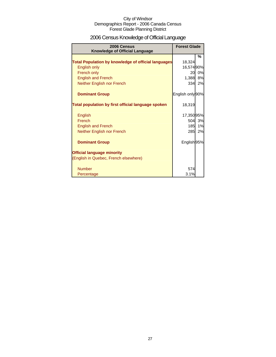## 2006 Census Knowledge of Official Language

| 2006 Census<br><b>Knowledge of Official Language</b>       | <b>Forest Glade</b> |    |
|------------------------------------------------------------|---------------------|----|
|                                                            |                     | %  |
| <b>Total Population by knowledge of official languages</b> | 18,324              |    |
| <b>English only</b>                                        | 16,574 90%          |    |
| French only                                                | 20                  | 0% |
| <b>English and French</b>                                  | 1,388               | 8% |
| Neither English nor French                                 | 334                 | 2% |
| <b>Dominant Group</b>                                      | English only 90%    |    |
| Total population by first official language spoken         | 18,319              |    |
| English                                                    | 17,350 95%          |    |
| French                                                     | 504l                | 3% |
| <b>English and French</b>                                  | 185                 | 1% |
| Neither English nor French                                 | 285                 | 2% |
| <b>Dominant Group</b>                                      | English 95%         |    |
| <b>Official language minority</b>                          |                     |    |
| (English in Quebec, French elsewhere)                      |                     |    |
| <b>Number</b>                                              | 574                 |    |
| Percentage                                                 | 3.1%                |    |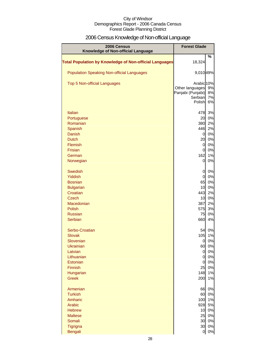## 2006 Census Knowledge of Non-official Language

| 2006 Census<br>Knowledge of Non-official Language                                                                                                              | <b>Forest Glade</b>                                                                            |                                                             |
|----------------------------------------------------------------------------------------------------------------------------------------------------------------|------------------------------------------------------------------------------------------------|-------------------------------------------------------------|
| <b>Total Population by Knowledge of Non-official Languages</b>                                                                                                 | 18,324                                                                                         | %                                                           |
| <b>Population Speaking Non-official Languages</b>                                                                                                              | 9,010 49%                                                                                      |                                                             |
| Top 5 Non-official Languages                                                                                                                                   | Arabic 10%<br>Other languages<br>Panjabi (Punjabi)<br>Serbian<br>Polish                        | 9%<br>8%<br>7%<br>6%                                        |
| Italian<br>Portuguese<br>Romanian<br>Spanish<br><b>Danish</b><br><b>Dutch</b><br><b>Flemish</b><br><b>Frisian</b><br>German<br>Norwegian                       | 478<br>20<br>380<br>446<br>0<br>20<br>0<br>0<br>162<br>0                                       | 3%<br>0%<br>2%<br>2%<br>0%<br>0%<br>0%<br>0%<br>1%<br>0%    |
| <b>Swedish</b><br>Yiddish<br><b>Bosnian</b><br><b>Bulgarian</b><br>Croatian<br><b>Czech</b><br>Macedonian<br><b>Polish</b><br><b>Russian</b><br><b>Serbian</b> | 0<br>0<br>65<br>10<br>443<br>10<br>387<br>575<br>75<br>660                                     | 0%<br>0%<br>0%<br>0%<br>2%<br>0%<br>2%<br>3%<br>0%<br>4%    |
| Serbo-Croatian<br><b>Slovak</b><br>Slovenian<br>Ukrainian<br>Latvian<br>Lithuanian<br>Estonian<br>Finnish<br>Hungarian<br><b>Greek</b>                         | 54<br>105<br>0<br>60<br>$\overline{0}$<br>$\overline{0}$<br>$\overline{0}$<br>25<br>148<br>200 | 0%<br>1%<br>0%<br>0%<br>0%<br>0%<br>0%<br>0%<br>1%<br>1%    |
| Armenian<br><b>Turkish</b><br>Amharic<br>Arabic<br><b>Hebrew</b><br><b>Maltese</b><br>Somali<br>Tigrigna<br><b>Bengali</b>                                     | 66<br>60<br>100<br>928<br>25<br>30<br>이                                                        | 0%<br>0%<br>1%<br>5%<br>10 0%<br>0%<br>30 0%<br>0%<br>$0\%$ |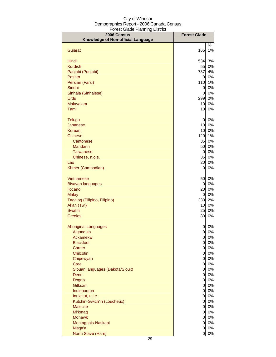| 2006 Census                        | <b>Forest Glade</b>              |          |
|------------------------------------|----------------------------------|----------|
| Knowledge of Non-official Language |                                  |          |
|                                    |                                  | %        |
| Gujarati                           | 165                              | 1%       |
| Hindi                              | 534                              | 3%       |
| <b>Kurdish</b>                     | 55                               | 0%       |
| Panjabi (Punjabi)                  | 737                              | 4%       |
| Pashto                             | $\overline{0}$                   | 0%       |
| Persian (Farsi)                    | 110                              | 1%       |
| Sindhi                             | $\overline{0}$                   | 0%       |
| Sinhala (Sinhalese)                | $\overline{0}$                   | 0%       |
| Urdu<br>Malayalam                  | 299<br>10                        | 2%<br>0% |
| Tamil                              | 10                               | 0%       |
|                                    |                                  |          |
| Telugu                             | $\overline{0}$                   | 0%       |
| Japanese                           | 10                               | 0%       |
| <b>Korean</b>                      | 10                               | 0%       |
| <b>Chinese</b>                     | 120                              | 1%       |
| Cantonese                          | 35                               | 0%       |
| Mandarin                           | 50                               | 0%       |
| <b>Taiwanese</b>                   | $\overline{0}$                   | 0%       |
| Chinese, n.o.s.<br>Lao             | 35<br>20                         | 0%<br>0% |
| Khmer (Cambodian)                  | 0                                | 0%       |
|                                    |                                  |          |
| Vietnamese                         | 50                               | 0%       |
| <b>Bisayan languages</b>           | 0                                | 0%       |
| <b>Ilocano</b>                     | 20                               | 0%       |
| <b>Malay</b>                       | 0                                | 0%       |
| Tagalog (Pilipino, Filipino)       | 330                              | 2%       |
| Akan (Twi)<br>Swahili              | 10<br>25                         | 0%<br>0% |
| <b>Creoles</b>                     | 80                               | 0%       |
|                                    |                                  |          |
| <b>Aboriginal Languages</b>        | 0                                | 0%       |
| Algonquin                          | 0                                | 0%       |
| <b>Atikamekw</b>                   | $\overline{0}$                   | 0%       |
| <b>Blackfoot</b>                   | $\mathbf{0}$                     | 0%       |
| Carrier                            | $\overline{0}$                   | 0%       |
| Chilcotin<br>Chipewyan             | $\overline{0}$                   | 0%<br>0% |
| <b>Cree</b>                        | $\overline{O}$<br>$\overline{O}$ | 0%       |
| Siouan languages (Dakota/Sioux)    | $\overline{O}$                   | 0%       |
| <b>Dene</b>                        | $\overline{0}$                   | 0%       |
| <b>Dogrib</b>                      | $\overline{0}$                   | 0%       |
| <b>Gitksan</b>                     | $\overline{0}$                   | 0%       |
| Inuinnaqtun                        | $\overline{0}$                   | 0%       |
| Inuktitut, n.i.e.                  | $\overline{0}$                   | 0%       |
| Kutchin-Gwich'in (Loucheux)        | $\overline{0}$                   | 0%       |
| <b>Malecite</b><br>Mi'kmaq         | $\overline{0}$<br>$\overline{0}$ | 0%<br>0% |
| <b>Mohawk</b>                      | $\overline{0}$                   | 0%       |
| Montagnais-Naskapi                 | $\overline{0}$                   | 0%       |
| Nisga'a                            | 0                                | 0%       |
| North Slave (Hare)                 | 0l                               | 0%       |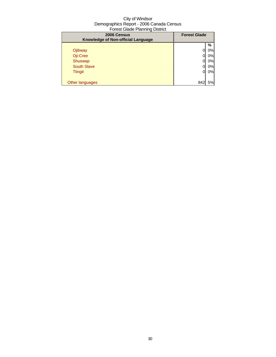| $\sim$                                            |                     |    |
|---------------------------------------------------|---------------------|----|
| 2006 Census<br>Knowledge of Non-official Language | <b>Forest Glade</b> |    |
|                                                   |                     | %  |
| Ojibway                                           |                     | 0% |
| Oji-Cree                                          |                     | 0% |
| Shuswap                                           |                     | 0% |
| <b>South Slave</b>                                |                     | 0% |
| <b>Tlingit</b>                                    | 0                   | 0% |
|                                                   |                     |    |
| Other languages                                   | 842                 | 5% |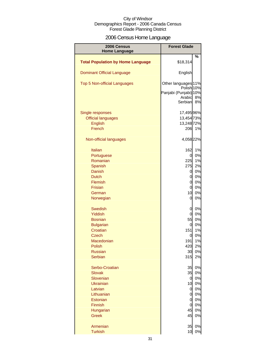## 2006 Census Home Language

| 2006 Census                              | <b>Forest Glade</b>                          |       |
|------------------------------------------|----------------------------------------------|-------|
| <b>Home Language</b>                     |                                              | %     |
| <b>Total Population by Home Language</b> | \$18,314                                     |       |
| <b>Dominant Official Language</b>        | English                                      |       |
| Top 5 Non-official Languages             | Other languages 11%<br>Polish <sub>10%</sub> |       |
|                                          | Panjabi (Punjabi) 10%                        |       |
|                                          | Arabic                                       | 8%    |
|                                          | Serbian                                      | 8%    |
| Single responses                         | 17,495 96%                                   |       |
| <b>Official languages</b>                | 13,454 73%                                   |       |
| <b>English</b>                           | 13,248 72%                                   |       |
| French                                   | 206                                          | 1%    |
| Non-official languages                   | 4,058 22%                                    |       |
| Italian                                  | 162                                          | 1%    |
| Portuguese                               | 0                                            | 0%    |
| Romanian                                 | 225                                          | 1%    |
| Spanish                                  | 275                                          | 2%    |
| Danish                                   | 0                                            | 0%    |
| <b>Dutch</b>                             | 0                                            | 0%    |
| Flemish                                  | $\mathbf 0$                                  | 0%    |
| <b>Frisian</b>                           | $\mathbf 0$                                  | 0%    |
| German                                   | 10                                           | 0%    |
| Norwegian                                | 0                                            | 0%    |
| <b>Swedish</b>                           | 0                                            | 0%    |
| <b>Yiddish</b>                           | $\overline{0}$                               | 0%    |
| <b>Bosnian</b>                           | 55                                           | 0%    |
| <b>Bulgarian</b>                         | 0                                            | 0%    |
| Croatian                                 | 151                                          | 1%    |
| <b>Czech</b>                             | 0                                            | 0%    |
| Macedonian                               | 191                                          | $1\%$ |
| Polish                                   | 420                                          | 2%    |
| <b>Russian</b>                           | 30                                           | 0%    |
| <b>Serbian</b>                           | 315                                          | 2%    |
| Serbo-Croatian                           | 35                                           | 0%    |
| <b>Slovak</b>                            | 35                                           | 0%    |
| Slovenian                                | 0                                            | 0%    |
| <b>Ukrainian</b>                         | 10                                           | 0%    |
| Latvian                                  | 0                                            | 0%    |
| Lithuanian                               | $\mathbf 0$                                  | 0%    |
| Estonian                                 | $\mathbf 0$                                  | 0%    |
| <b>Finnish</b>                           | $\mathbf 0$                                  | 0%    |
| Hungarian                                | 45                                           | 0%    |
| <b>Greek</b>                             | 45                                           | 0%    |
| Armenian                                 | 35                                           | 0%    |
| <b>Turkish</b>                           | 10                                           | 0%    |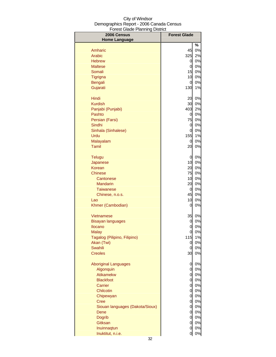| 2006 Census<br><b>Home Language</b> | <b>Forest Glade</b> |       |
|-------------------------------------|---------------------|-------|
|                                     |                     | %     |
| Amharic                             | 45                  | 0%    |
| Arabic                              | 325                 | 2%    |
| <b>Hebrew</b>                       | 0                   | 0%    |
| <b>Maltese</b>                      | 0                   | 0%    |
| Somali                              | 15                  | 0%    |
| <b>Tigrigna</b>                     | 10                  | 0%    |
| Bengali                             | $\overline{0}$      | 0%    |
| Gujarati                            | 130                 | 1%    |
|                                     |                     |       |
| Hindi                               | 20                  | 0%    |
| <b>Kurdish</b>                      | 30                  | 0%    |
| Panjabi (Punjabi)                   | 403                 | 2%    |
| Pashto                              | 0                   | 0%    |
| Persian (Farsi)                     | 75                  | 0%    |
| Sindhi                              | 0                   | 0%    |
| Sinhala (Sinhalese)                 | 0                   | 0%    |
| Urdu                                | 155                 | 1%    |
| Malayalam                           | 0                   | 0%    |
| Tamil                               | 20                  | $0\%$ |
| <b>Telugu</b>                       | 0                   | 0%    |
| Japanese                            | 10                  | 0%    |
| Korean                              | 20                  | 0%    |
| <b>Chinese</b>                      | 75                  | 0%    |
| Cantonese                           | 10                  | 0%    |
| <b>Mandarin</b>                     | 20                  | 0%    |
| Taiwanese                           | $\overline{0}$      | 0%    |
| Chinese, n.o.s.                     | 45                  | 0%    |
| Lao                                 | 10                  | 0%    |
| Khmer (Cambodian)                   | 0                   | 0%    |
| Vietnamese                          | 35                  | 0%    |
| <b>Bisayan languages</b>            | 0                   | 0%    |
| <b>Ilocano</b>                      | 0                   | 0%    |
| <b>Malay</b>                        | 0                   | 0%    |
| Tagalog (Pilipino, Filipino)        | 115                 | 1%    |
| Akan (Twi)                          | 0                   | 0%    |
| Swahili                             | 0                   | 0%    |
| <b>Creoles</b>                      | 30                  | 0%    |
| <b>Aboriginal Languages</b>         | 0                   | 0%    |
| Algonquin                           | $\overline{0}$      | 0%    |
| Atikamekw                           | $\overline{O}$      | 0%    |
| <b>Blackfoot</b>                    | $\overline{O}$      | 0%    |
| Carrier                             | $\overline{0}$      | 0%    |
| Chilcotin                           | $\overline{0}$      | 0%    |
| Chipewyan                           | $\overline{0}$      | 0%    |
| <b>Cree</b>                         | $\overline{0}$      | 0%    |
| Siouan languages (Dakota/Sioux)     | $\overline{O}$      | 0%    |
| Dene                                | $\overline{O}$      | 0%    |
| Dogrib                              | $\overline{0}$      | 0%    |
| Gitksan                             | $\overline{0}$      | 0%    |
| Inuinnaqtun                         | $\overline{0}$      | 0%    |
| Inuktitut, n.i.e.                   | 0                   | 0%    |
|                                     |                     |       |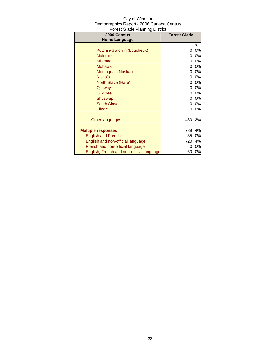| City of Windsor                          |
|------------------------------------------|
| Demographics Report - 2006 Canada Census |
| <b>Forest Glade Planning District</b>    |

| 2006 Census<br><b>Home Language</b>       | i vicot Olduc i lahiling District<br><b>Forest Glade</b> |    |
|-------------------------------------------|----------------------------------------------------------|----|
|                                           |                                                          | %  |
| Kutchin-Gwich'in (Loucheux)               | 0                                                        | 0% |
| <b>Malecite</b>                           | 0                                                        | 0% |
| Mi'kmag                                   | 0                                                        | 0% |
| <b>Mohawk</b>                             | 0                                                        | 0% |
| Montagnais-Naskapi                        | 0                                                        | 0% |
| Nisga'a                                   | 0                                                        | 0% |
| North Slave (Hare)                        | 0                                                        | 0% |
| Ojibway                                   | 0                                                        | 0% |
| Oji-Cree                                  | 0                                                        | 0% |
| Shuswap                                   | 0                                                        | 0% |
| <b>South Slave</b>                        | 0                                                        | 0% |
| <b>Tlingit</b>                            | 0                                                        | 0% |
| Other languages                           | 430                                                      | 2% |
| <b>Multiple responses</b>                 | 789                                                      | 4% |
| <b>English and French</b>                 | 35                                                       | 0% |
| English and non-official language         | 720                                                      | 4% |
| French and non-official language          | 0                                                        | 0% |
| English, French and non-official language | 60                                                       | 0% |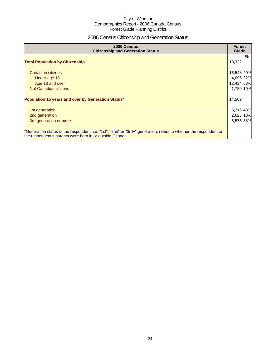## 2006 Census Citizenship and Generation Status

| 2006 Census<br><b>Citizenship and Generation Status</b>                                                                                                                       |            | <b>Forest</b><br>Glade |  |
|-------------------------------------------------------------------------------------------------------------------------------------------------------------------------------|------------|------------------------|--|
| <b>Total Population by Citizenship</b>                                                                                                                                        | 18,332     | %                      |  |
| Canadian citizens                                                                                                                                                             | 16,548 90% |                        |  |
| Under age 18                                                                                                                                                                  | 4,096 22%  |                        |  |
| Age 18 and over                                                                                                                                                               | 12,434 68% |                        |  |
| Not Canadian citizens                                                                                                                                                         | 1,789 10%  |                        |  |
| Population 15 years and over by Generation Status*                                                                                                                            | 14,569     |                        |  |
| 1st generation                                                                                                                                                                | 6,316 43%  |                        |  |
| 2nd generation                                                                                                                                                                | 2,623 18%  |                        |  |
| 3rd generation or more                                                                                                                                                        | 5,575 38%  |                        |  |
| *Generation status of the respondent, i.e. "1st", "2nd" or "3rd+" generation, refers to whether the respondent or<br>the respondent's parents were born in or outside Canada. |            |                        |  |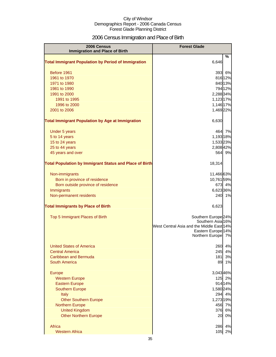## 2006 Census Immigration and Place of Birth

| 2006 Census<br><b>Immigration and Place of Birth</b>           | <b>Forest Glade</b>                                 |  |
|----------------------------------------------------------------|-----------------------------------------------------|--|
| <b>Total Immigrant Population by Period of Immigration</b>     | %<br>6,646                                          |  |
| Before 1961                                                    | 6%<br>393                                           |  |
| 1961 to 1970                                                   | 816 12%                                             |  |
| 1971 to 1980                                                   | 840 13%                                             |  |
| 1981 to 1990                                                   | 794 12%                                             |  |
| 1991 to 2000                                                   | 2,288 34%                                           |  |
| 1991 to 1995                                                   | 1,123 17%                                           |  |
| 1996 to 2000                                                   | 1,146 17%                                           |  |
| 2001 to 2006                                                   | 1,469 22%                                           |  |
| <b>Total Immigrant Population by Age at Immigration</b>        | 6,630                                               |  |
| Under 5 years                                                  | 7%<br>464                                           |  |
| 5 to 14 years                                                  | 1,193 18%                                           |  |
| 15 to 24 years                                                 | 1,53323%                                            |  |
| 25 to 44 years                                                 | 2,808 42%                                           |  |
| 45 years and over                                              | 564<br>9%                                           |  |
| <b>Total Population by Immigrant Status and Place of Birth</b> | 18,314                                              |  |
| Non-immigrants                                                 | 11,46663%                                           |  |
| Born in province of residence                                  | 10,76159%                                           |  |
| Born outside province of residence                             | 673 4%                                              |  |
| Immigrants                                                     | 6,623 36%                                           |  |
| Non-permanent residents                                        | 240<br>1%                                           |  |
| <b>Total Immigrants by Place of Birth</b>                      | 6,623                                               |  |
| Top 5 Immigrant Places of Birth                                | Southern Europe <sup>24%</sup><br>Southern Asia 16% |  |
|                                                                | West Central Asia and the Middle East 14%           |  |
|                                                                | Eastern Europe <sup>14%</sup>                       |  |
|                                                                | Northern Europe 7%                                  |  |
| United States of America                                       | 260<br>4%                                           |  |
| <b>Central America</b>                                         | 4%<br>245                                           |  |
| Caribbean and Bermuda                                          | 3%<br>181                                           |  |
| <b>South America</b>                                           | 89<br>1%                                            |  |
| Europe                                                         | 3,043 46%                                           |  |
| <b>Western Europe</b>                                          | 125<br>2%                                           |  |
| <b>Eastern Europe</b>                                          | 914 14%                                             |  |
| <b>Southern Europe</b>                                         | 1,580 24%                                           |  |
| <b>Italy</b>                                                   | 4%<br>294                                           |  |
| <b>Other Southern Europe</b>                                   | 1,273 19%                                           |  |
| <b>Northern Europe</b>                                         | 7%<br>456<br>6%                                     |  |
| <b>United Kingdom</b><br><b>Other Northern Europe</b>          | 376<br>0%<br>20                                     |  |
|                                                                |                                                     |  |
| Africa                                                         | 4%<br>286                                           |  |
| <b>Western Africa</b>                                          | 105<br>2%                                           |  |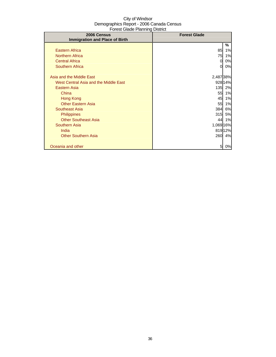| 01001 ORGO 1 RH 11 11 19 DIOGROU<br>2006 Census | <b>Forest Glade</b> |         |
|-------------------------------------------------|---------------------|---------|
| <b>Immigration and Place of Birth</b>           |                     |         |
|                                                 |                     | %       |
| <b>Eastern Africa</b>                           | 85                  | 1%      |
| <b>Northern Africa</b>                          | 75                  | 1%      |
| <b>Central Africa</b>                           | 0                   | 0%      |
| <b>Southern Africa</b>                          | 0                   | 0%      |
|                                                 |                     |         |
| Asia and the Middle East                        | 2,48738%            |         |
| West Central Asia and the Middle East           |                     | 928 14% |
| Eastern Asia                                    | 135                 | 2%      |
| China                                           | 55                  | 1%      |
| Hong Kong                                       | 45                  | 1%      |
| <b>Other Eastern Asia</b>                       | 55                  | 1%      |
| <b>Southeast Asia</b>                           | 384                 | 6%      |
| <b>Philippines</b>                              | 315                 | 5%      |
| <b>Other Southeast Asia</b>                     | 44                  | 1%      |
| <b>Southern Asia</b>                            | 1,069 16%           |         |
| India                                           |                     | 81912%  |
| <b>Other Southern Asia</b>                      | 260                 | 4%      |
|                                                 |                     |         |
| Oceania and other                               | 5                   | 0%      |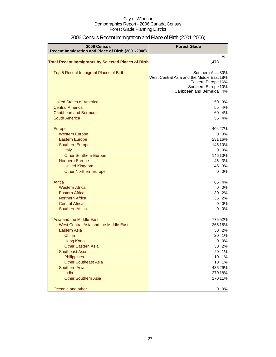| 2006 Census                                                | <b>Forest Glade</b>                       |                    |
|------------------------------------------------------------|-------------------------------------------|--------------------|
| Recent Immigration and Place of Birth (2001-2006)          |                                           |                    |
| <b>Total Recent Immigrants by Selected Places of Birth</b> | 1,478                                     | %                  |
|                                                            |                                           |                    |
| Top 5 Recent Immigrant Places of Birth                     | Southern Asia 30%                         |                    |
|                                                            | West Central Asia and the Middle East 18% |                    |
|                                                            | Eastern Europe <sup>16%</sup>             |                    |
|                                                            | Southern Europe <sup>10%</sup>            |                    |
|                                                            | Caribbean and Bermuda                     | 4%                 |
| <b>United States of America</b>                            | 50                                        | 3%                 |
| <b>Central America</b>                                     | 55                                        | 4%                 |
| Caribbean and Bermuda                                      | 60                                        | 4%                 |
| <b>South America</b>                                       | 55                                        | 4%                 |
|                                                            |                                           |                    |
| Europe                                                     |                                           | 40427%             |
| <b>Western Europe</b>                                      | $\overline{0}$                            | 0%                 |
| <b>Eastern Europe</b><br><b>Southern Europe</b>            |                                           | 231 16%<br>146 10% |
| Italy                                                      | 0l                                        | 0%                 |
| <b>Other Southern Europe</b>                               |                                           | 146 10%            |
| <b>Northern Europe</b>                                     | 45                                        | 3%                 |
| <b>United Kingdom</b>                                      | 45                                        | 3%                 |
| <b>Other Northern Europe</b>                               | $\overline{0}$                            | 0%                 |
|                                                            |                                           |                    |
| Africa                                                     | 65                                        | 4%                 |
| <b>Western Africa</b>                                      | $\overline{0}$                            | 0%                 |
| <b>Eastern Africa</b>                                      | 30                                        | 2%                 |
| <b>Northern Africa</b>                                     | 35                                        | 2%                 |
| <b>Central Africa</b>                                      | $\overline{0}$                            | 0%                 |
| <b>Southern Africa</b>                                     | $\overline{0}$                            | 0%                 |
| Asia and the Middle East                                   |                                           | 77552%             |
| West Central Asia and the Middle East                      |                                           | 265 18%            |
| Eastern Asia                                               | 30                                        | 2%                 |
| China                                                      | 20                                        | 1%                 |
| <b>Hong Kong</b>                                           | 0                                         | 0%                 |
| <b>Other Eastern Asia</b>                                  | 30                                        | 2%                 |
| <b>Southeast Asia</b>                                      | 20                                        | 1%                 |
| Philippines                                                | 10                                        | 1%                 |
| <b>Other Southeast Asia</b>                                | 10                                        | 1%                 |
| Southern Asia                                              |                                           | 435 29%            |
| India<br><b>Other Southern Asia</b>                        |                                           | 270 18%<br>17011%  |
|                                                            |                                           |                    |
| Oceania and other                                          | $\overline{0}$                            | 0%                 |

## 2006 Census Recent Immigration and Place of Birth (2001-2006)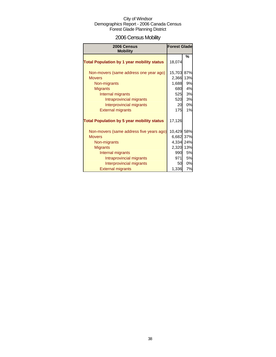## 2006 Census Mobility

| 2006 Census<br><b>Mobility</b>                                                                                                                                                                      | <b>Forest Glade</b>                                                   |                                         |
|-----------------------------------------------------------------------------------------------------------------------------------------------------------------------------------------------------|-----------------------------------------------------------------------|-----------------------------------------|
| <b>Total Population by 1 year mobility status</b>                                                                                                                                                   | 18,074                                                                | %                                       |
| Non-movers (same address one year ago)<br><b>Movers</b><br>Non-migrants<br><b>Migrants</b><br>Internal migrants<br>Intraprovincial migrants<br>Interprovincial migrants<br><b>External migrants</b> | 15,703 87%<br>2,366<br>1,688<br>680<br>525<br>520<br>20<br>175        | 13%<br>9%<br>4%<br>3%<br>3%<br>0%<br>1% |
| <b>Total Population by 5 year mobility status</b>                                                                                                                                                   | 17,126                                                                |                                         |
| Non-movers (same address five years ago)<br><b>Movers</b><br>Non-migrants<br><b>Migrants</b><br>Internal migrants<br>Intraprovincial migrants<br>Interprovincial migrants                           | 10,429 58%<br>6,682 37%<br>4,334 24%<br>2,320 13%<br>990<br>971<br>50 | 5%<br>5%<br>0%                          |
| <b>External migrants</b>                                                                                                                                                                            | 1,336                                                                 | 7%                                      |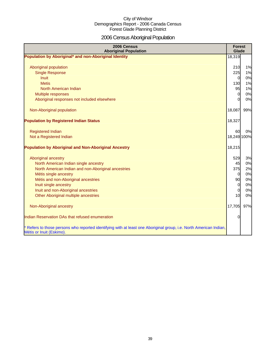# 2006 Census Aboriginal Population

| 2006 Census<br><b>Aboriginal Population</b>                                                                                                    | <b>Forest</b><br>Glade |     |
|------------------------------------------------------------------------------------------------------------------------------------------------|------------------------|-----|
| Population by Aboriginal* and non-Aboriginal Identity                                                                                          | 18,319                 |     |
|                                                                                                                                                |                        |     |
| Aboriginal population                                                                                                                          | 210                    | 1%  |
| <b>Single Response</b>                                                                                                                         | 225                    | 1%  |
| <b>Inuit</b>                                                                                                                                   | $\mathbf 0$            | 0%  |
| <b>Metis</b>                                                                                                                                   | 130                    | 1%  |
| North American Indian                                                                                                                          | 95                     | 1%  |
| Multiple responses                                                                                                                             | $\overline{0}$         | 0%  |
| Aboriginal responses not included elsewhere                                                                                                    | $\Omega$               | 0%  |
|                                                                                                                                                |                        |     |
| Non-Aboriginal population                                                                                                                      | 18,087                 | 99% |
| <b>Population by Registered Indian Status</b>                                                                                                  | 18,327                 |     |
|                                                                                                                                                |                        |     |
| <b>Registered Indian</b>                                                                                                                       | 60                     | 0%  |
| Not a Registered Indian                                                                                                                        | 18,249 100%            |     |
| <b>Population by Aboriginal and Non-Aboriginal Ancestry</b>                                                                                    | 18,215                 |     |
|                                                                                                                                                |                        |     |
| Aboriginal ancestry                                                                                                                            | 529                    | 3%  |
| North American Indian single ancestry                                                                                                          | 45                     | 0%  |
| North American Indian and non-Aboriginal ancestries                                                                                            | 375                    | 2%  |
| Métis single ancestry                                                                                                                          | $\overline{0}$         | 0%  |
| Métis and non-Aboriginal ancestries                                                                                                            | 90                     | 0%  |
| Inuit single ancestry                                                                                                                          | $\overline{0}$         | 0%  |
| Inuit and non-Aboriginal ancestries                                                                                                            | $\overline{0}$         | 0%  |
| Other Aboriginal multiple ancestries                                                                                                           | 10                     | 0%  |
| Non-Aboriginal ancestry                                                                                                                        | 17,705                 | 97% |
| Indian Reservation DAs that refused enumeration                                                                                                | 0                      |     |
| * Refers to those persons who reported identifying with at least one Aboriginal group, i.e. North American Indian,<br>Métis or Inuit (Eskimo). |                        |     |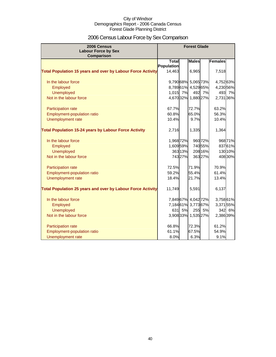## 2006 Census Labour Force by Sex Comparison

| 2006 Census                                                        |              | <b>Forest Glade</b> |                     |         |                |         |
|--------------------------------------------------------------------|--------------|---------------------|---------------------|---------|----------------|---------|
| <b>Labour Force by Sex</b>                                         |              |                     |                     |         |                |         |
| <b>Comparison</b>                                                  | <b>Total</b> |                     | <b>Males</b>        |         | <b>Females</b> |         |
|                                                                    | Population   |                     |                     |         |                |         |
| <b>Total Population 15 years and over by Labour Force Activity</b> | 14,463       |                     | 6,965               |         | 7,518          |         |
|                                                                    |              |                     |                     |         |                |         |
| In the labour force                                                |              |                     | 9,79068% 5,065 73%  |         | 4,75263%       |         |
| Employed                                                           |              |                     | 8,78961% 4,52965%   |         | 4,230 56%      |         |
| <b>Unemployed</b>                                                  | 1,015 7%     |                     |                     | 492 7%  | 493            | 7%      |
| Not in the labour force                                            |              |                     | 4,67032% 1,88027%   |         | 2,731 36%      |         |
| Participation rate                                                 | 67.7%        |                     | 72.7%               |         | 63.2%          |         |
| Employment-population ratio                                        | 60.8%        |                     | 65.0%               |         | 56.3%          |         |
| Unemployment rate                                                  | 10.4%        |                     | 9.7%                |         | 10.4%          |         |
| <b>Total Population 15-24 years by Labour Force Activity</b>       | 2,716        |                     | 1,335               |         | 1,364          |         |
|                                                                    |              |                     |                     |         |                |         |
| In the labour force                                                | 1,968 72%    |                     |                     | 960 72% |                | 968 71% |
| Employed                                                           | 1,60959%     |                     |                     | 740 55% |                | 83761%  |
| <b>Unemployed</b>                                                  |              | 363 13%             |                     | 208 16% |                | 130 10% |
| Not in the labour force                                            |              | 74327%              |                     | 36327%  |                | 408 30% |
| Participation rate                                                 | 72.5%        |                     | 71.9%               |         | 70.9%          |         |
| Employment-population ratio                                        | 59.2%        |                     | 55.4%               |         | 61.4%          |         |
| Unemployment rate                                                  | 18.4%        |                     | 21.7%               |         | 13.4%          |         |
| <b>Total Population 25 years and over by Labour Force Activity</b> | 11,749       |                     | 5,591               |         | 6,137          |         |
|                                                                    |              |                     |                     |         |                |         |
| In the labour force                                                |              |                     | 7,849 67% 4,042 72% |         | 3,758 61%      |         |
| Employed                                                           |              |                     | 7,18461% 3,77367%   |         | 3,37155%       |         |
| <b>Unemployed</b>                                                  | 631          | 5%                  |                     | 255 5%  |                | 342 6%  |
| Not in the labour force                                            |              |                     | 3,908 33% 1,535 27% |         | 2,386 39%      |         |
| Participation rate                                                 | 66.8%        |                     | 72.3%               |         | 61.2%          |         |
| <b>Employment-population ratio</b>                                 | 61.1%        |                     | 67.5%               |         | 54.9%          |         |
| Unemployment rate                                                  | 8.0%         |                     | 6.3%                |         | 9.1%           |         |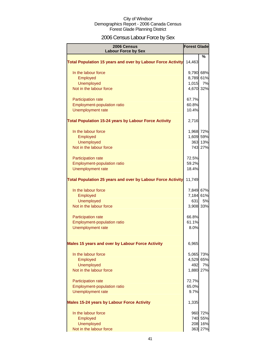## 2006 Census Labour Force by Sex

| 2006 Census<br><b>Labour Force by Sex</b>                          | <b>Forest Glade</b> |         |
|--------------------------------------------------------------------|---------------------|---------|
|                                                                    |                     | %       |
| <b>Total Population 15 years and over by Labour Force Activity</b> | 14,463              |         |
| In the labour force                                                | 9,790 68%           |         |
| Employed                                                           | 8,789 61%           |         |
| <b>Unemployed</b>                                                  | 1,015               | 7%      |
| Not in the labour force                                            | 4,670 32%           |         |
| Participation rate                                                 | 67.7%               |         |
| Employment-population ratio                                        | 60.8%               |         |
| Unemployment rate                                                  | 10.4%               |         |
| <b>Total Population 15-24 years by Labour Force Activity</b>       | 2,716               |         |
| In the labour force                                                | 1,968 72%           |         |
| Employed                                                           | 1,609 59%           |         |
| <b>Unemployed</b>                                                  |                     | 363 13% |
| Not in the labour force                                            |                     | 743 27% |
| <b>Participation rate</b>                                          | 72.5%               |         |
| <b>Employment-population ratio</b>                                 | 59.2%               |         |
| Unemployment rate                                                  | 18.4%               |         |
| <b>Total Population 25 years and over by Labour Force Activity</b> | 11,749              |         |
| In the labour force                                                | 7,849 67%           |         |
| Employed                                                           | 7,184 61%           |         |
| <b>Unemployed</b>                                                  | 631                 | 5%      |
| Not in the labour force                                            | 3,908 33%           |         |
| Participation rate                                                 | 66.8%               |         |
| Employment-population ratio                                        | 61.1%               |         |
| Unemployment rate                                                  | 8.0%                |         |
| Males 15 years and over by Labour Force Activity                   | 6,965               |         |
| In the labour force                                                | 5,065 73%           |         |
| Employed                                                           | 4,529 65%           |         |
| <b>Unemployed</b>                                                  | 492                 | 7%      |
| Not in the labour force                                            | 1,880 27%           |         |
| Participation rate                                                 | 72.7%               |         |
| <b>Employment-population ratio</b>                                 | 65.0%               |         |
| Unemployment rate                                                  | 9.7%                |         |
| <b>Males 15-24 years by Labour Force Activity</b>                  | 1,335               |         |
| In the labour force                                                |                     | 960 72% |
| Employed                                                           |                     | 740 55% |
| <b>Unemployed</b>                                                  |                     | 208 16% |
| Not in the labour force                                            |                     | 363 27% |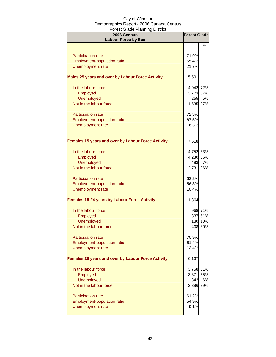| 2006 Census<br><b>Labour Force by Sex</b>                 | <b>Forest Glade</b> |         |
|-----------------------------------------------------------|---------------------|---------|
|                                                           |                     | $\%$    |
| <b>Participation rate</b>                                 | 71.9%               |         |
| <b>Employment-population ratio</b>                        | 55.4%               |         |
| <b>Unemployment rate</b>                                  | 21.7%               |         |
| Males 25 years and over by Labour Force Activity          | 5,591               |         |
| In the labour force                                       | 4,042 72%           |         |
| Employed                                                  | 3,773 67%           |         |
| <b>Unemployed</b>                                         | 255                 | 5%      |
| Not in the labour force                                   | 1,535 27%           |         |
| Participation rate                                        | 72.3%               |         |
| <b>Employment-population ratio</b>                        | 67.5%               |         |
| Unemployment rate                                         | 6.3%                |         |
|                                                           |                     |         |
| <b>Females 15 years and over by Labour Force Activity</b> | 7,518               |         |
| In the labour force                                       | 4,752 63%           |         |
| Employed                                                  | 4,230 56%           |         |
| <b>Unemployed</b>                                         | 493                 | 7%      |
| Not in the labour force                                   | 2,731 36%           |         |
|                                                           |                     |         |
| Participation rate                                        | 63.2%               |         |
| Employment-population ratio                               | 56.3%               |         |
| <b>Unemployment rate</b>                                  | 10.4%               |         |
| <b>Females 15-24 years by Labour Force Activity</b>       | 1,364               |         |
| In the labour force                                       |                     | 968 71% |
| Employed                                                  |                     | 837 61% |
| <b>Unemployed</b>                                         |                     | 130 10% |
| Not in the labour force                                   |                     | 408 30% |
| <b>Participation rate</b>                                 | 70.9%               |         |
| Employment-population ratio                               | 61.4%               |         |
| <b>Unemployment rate</b>                                  | 13.4%               |         |
| Females 25 years and over by Labour Force Activity        | 6,137               |         |
| In the labour force                                       | 3,758 61%           |         |
| Employed                                                  | 3,371               | 55%     |
| <b>Unemployed</b>                                         | 342                 | 6%      |
| Not in the labour force                                   | 2,386 39%           |         |
| Participation rate                                        | 61.2%               |         |
| <b>Employment-population ratio</b>                        | 54.9%               |         |
| Unemployment rate                                         | 9.1%                |         |
|                                                           |                     |         |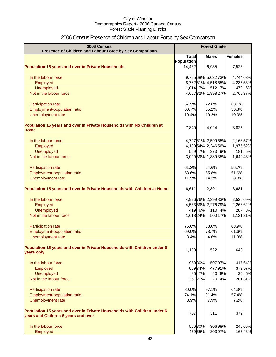## 2006 Census Presence of Children and Labour Force by Sex Comparison

| 2006 Census<br>Presence of Children and Labour Force by Sex Comparison                                          | <b>Forest Glade</b> |         |              |         |                |
|-----------------------------------------------------------------------------------------------------------------|---------------------|---------|--------------|---------|----------------|
|                                                                                                                 | <b>Total</b>        |         | <b>Males</b> |         | <b>Females</b> |
|                                                                                                                 | Population          |         |              |         |                |
| <b>Population 15 years and over in Private Households</b>                                                       | 14,462              |         | 6.935        |         | 7,523          |
| In the labour force                                                                                             | 9,76568% 5,03273%   |         |              |         | 4,744 63%      |
| Employed                                                                                                        | 8,78261% 4,51865%   |         |              |         | 4,235 56%      |
| <b>Unemployed</b>                                                                                               | 1,014 7%            |         |              | 512 7%  | 473 6%         |
| Not in the labour force                                                                                         | 4,65732% 1,89827%   |         |              |         | 2,766 37%      |
| Participation rate                                                                                              | 67.5%               |         | 72.6%        |         | 63.1%          |
| Employment-population ratio                                                                                     | 60.7%               |         | 65.2%        |         | 56.3%          |
| Unemployment rate                                                                                               | 10.4%               |         | 10.2%        |         | 10.0%          |
| Population 15 years and over in Private Households with No Children at<br><b>Home</b>                           | 7,840               |         | 4,024        |         | 3,825          |
| In the labour force                                                                                             | 4,79761% 2,59965%   |         |              |         | 2,16857%       |
| Employed                                                                                                        | 4,19954% 2,24656%   |         |              |         | 1,975 52%      |
| <b>Unemployed</b>                                                                                               |                     | 569 7%  | 373          | 9%      | 181 5%         |
| Not in the labour force                                                                                         | 3,02939% 1,38935%   |         |              |         | 1,640 43%      |
| Participation rate                                                                                              | 61.2%               |         | 64.6%        |         | 56.7%          |
| Employment-population ratio                                                                                     | 53.6%               |         | 55.8%        |         | 51.6%          |
| Unemployment rate                                                                                               | 11.9%               |         | 14.3%        |         | 8.3%           |
| Population 15 years and over in Private Households with Children at Home                                        | 6,611               |         | 2,891        |         | 3,681          |
| In the labour force                                                                                             | 4,996 76% 2,399 83% |         |              |         | 2,536 69%      |
| Employed                                                                                                        | 4,56369% 2,27679%   |         |              |         | 2,268 62%      |
| <b>Unemployed</b>                                                                                               |                     | 419 6%  | $110$        | 4%      | 287 8%         |
| Not in the labour force                                                                                         | 1,618 24%           |         |              | 500 17% | 1,131 31%      |
| Participation rate                                                                                              | 75.6%               |         | 83.0%        |         | 68.9%          |
| <b>Employment-population ratio</b>                                                                              | 69.0%               |         | 78.7%        |         | 61.6%          |
| Unemployment rate                                                                                               | 8.4%                |         | 4.6%         |         | 11.3%          |
| Population 15 years and over in Private Households with Children under 6<br>years only                          | 1,199               |         | 522          |         | 648            |
| In the labour force                                                                                             |                     | 95980%  |              | 50797%  | 41764%         |
| Employed                                                                                                        |                     | 889 74% |              | 47791%  | 37257%         |
| Unemployed                                                                                                      |                     | 85 7%   |              | 40 8%   | 30 5%          |
| Not in the labour force                                                                                         |                     | 25121%  |              | 20 4%   | 20131%         |
| Participation rate                                                                                              | 80.0%               |         | 97.1%        |         | 64.3%          |
| Employment-population ratio                                                                                     | 74.1%               |         | 91.4%        |         | 57.4%          |
| Unemployment rate                                                                                               | 8.9%                |         | 7.9%         |         | 7.2%           |
| Population 15 years and over in Private Households with Children under 6<br>years and Children 6 years and over | 707                 |         | 311          |         | 379            |
| In the labour force                                                                                             |                     | 56680%  |              | 30698%  | 245 65%        |
| Employed                                                                                                        |                     | 45965%  |              | 30397%  | 16543%         |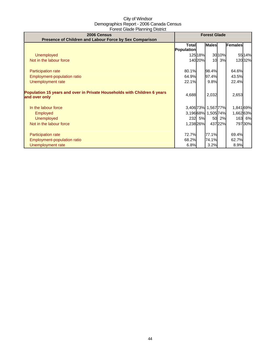| 2006 Census<br>Presence of Children and Labour Force by Sex Comparison                    | <b>Forest Glade</b>        |        |                     |        |           |         |
|-------------------------------------------------------------------------------------------|----------------------------|--------|---------------------|--------|-----------|---------|
|                                                                                           | <b>Total</b><br>Population |        | <b>Males</b>        |        | Females   |         |
| Unemployed                                                                                |                            | 12518% |                     | 30 10% |           | 55 14%  |
| Not in the labour force                                                                   |                            | 14020% | 10                  | 3%     |           | 120 32% |
|                                                                                           |                            |        |                     |        |           |         |
| Participation rate                                                                        | 80.1%                      |        | 98.4%               |        | 64.6%     |         |
| Employment-population ratio                                                               | 64.9%                      |        | 97.4%               |        | 43.5%     |         |
| Unemployment rate                                                                         | 22.1%                      |        | 9.8%                |        | 22.4%     |         |
| Population 15 years and over in Private Households with Children 6 years<br>and over only | 4,688                      |        | 2,032               |        | 2,653     |         |
| In the labour force                                                                       |                            |        | 3,406 73% 1,567 77% |        | 1,841 69% |         |
| <b>Employed</b>                                                                           |                            |        | 3,19668% 1,50574%   |        | 1,66263%  |         |
| <b>Unemployed</b>                                                                         |                            | 232 5% | 50                  | 2%     |           | 163 6%  |
| Not in the labour force                                                                   | 1,238 26%                  |        |                     | 43722% |           | 797 30% |
|                                                                                           |                            |        |                     |        |           |         |
| <b>Participation rate</b>                                                                 | 72.7%                      |        | 77.1%               |        | 69.4%     |         |
| Employment-population ratio                                                               | 68.2%                      |        | 74.1%               |        | 62.7%     |         |
| Unemployment rate                                                                         | 6.8%                       |        | 3.2%                |        | 8.9%      |         |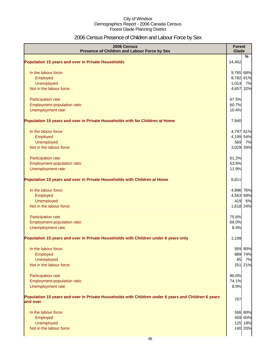## 2006 Census Presence of Children and Labour Force by Sex

| 2006 Census<br>Presence of Children and Labour Force by Sex                                                     | <b>Forest</b><br>Glade |         |
|-----------------------------------------------------------------------------------------------------------------|------------------------|---------|
| <b>Population 15 years and over in Private Households</b>                                                       | 14,462                 | %       |
|                                                                                                                 |                        |         |
| In the labour force                                                                                             | 9,765 68%              |         |
| Employed                                                                                                        | 8,782 61%              |         |
| Unemployed                                                                                                      | 1,014 7%               |         |
| Not in the labour force                                                                                         | 4,657 32%              |         |
| Participation rate                                                                                              | 67.5%                  |         |
| Employment-population ratio                                                                                     | 60.7%                  |         |
| Unemployment rate                                                                                               | 10.4%                  |         |
| Population 15 years and over in Private Households with No Children at Home                                     | 7,840                  |         |
| In the labour force                                                                                             | 4,797 61%              |         |
| Employed                                                                                                        | 4,199 54%              |         |
| Unemployed                                                                                                      | 569                    | 7%      |
| Not in the labour force                                                                                         | 3,029 39%              |         |
| Participation rate                                                                                              | 61.2%                  |         |
| Employment-population ratio                                                                                     | 53.6%                  |         |
| Unemployment rate                                                                                               | 11.9%                  |         |
| Population 15 years and over in Private Households with Children at Home                                        | 6,611                  |         |
| In the labour force                                                                                             | 4,996 76%              |         |
| Employed                                                                                                        | 4,563 69%              |         |
| Unemployed                                                                                                      | 419                    | 6%      |
| Not in the labour force                                                                                         | 1,618 24%              |         |
| Participation rate                                                                                              | 75.6%                  |         |
| Employment-population ratio                                                                                     | 69.0%                  |         |
| Unemployment rate                                                                                               | 8.4%                   |         |
| Population 15 years and over in Private Households with Children under 6 years only                             | 1,199                  |         |
| In the labour force                                                                                             |                        | 959 80% |
| Employed                                                                                                        |                        | 889 74% |
| Unemployed                                                                                                      | 85                     | 7%      |
| Not in the labour force                                                                                         |                        | 251 21% |
| Participation rate                                                                                              | 80.0%                  |         |
| Employment-population ratio                                                                                     | 74.1%                  |         |
| Unemployment rate                                                                                               | 8.9%                   |         |
| Population 15 years and over in Private Households with Children under 6 years and Children 6 years<br>and over | 707                    |         |
|                                                                                                                 |                        |         |
| In the labour force                                                                                             |                        | 566 80% |
| Employed                                                                                                        |                        | 459 65% |
| Unemployed                                                                                                      |                        | 125 18% |
| Not in the labour force                                                                                         |                        | 140 20% |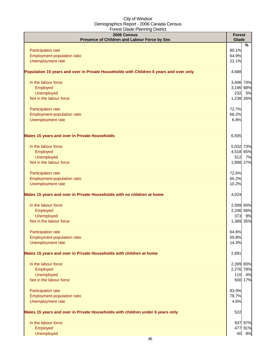| 2006 Census<br>Presence of Children and Labour Force by Sex                            | <b>Forest</b><br>Glade |         |
|----------------------------------------------------------------------------------------|------------------------|---------|
|                                                                                        |                        | %       |
| Participation rate                                                                     | 80.1%                  |         |
| Employment-population ratio                                                            | 64.9%                  |         |
| Unemployment rate                                                                      | 22.1%                  |         |
| Population 15 years and over in Private Households with Children 6 years and over only | 4,688                  |         |
| In the labour force                                                                    | 3,406 73%              |         |
| Employed                                                                               | 3,196 68%              |         |
| Unemployed                                                                             | 232                    | 5%      |
| Not in the labour force                                                                | 1,238 26%              |         |
| Participation rate                                                                     | 72.7%                  |         |
| Employment-population ratio                                                            | 68.2%                  |         |
| Unemployment rate                                                                      | 6.8%                   |         |
| <b>Males 15 years and over in Private Households</b>                                   | 6,935                  |         |
| In the labour force                                                                    | 5,032 73%              |         |
| Employed                                                                               | 4,518 65%              |         |
| Unemployed                                                                             | 512                    | 7%      |
| Not in the labour force                                                                | 1,898 27%              |         |
| Participation rate                                                                     | 72.6%                  |         |
| Employment-population ratio                                                            | 65.2%                  |         |
| Unemployment rate                                                                      | 10.2%                  |         |
| Males 15 years and over in Private Households with no children at home                 | 4,024                  |         |
| In the labour force                                                                    | 2,599 65%              |         |
| Employed                                                                               | 2,246 56%              |         |
| Unemployed                                                                             |                        | 373 9%  |
| Not in the labour force                                                                | 1,389 35%              |         |
| <b>Participation rate</b>                                                              | 64.6%                  |         |
| Employment-population ratio                                                            | 55.8%                  |         |
| Unemployment rate                                                                      | 14.3%                  |         |
| Males 15 years and over in Private Households with children at home                    | 2,891                  |         |
| In the labour force                                                                    | 2,399 83%              |         |
| Employed                                                                               | 2,276 79%              |         |
| Unemployed                                                                             | 110                    | 4%      |
| Not in the labour force                                                                |                        | 500 17% |
| Participation rate                                                                     | 83.0%                  |         |
| Employment-population ratio                                                            | 78.7%                  |         |
| Unemployment rate                                                                      | 4.6%                   |         |
| Males 15 years and over in Private Households with children under 6 years only         | 522                    |         |
| In the labour force                                                                    |                        | 507 97% |
| Employed                                                                               |                        | 477 91% |
| Unemployed                                                                             |                        | 40 8%   |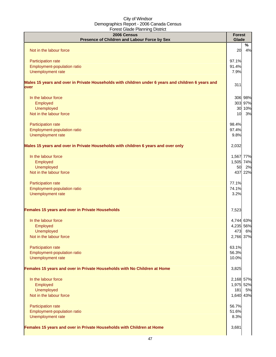| 2006 Census<br>Presence of Children and Labour Force by Sex                                                | <b>Forest</b><br>Glade |         |
|------------------------------------------------------------------------------------------------------------|------------------------|---------|
| Not in the labour force                                                                                    | 20                     | %<br>4% |
|                                                                                                            |                        |         |
| Participation rate                                                                                         | 97.1%                  |         |
| Employment-population ratio                                                                                | 91.4%                  |         |
| Unemployment rate                                                                                          | 7.9%                   |         |
| Males 15 years and over in Private Households with children under 6 years and children 6 years and<br>over | 311                    |         |
| In the labour force                                                                                        |                        | 306 98% |
| Employed                                                                                                   |                        | 303 97% |
| Unemployed                                                                                                 |                        | 30 10%  |
| Not in the labour force                                                                                    | 10                     | 3%      |
| Participation rate                                                                                         | 98.4%                  |         |
| Employment-population ratio                                                                                | 97.4%                  |         |
| Unemployment rate                                                                                          | 9.8%                   |         |
| Males 15 years and over in Private Households with children 6 years and over only                          | 2,032                  |         |
| In the labour force                                                                                        | 1,567 77%              |         |
| Employed                                                                                                   | 1,505 74%              |         |
| <b>Unemployed</b>                                                                                          | 50                     | 2%      |
| Not in the labour force                                                                                    |                        | 437 22% |
| Participation rate                                                                                         | 77.1%                  |         |
| Employment-population ratio                                                                                | 74.1%                  |         |
| Unemployment rate                                                                                          | 3.2%                   |         |
| Females 15 years and over in Private Households                                                            | 7,523                  |         |
| In the labour force                                                                                        | 4,744 63%              |         |
| Employed                                                                                                   | 4,235 56%              |         |
| Unemployed                                                                                                 |                        | 473 6%  |
| Not in the labour force                                                                                    | 2,766 37%              |         |
| Participation rate                                                                                         | 63.1%                  |         |
| Employment-population ratio                                                                                | 56.3%                  |         |
| Unemployment rate                                                                                          | 10.0%                  |         |
| Females 15 years and over in Private Households with No Children at Home                                   | 3,825                  |         |
| In the labour force                                                                                        | 2,168 57%              |         |
| Employed                                                                                                   | 1,975 52%              |         |
| Unemployed                                                                                                 | 181                    | 5%      |
| Not in the labour force                                                                                    | 1,640 43%              |         |
| Participation rate                                                                                         | 56.7%                  |         |
| Employment-population ratio                                                                                | 51.6%                  |         |
| Unemployment rate                                                                                          | 8.3%                   |         |
| Females 15 years and over in Private Households with Children at Home                                      | 3,681                  |         |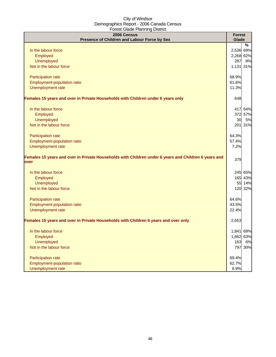| 2006 Census<br>Presence of Children and Labour Force by Sex                                                  | <b>Forest</b><br>Glade |         |
|--------------------------------------------------------------------------------------------------------------|------------------------|---------|
|                                                                                                              |                        | %       |
| In the labour force                                                                                          | 2,536 69%              |         |
| Employed                                                                                                     | 2,268 62%              |         |
| Unemployed                                                                                                   | 287                    | 8%      |
| Not in the labour force                                                                                      | 1,131 31%              |         |
| Participation rate                                                                                           | 68.9%                  |         |
| Employment-population ratio                                                                                  | 61.6%                  |         |
| Unemployment rate                                                                                            | 11.3%                  |         |
| Females 15 years and over in Private Households with Children under 6 years only                             | 648                    |         |
| In the labour force                                                                                          |                        | 417 64% |
| Employed                                                                                                     |                        | 372 57% |
| <b>Unemployed</b>                                                                                            | 30                     | 5%      |
| Not in the labour force                                                                                      |                        | 201 31% |
| Participation rate                                                                                           | 64.3%                  |         |
| Employment-population ratio                                                                                  | 57.4%                  |         |
| Unemployment rate                                                                                            | 7.2%                   |         |
| Females 15 years and over in Private Households with Children under 6 years and Children 6 years and<br>over | 379                    |         |
| In the labour force                                                                                          |                        | 245 65% |
| Employed                                                                                                     |                        | 165 43% |
| <b>Unemployed</b>                                                                                            |                        | 55 14%  |
| Not in the labour force                                                                                      |                        | 120 32% |
| Participation rate                                                                                           | 64.6%                  |         |
| Employment-population ratio                                                                                  | 43.5%                  |         |
| Unemployment rate                                                                                            | 22.4%                  |         |
| Females 15 years and over in Private Households with Children 6 years and over only                          | 2,653                  |         |
| In the labour force                                                                                          | 1,841 69%              |         |
| Employed                                                                                                     | 1,662 63%              |         |
| <b>Unemployed</b>                                                                                            | 163                    | 6%      |
| Not in the labour force                                                                                      |                        | 797 30% |
| Participation rate                                                                                           | 69.4%                  |         |
| Employment-population ratio                                                                                  | 62.7%                  |         |
| Unemployment rate                                                                                            | 8.9%                   |         |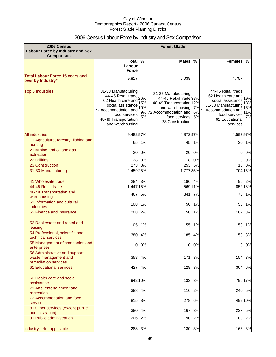## 2006 Census Labour Force by Industry and Sex Comparison

| 2006 Census<br><b>Labour Force by Industry and Sex</b><br><b>Comparison</b>    | <b>Forest Glade</b>                                                                                                                                                      |                               |                                                                                                                                                          |               |                                                                                                                                                                |                                |
|--------------------------------------------------------------------------------|--------------------------------------------------------------------------------------------------------------------------------------------------------------------------|-------------------------------|----------------------------------------------------------------------------------------------------------------------------------------------------------|---------------|----------------------------------------------------------------------------------------------------------------------------------------------------------------|--------------------------------|
|                                                                                | Total $\overline{\%}$<br>Labour                                                                                                                                          |                               | <b>Males</b>                                                                                                                                             | $\frac{0}{0}$ | <b>Females</b>                                                                                                                                                 | %                              |
|                                                                                | Force                                                                                                                                                                    |                               |                                                                                                                                                          |               |                                                                                                                                                                |                                |
| <b>Total Labour Force 15 years and</b><br>over by Industry*                    | 9,817                                                                                                                                                                    |                               | 5,038                                                                                                                                                    |               | 4,757                                                                                                                                                          |                                |
| <b>Top 5 Industries</b>                                                        | 31-33 Manufacturing<br>44-45 Retail trade<br>62 Health care and<br>social assistance<br>72 Accommodation and<br>food services<br>48-49 Transportation<br>and warehousing | 26%<br>15%<br>10%<br>9%<br>5% | 31-33 Manufacturing<br>44-45 Retail trade 38%<br>48-49 Transportation 12%<br>and warehousing<br>72 Accommodation and<br>food services<br>23 Construction | 5%            | 44-45 Retail trade<br>62 Health care and<br>social assistance<br>31-33 Manufacturing<br>7% 72 Accommodation and<br>food services<br>61 Educational<br>services | 19%<br>18%<br>16%<br>11%<br>7% |
| <b>All industries</b>                                                          | 9,48297%                                                                                                                                                                 |                               | 4,872 97%                                                                                                                                                |               | 4,59397%                                                                                                                                                       |                                |
| 11 Agriculture, forestry, fishing and<br>hunting                               | 65                                                                                                                                                                       | 1%                            | 45                                                                                                                                                       | 1%            |                                                                                                                                                                | 30 1%                          |
| 21 Mining and oil and gas<br>extraction                                        | 20                                                                                                                                                                       | 0%                            | 20                                                                                                                                                       | 0%            | 01                                                                                                                                                             | 0%                             |
| <b>22 Utilities</b>                                                            | 28                                                                                                                                                                       | 0%                            | 18                                                                                                                                                       | 0%            | 0                                                                                                                                                              | 0%                             |
| 23 Construction                                                                | 273                                                                                                                                                                      | 3%                            | 253                                                                                                                                                      | 5%            | 10                                                                                                                                                             | 0%                             |
| 31-33 Manufacturing                                                            | 2,459 25%                                                                                                                                                                |                               | 1,777 35%                                                                                                                                                |               |                                                                                                                                                                | 704 15%                        |
| 41 Wholesale trade                                                             | 284                                                                                                                                                                      | 3%                            |                                                                                                                                                          | 186 4%        |                                                                                                                                                                | 96 2%                          |
| 44-45 Retail trade<br>48-49 Transportation and                                 | 1,447 15%                                                                                                                                                                |                               |                                                                                                                                                          | 569 11%       |                                                                                                                                                                | 852 18%                        |
| warehousing                                                                    | 467                                                                                                                                                                      | 5%                            | 341                                                                                                                                                      | 7%            | 70                                                                                                                                                             | 1%                             |
| 51 Information and cultural<br><b>industries</b>                               | 108                                                                                                                                                                      | 1%                            | 50                                                                                                                                                       | 1%            | 55                                                                                                                                                             | 1%                             |
| 52 Finance and insurance                                                       | 208                                                                                                                                                                      | 2%                            | 50                                                                                                                                                       | 1%            | 162                                                                                                                                                            | 3%                             |
|                                                                                |                                                                                                                                                                          |                               |                                                                                                                                                          |               |                                                                                                                                                                |                                |
| 53 Real estate and rental and<br>leasing                                       | 105                                                                                                                                                                      | 1%                            | 55                                                                                                                                                       | 1%            | 50                                                                                                                                                             | 1%                             |
| 54 Professional, scientific and<br>technical services                          | 380                                                                                                                                                                      | 4%                            | 185                                                                                                                                                      | 4%            | 158                                                                                                                                                            | 3%                             |
| 55 Management of companies and<br>enterprises                                  | OI                                                                                                                                                                       | 0%                            |                                                                                                                                                          | 0 0%          | 0I                                                                                                                                                             | 0%                             |
| 56 Administrative and support,<br>waste management and<br>remediation services | 358                                                                                                                                                                      | 4%                            | $171$                                                                                                                                                    | 3%            | 154                                                                                                                                                            | 3%                             |
| <b>61 Educational services</b>                                                 | 427                                                                                                                                                                      | 4%                            | 128                                                                                                                                                      | 3%            | 304                                                                                                                                                            | 6%                             |
| 62 Health care and social<br>assistance                                        |                                                                                                                                                                          | 942 10%                       | 133                                                                                                                                                      | 3%            |                                                                                                                                                                | 79617%                         |
| 71 Arts, entertainment and<br>recreation                                       | 388                                                                                                                                                                      | 4%                            | 116                                                                                                                                                      | 2%            |                                                                                                                                                                | 240 5%                         |
| 72 Accommodation and food<br>services                                          | 815                                                                                                                                                                      | 8%                            | 278                                                                                                                                                      | 6%            |                                                                                                                                                                | 499 10%                        |
| 81 Other services (except public                                               | 380                                                                                                                                                                      | 4%                            | 167                                                                                                                                                      | 3%            | 237                                                                                                                                                            | 5%                             |
| administration)<br>91 Public administration                                    | 206                                                                                                                                                                      | 2%                            | 90                                                                                                                                                       | 2%            | 103                                                                                                                                                            | 2%                             |
| Industry - Not applicable                                                      |                                                                                                                                                                          | 288 3%                        |                                                                                                                                                          | 130 3%        |                                                                                                                                                                | 163 3%                         |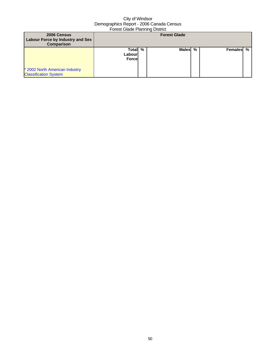| 2006 Census<br>Labour Force by Industry and Sex<br><b>Comparison</b> | <b>Forest Glade</b>               |   |              |   |           |  |
|----------------------------------------------------------------------|-----------------------------------|---|--------------|---|-----------|--|
|                                                                      | Total<br>Labourl<br><b>Forcel</b> | % | <b>Males</b> | % | Females % |  |
| * 2002 North American Industry<br><b>Classification System</b>       |                                   |   |              |   |           |  |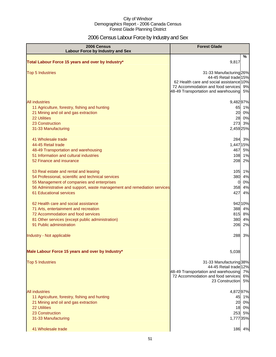## 2006 Census Labour Force by Industry and Sex

| 2006 Census<br><b>Labour Force by Industry and Sex</b>                                                                                                                                                                                           | <b>Forest Glade</b>                                                                                                                                                                     |
|--------------------------------------------------------------------------------------------------------------------------------------------------------------------------------------------------------------------------------------------------|-----------------------------------------------------------------------------------------------------------------------------------------------------------------------------------------|
| Total Labour Force 15 years and over by Industry*                                                                                                                                                                                                | %<br>9,817                                                                                                                                                                              |
| <b>Top 5 Industries</b>                                                                                                                                                                                                                          | 31-33 Manufacturing 26%<br>44-45 Retail trade 15%<br>62 Health care and social assistance 10%<br>72 Accommodation and food services<br>9%<br>48-49 Transportation and warehousing<br>5% |
| <b>All industries</b><br>11 Agriculture, forestry, fishing and hunting<br>21 Mining and oil and gas extraction<br><b>22 Utilities</b><br>23 Construction<br>31-33 Manufacturing                                                                  | 9,48297%<br>65 1%<br>20<br>0%<br>28 0%<br>273 3%<br>2,459 25%                                                                                                                           |
| 41 Wholesale trade<br>44-45 Retail trade<br>48-49 Transportation and warehousing<br>51 Information and cultural industries<br>52 Finance and insurance                                                                                           | 284 3%<br>1,447 15%<br>467<br>5%<br>108 1%<br>208<br>2%                                                                                                                                 |
| 53 Real estate and rental and leasing<br>54 Professional, scientific and technical services<br>55 Management of companies and enterprises<br>56 Administrative and support, waste management and remediation services<br>61 Educational services | 105<br>1%<br>380<br>4%<br>0%<br>0<br>4%<br>358<br>427<br>4%                                                                                                                             |
| 62 Health care and social assistance<br>71 Arts, entertainment and recreation<br>72 Accommodation and food services<br>81 Other services (except public administration)<br>91 Public administration                                              | 942 10%<br>388<br>4%<br>815<br>8%<br>380<br>4%<br>206<br>2%                                                                                                                             |
| Industry - Not applicable                                                                                                                                                                                                                        | 288<br>3%                                                                                                                                                                               |
| Male Labour Force 15 years and over by Industry*                                                                                                                                                                                                 | 5,038                                                                                                                                                                                   |
| <b>Top 5 Industries</b>                                                                                                                                                                                                                          | 31-33 Manufacturing 38%<br>44-45 Retail trade 12%<br>48-49 Transportation and warehousing 7%<br>72 Accommodation and food services<br>6%<br>23 Construction<br>5%                       |
| <b>All industries</b><br>11 Agriculture, forestry, fishing and hunting<br>21 Mining and oil and gas extraction<br><b>22 Utilities</b><br>23 Construction<br>31-33 Manufacturing<br>41 Wholesale trade                                            | 4,87297%<br>45<br>1%<br>20 0%<br>18 0%<br>253 5%<br>1,777 35%<br>186 4%                                                                                                                 |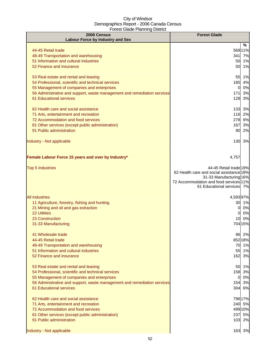| 2006 Census                                                                                                | <b>Forest Glade</b>                                                 |
|------------------------------------------------------------------------------------------------------------|---------------------------------------------------------------------|
| <b>Labour Force by Industry and Sex</b>                                                                    |                                                                     |
| 44-45 Retail trade                                                                                         | %<br>569 11%                                                        |
| 48-49 Transportation and warehousing                                                                       | 341<br>7%                                                           |
| 51 Information and cultural industries                                                                     | 50<br>1%                                                            |
| 52 Finance and insurance                                                                                   | 1%<br>50                                                            |
|                                                                                                            |                                                                     |
| 53 Real estate and rental and leasing                                                                      | 55<br>1%                                                            |
| 54 Professional, scientific and technical services                                                         | 185<br>4%                                                           |
| 55 Management of companies and enterprises                                                                 | 0%<br>0                                                             |
| 56 Administrative and support, waste management and remediation services<br><b>61 Educational services</b> | 171<br>3%<br>3%<br>128                                              |
|                                                                                                            |                                                                     |
| 62 Health care and social assistance                                                                       | 133 3%                                                              |
| 71 Arts, entertainment and recreation                                                                      | 116 2%                                                              |
| 72 Accommodation and food services                                                                         | 278 6%                                                              |
| 81 Other services (except public administration)                                                           | 167<br>3%                                                           |
| 91 Public administration                                                                                   | 90<br>2%                                                            |
|                                                                                                            |                                                                     |
| Industry - Not applicable                                                                                  | 130<br>3%                                                           |
|                                                                                                            |                                                                     |
| Female Labour Force 15 years and over by Industry*                                                         | 4,757                                                               |
|                                                                                                            |                                                                     |
| <b>Top 5 Industries</b>                                                                                    | 44-45 Retail trade 19%                                              |
|                                                                                                            | 62 Health care and social assistance 18%<br>31-33 Manufacturing 16% |
|                                                                                                            | 72 Accommodation and food services 11%                              |
|                                                                                                            | 61 Educational services 7%                                          |
|                                                                                                            |                                                                     |
| <b>All industries</b>                                                                                      | 4,59397%                                                            |
| 11 Agriculture, forestry, fishing and hunting<br>21 Mining and oil and gas extraction                      | 30<br>1%<br>0%<br>0                                                 |
| <b>22 Utilities</b>                                                                                        | 0%<br>0                                                             |
| 23 Construction                                                                                            | 0%<br>10                                                            |
| 31-33 Manufacturing                                                                                        | 704 15%                                                             |
|                                                                                                            |                                                                     |
| 41 Wholesale trade                                                                                         | 96 2%                                                               |
| 44-45 Retail trade                                                                                         | 852 18%                                                             |
| 48-49 Transportation and warehousing                                                                       | 70 1%                                                               |
| 51 Information and cultural industries<br>52 Finance and insurance                                         | 55 1%<br>162<br>3%                                                  |
|                                                                                                            |                                                                     |
| 53 Real estate and rental and leasing                                                                      | 50<br>1%                                                            |
| 54 Professional, scientific and technical services                                                         | 158 3%                                                              |
| 55 Management of companies and enterprises                                                                 | 0%<br>0                                                             |
| 56 Administrative and support, waste management and remediation services                                   | 3%<br>154                                                           |
| 61 Educational services                                                                                    | 304 6%                                                              |
| 62 Health care and social assistance                                                                       |                                                                     |
| 71 Arts, entertainment and recreation                                                                      | 79617%<br>240 5%                                                    |
| 72 Accommodation and food services                                                                         | 499 10%                                                             |
| 81 Other services (except public administration)                                                           | 237 5%                                                              |
| 91 Public administration                                                                                   | 103 2%                                                              |
|                                                                                                            |                                                                     |
| Industry - Not applicable                                                                                  | 163 3%                                                              |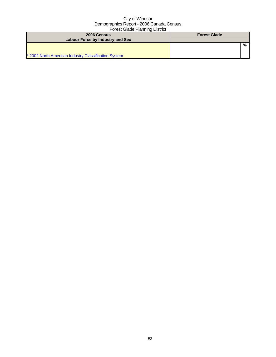| 2006 Census<br>Labour Force by Industry and Sex      | <b>Forest Glade</b> |
|------------------------------------------------------|---------------------|
| * 2002 North American Industry Classification System | %                   |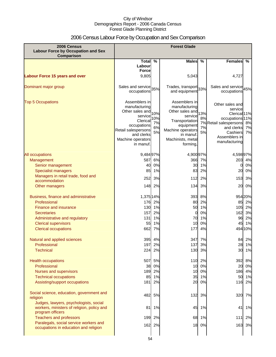## 2006 Census Labour Force by Occupation and Sex Comparison

| 2006 Census<br><b>Labour Force by Occupation and Sex</b><br><b>Comparison</b>                                                                                                                             | <b>Forest Glade</b>                                                                                                                                            |                                  |                                                                                                                                                                |                                        |                                                                                                                                                                              |                                                  |
|-----------------------------------------------------------------------------------------------------------------------------------------------------------------------------------------------------------|----------------------------------------------------------------------------------------------------------------------------------------------------------------|----------------------------------|----------------------------------------------------------------------------------------------------------------------------------------------------------------|----------------------------------------|------------------------------------------------------------------------------------------------------------------------------------------------------------------------------|--------------------------------------------------|
|                                                                                                                                                                                                           | Total $\overline{\%}$                                                                                                                                          |                                  | <b>Males</b>                                                                                                                                                   | $\%$                                   | <b>Females</b>                                                                                                                                                               | %                                                |
|                                                                                                                                                                                                           | Labour                                                                                                                                                         |                                  |                                                                                                                                                                |                                        |                                                                                                                                                                              |                                                  |
| <b>Labour Force 15 years and over</b>                                                                                                                                                                     | <b>Force</b><br>9,805                                                                                                                                          |                                  | 5,043                                                                                                                                                          |                                        | 4,727                                                                                                                                                                        |                                                  |
|                                                                                                                                                                                                           |                                                                                                                                                                |                                  |                                                                                                                                                                |                                        |                                                                                                                                                                              |                                                  |
| Dominant major group                                                                                                                                                                                      | Sales and service 35%<br>occupations                                                                                                                           |                                  | Trades, transport 33%<br>and equipment                                                                                                                         |                                        | Sales and service 45%<br>occupations                                                                                                                                         |                                                  |
| <b>Top 5 Occupations</b>                                                                                                                                                                                  | Assemblers in<br>manufacturing<br>Other sales and<br>service<br>Clerical<br>occupations<br>Retail salespersons<br>and clerks<br>Machine operators<br>in manuf. | 10%<br>10%<br>7%<br>6%<br>5%     | Assemblers in<br>manufacturing<br>Other sales and<br>service<br>Transportation<br>equipment<br>Machine operators<br>in manuf.<br>Machinists, metal<br>forming, | 13%<br>8%<br>7%<br>5%                  | Other sales and<br>service<br>Clerical <sup>11%</sup><br>occupations <sup>11%</sup><br>7% Retail salespersons 8%<br>and clerks<br>Cashiers<br>Assemblers in<br>manufacturing | 7%<br>7%                                         |
| All occupations                                                                                                                                                                                           | 9,484 97%                                                                                                                                                      |                                  | 4,900 97%                                                                                                                                                      |                                        | 4,598 97%                                                                                                                                                                    |                                                  |
| Management                                                                                                                                                                                                | 587                                                                                                                                                            | 6%                               | 366                                                                                                                                                            | 7%                                     |                                                                                                                                                                              | 203 4%                                           |
| Senior management                                                                                                                                                                                         | 40                                                                                                                                                             | 0%                               | 30                                                                                                                                                             | 1%                                     | 0                                                                                                                                                                            | 0%                                               |
| <b>Specialist managers</b>                                                                                                                                                                                | 85                                                                                                                                                             | 1%                               | 83                                                                                                                                                             | 2%                                     | 20                                                                                                                                                                           | 0%                                               |
| Managers in retail trade, food and<br>accommodation                                                                                                                                                       | 252                                                                                                                                                            | 3%                               | 112                                                                                                                                                            | 2%                                     | 153                                                                                                                                                                          | 3%                                               |
| Other managers                                                                                                                                                                                            | 148                                                                                                                                                            | 2%                               | 134                                                                                                                                                            | 3%                                     | 20                                                                                                                                                                           | 0%                                               |
| Business, finance and administrative<br>Professional<br><b>Finance and insurance</b><br><b>Secretaries</b><br>Administrative and regulatory<br><b>Clerical supervisors</b><br><b>Clerical occupations</b> | 1,375 14%<br>176<br>130<br>157<br>131<br>55<br>662                                                                                                             | 2%<br>1%<br>2%<br>1%<br>1%<br>7% | 393<br>80<br>50<br>0<br>70<br>10<br>177                                                                                                                        | 8%<br>2%<br>1%<br>0%<br>1%<br>0%<br>4% | 85<br>105<br>162<br>96<br>45                                                                                                                                                 | 954 20%<br>2%<br>2%<br>3%<br>2%<br>1%<br>494 10% |
| Natural and applied sciences                                                                                                                                                                              | 395                                                                                                                                                            | 4%                               | 347                                                                                                                                                            | 7%                                     |                                                                                                                                                                              | 84 2%                                            |
| Professional                                                                                                                                                                                              | 197                                                                                                                                                            | $2\%$                            | 1371                                                                                                                                                           | 3%                                     | 28                                                                                                                                                                           | 1%                                               |
| <b>Technical</b>                                                                                                                                                                                          | 224                                                                                                                                                            | 2%                               | 130                                                                                                                                                            | 3%                                     |                                                                                                                                                                              | 30 1%                                            |
| <b>Health occupations</b><br>Professional<br>Nurses and supervisors<br><b>Technical occupations</b><br>Assisting/support occupations                                                                      | 507<br>38<br>189<br>85<br>181                                                                                                                                  | 5%<br>0%<br>2%<br>1%<br>2%       | 110<br>10<br>10<br>35<br>20                                                                                                                                    | 2%<br>0%<br>0%<br>1%<br>0%             | 392<br>20<br>50<br>116                                                                                                                                                       | 8%<br>0%<br>186 4%<br>1%<br>2%                   |
| Social science, education, government and<br>religion<br>Judges, lawyers, psychologists, social                                                                                                           | 482                                                                                                                                                            | 5%                               | 132                                                                                                                                                            | 3%                                     | 320                                                                                                                                                                          | 7%                                               |
| workers, ministers of religion, policy and<br>program officers                                                                                                                                            | 81                                                                                                                                                             | 1%                               | 45                                                                                                                                                             | 1%                                     | 41                                                                                                                                                                           | 1%                                               |
| <b>Teachers and professors</b>                                                                                                                                                                            | 199                                                                                                                                                            | 2%                               | 68                                                                                                                                                             | 1%                                     | $111$                                                                                                                                                                        | 2%                                               |
| Paralegals, social service workers and<br>occupations in education and religion                                                                                                                           | 162                                                                                                                                                            | 2%                               |                                                                                                                                                                | 18 0%                                  |                                                                                                                                                                              | 163 3%                                           |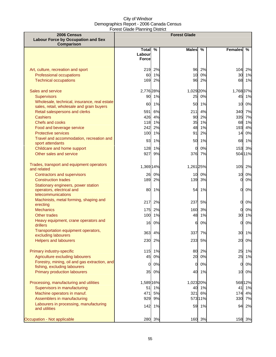| 2006 Census                                                                                                                          |                              |                          | <b>Forest Glade</b>   |                      |                         |                      |
|--------------------------------------------------------------------------------------------------------------------------------------|------------------------------|--------------------------|-----------------------|----------------------|-------------------------|----------------------|
| <b>Labour Force by Occupation and Sex</b><br><b>Comparison</b>                                                                       |                              |                          |                       |                      |                         |                      |
|                                                                                                                                      | Total %<br>Labourl<br>Forcel |                          | <b>Males</b>          | %                    | <b>Females</b>          | %                    |
| Art, culture, recreation and sport<br>Professional occupations<br><b>Technical occupations</b>                                       | 219<br>60<br>169             | 2%<br>1%<br>2%           | 96<br>10<br>96        | 2%<br>0%<br>2%       | 104<br>30<br>68         | 2%<br>1%<br>1%       |
| Sales and service<br><b>Supervisors</b><br>Wholesale, technical, insurance, real estate<br>sales, retail, wholesale and grain buyers | 2,776 28%<br>90<br>60        | 1%<br>1%                 | 1,029 20%<br>25<br>50 | 0%<br>1%             | 1,768 37%<br>45<br>10   | 1%<br>0%             |
| Retail salespersons and clerks<br><b>Cashiers</b><br><b>Chefs and cooks</b><br>Food and beverage service                             | 591<br>118<br>242            | 6%<br>426 4%<br>1%<br>2% | 211<br>90<br>35<br>48 | 4%<br>2%<br>1%<br>1% | 340<br>335<br>68<br>193 | 7%<br>7%<br>1%<br>4% |
| <b>Protective services</b><br>Travel and accommodation, recreation and<br>sport attendants                                           | 100<br>93                    | 1%<br>1%                 | 91<br>50              | 2%<br>1%             | 14<br>68                | 0%<br>1%             |
| Childcare and home support<br>Other sales and service                                                                                | 128<br>927                   | 1%<br>9%                 | $\Omega$<br>376       | 0%<br>7%             | 153<br>504 11%          | 3%                   |
| Trades, transport and equipment operators<br>and related                                                                             | 1,369 14%                    |                          | 1,261 25%             |                      | 105                     | 2%                   |
| <b>Contractors and supervisors</b><br><b>Construction trades</b>                                                                     | 26<br>189                    | 0%<br>2%                 | 10<br>139             | 0%<br>3%             | 10<br>$\Omega$          | 0%<br>0%             |
| Stationary engineers, power station<br>operators, electrical and<br>telecommunications                                               | 80                           | 1%                       | 54                    | 1%                   | $\mathbf{0}$            | 0%                   |
| Machinists, metal forming, shaping and<br>erecting                                                                                   | 217                          | 2%                       | 237                   | 5%                   | $\overline{0}$          | 0%                   |
| <b>Mechanics</b>                                                                                                                     | 175                          | 2%                       | 160                   | 3%                   | <sub>0</sub>            | 0%                   |
| <b>Other trades</b><br>Heavy equipment, crane operators and<br>drillers                                                              | 100                          | 1%<br>16 0%              | 48<br>6               | 1%<br>0%             | 30<br>$\Omega$          | 1%<br>0%             |
| Transportation equipment operators,<br>excluding labourers                                                                           |                              | 363 4%                   |                       | 337 7%               |                         | 30 1%                |
| <b>Helpers and labourers</b>                                                                                                         | 230                          | 2%                       | 233                   | 5%                   | 20                      | 0%                   |
| Primary industry-specific<br>Agriculture excluding labourers                                                                         | 115<br>45                    | 1%<br>0%                 | 80<br>20              | 2%<br>0%             | 25<br>25                | 1%<br>1%             |
| Forestry, mining, oil and gas extraction, and<br>fishing, excluding labourers<br>Primary production labourers                        | 0l<br>35                     | 0%<br>0%                 | 0                     | 0%<br>40 1%          | $\overline{0}$<br>10    | 0%<br>0%             |
| Processing, manufacturing and utilities                                                                                              | 1,589 16%                    |                          | 1,023 20%             |                      | 568 12%                 |                      |
| Supervisors in manufacturing                                                                                                         | 51                           | 1%                       |                       | 40 1%                | 41                      | 1%                   |
| Machine operators in manuf.<br>Assemblers in manufacturing                                                                           | 471<br>929                   | 5%<br>9%                 | 321                   | 6%<br>573 11%        | 174<br>330              | 4%<br>7%             |
| Labourers in processing, manufacturing<br>and utilities                                                                              | 142                          | 1%                       | 59                    | 1%                   | 94                      | 2%                   |
| Occupation - Not applicable                                                                                                          |                              | 280 3%                   |                       | 160 3%               | 158 3%                  |                      |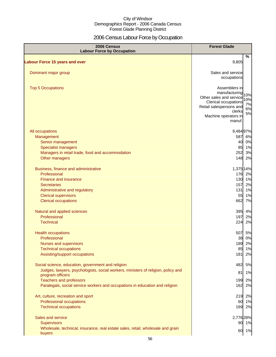## 2006 Census Labour Force by Occupation

| 2006 Census<br><b>Labour Force by Occupation</b>                                                      | <b>Forest Glade</b>                                    |
|-------------------------------------------------------------------------------------------------------|--------------------------------------------------------|
| <b>Labour Force 15 years and over</b>                                                                 | %<br>9,805                                             |
|                                                                                                       |                                                        |
| Dominant major group                                                                                  | Sales and service                                      |
|                                                                                                       | occupations                                            |
| <b>Top 5 Occupations</b>                                                                              | Assemblers in                                          |
|                                                                                                       | manufacturing<br>10%                                   |
|                                                                                                       | Other sales and service<br>10%<br>Clerical occupations |
|                                                                                                       | 7%<br>Retail salespersons and                          |
|                                                                                                       | 6%<br>clerks<br>5%                                     |
|                                                                                                       | Machine operators in<br>manuf.                         |
|                                                                                                       |                                                        |
| All occupations                                                                                       | 9,48497%                                               |
| Management                                                                                            | 587 6%                                                 |
| Senior management<br><b>Specialist managers</b>                                                       | 40 0%<br>85 1%                                         |
| Managers in retail trade, food and accommodation                                                      | 3%<br>252                                              |
| Other managers                                                                                        | 148 2%                                                 |
|                                                                                                       |                                                        |
| Business, finance and administrative                                                                  | 1,375 14%                                              |
| Professional                                                                                          | 176 2%                                                 |
| <b>Finance and insurance</b>                                                                          | 130 1%                                                 |
| <b>Secretaries</b><br>Administrative and regulatory                                                   | 2%<br>157<br>$131$<br>1%                               |
| <b>Clerical supervisors</b>                                                                           | 1%<br>55                                               |
| <b>Clerical occupations</b>                                                                           | 662<br>7%                                              |
|                                                                                                       |                                                        |
| Natural and applied sciences                                                                          | 395<br>4%                                              |
| Professional                                                                                          | 2%<br>197                                              |
| <b>Technical</b>                                                                                      | 2%<br>224                                              |
| <b>Health occupations</b>                                                                             | 507<br>5%                                              |
| Professional                                                                                          | 0%<br>38                                               |
| Nurses and supervisors                                                                                | 189<br>2%                                              |
| <b>Technical occupations</b><br>Assisting/support occupations                                         | 85<br>1%<br>181<br>2%                                  |
|                                                                                                       |                                                        |
| Social science, education, government and religion                                                    | 5%<br>482                                              |
| Judges, lawyers, psychologists, social workers, ministers of religion, policy and<br>program officers | 1%<br>81                                               |
| <b>Teachers and professors</b>                                                                        | 199<br>2%                                              |
| Paralegals, social service workers and occupations in education and religion                          | 162<br>2%                                              |
|                                                                                                       |                                                        |
| Art, culture, recreation and sport<br>Professional occupations                                        | 219 2%<br>60 1%                                        |
| <b>Technical occupations</b>                                                                          | 169 2%                                                 |
|                                                                                                       |                                                        |
| Sales and service                                                                                     | 2,776 28%                                              |
| Supervisors                                                                                           | 90 1%                                                  |
| Wholesale, technical, insurance, real estate sales, retail, wholesale and grain<br>buyers             | 1%<br>60                                               |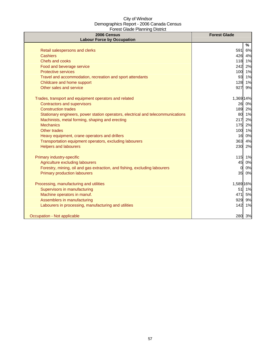| 2006 Census<br><b>Labour Force by Occupation</b>                                 | <b>Forest Glade</b> |
|----------------------------------------------------------------------------------|---------------------|
|                                                                                  | %                   |
| Retail salespersons and clerks                                                   | 591<br>6%           |
| <b>Cashiers</b>                                                                  | 426 4%              |
| Chefs and cooks                                                                  | 118 1%              |
| Food and beverage service                                                        | 242<br>2%           |
| <b>Protective services</b>                                                       | 100 1%              |
| Travel and accommodation, recreation and sport attendants                        | 93<br>1%            |
| Childcare and home support                                                       | 128<br>1%           |
| Other sales and service                                                          | 927<br>9%           |
| Trades, transport and equipment operators and related                            | 1,369 14%           |
| <b>Contractors and supervisors</b>                                               | 26 0%               |
| <b>Construction trades</b>                                                       | 189 2%              |
| Stationary engineers, power station operators, electrical and telecommunications | 80 1%               |
| Machinists, metal forming, shaping and erecting                                  | 2%<br>217           |
| <b>Mechanics</b>                                                                 | 175 2%              |
| Other trades                                                                     | 100 1%              |
| Heavy equipment, crane operators and drillers                                    | 16 0%               |
| Transportation equipment operators, excluding labourers                          | 363 4%              |
| <b>Helpers and labourers</b>                                                     | 230 2%              |
| Primary industry-specific                                                        | 115 1%              |
| Agriculture excluding labourers                                                  | 45<br>0%            |
| Forestry, mining, oil and gas extraction, and fishing, excluding labourers       | 0%<br>$\Omega$      |
| <b>Primary production labourers</b>                                              | 35<br>0%            |
| Processing, manufacturing and utilities                                          | 1,589 16%           |
| Supervisors in manufacturing                                                     | 51<br>1%            |
| Machine operators in manuf.                                                      | 471<br>5%           |
| Assemblers in manufacturing                                                      | 929<br>9%           |
| Labourers in processing, manufacturing and utilities                             | 142<br>1%           |
| Occupation - Not applicable                                                      | 280 3%              |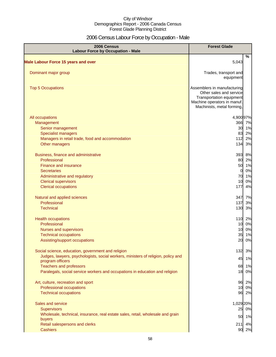## 2006 Census Labour Force by Occupation - Male

| 2006 Census<br><b>Labour Force by Occupation - Male</b>                           | <b>Forest Glade</b>                                                                                                                             |        |
|-----------------------------------------------------------------------------------|-------------------------------------------------------------------------------------------------------------------------------------------------|--------|
|                                                                                   |                                                                                                                                                 | %      |
| <b>Male Labour Force 15 years and over</b>                                        | 5,043                                                                                                                                           |        |
| Dominant major group                                                              | Trades, transport and<br>equipment                                                                                                              |        |
| <b>Top 5 Occupations</b>                                                          | Assemblers in manufacturing<br>Other sales and service<br>Transportation equipment<br>Machine operators in manuf.<br>Machinists, metal forming, |        |
| All occupations                                                                   | 4,900 97%                                                                                                                                       |        |
| Management                                                                        |                                                                                                                                                 | 366 7% |
| Senior management                                                                 | 30 <sub>1</sub>                                                                                                                                 | 1%     |
| <b>Specialist managers</b>                                                        | 83                                                                                                                                              | 2%     |
| Managers in retail trade, food and accommodation                                  | 112                                                                                                                                             | 2%     |
| Other managers                                                                    | 134                                                                                                                                             | 3%     |
| Business, finance and administrative                                              | 393                                                                                                                                             | 8%     |
| Professional                                                                      | 80                                                                                                                                              | 2%     |
| <b>Finance and insurance</b>                                                      | 50                                                                                                                                              | 1%     |
| <b>Secretaries</b>                                                                | $\overline{0}$                                                                                                                                  | 0%     |
| Administrative and regulatory                                                     | 70                                                                                                                                              | 1%     |
| <b>Clerical supervisors</b>                                                       | 10                                                                                                                                              | 0%     |
| <b>Clerical occupations</b>                                                       | 177                                                                                                                                             | 4%     |
| Natural and applied sciences                                                      | 347                                                                                                                                             | 7%     |
| Professional                                                                      | 137                                                                                                                                             | 3%     |
| <b>Technical</b>                                                                  | 130                                                                                                                                             | 3%     |
| <b>Health occupations</b>                                                         |                                                                                                                                                 | 110 2% |
| Professional                                                                      | 10                                                                                                                                              | 0%     |
| Nurses and supervisors                                                            | 10                                                                                                                                              | 0%     |
| <b>Technical occupations</b>                                                      | 35                                                                                                                                              | 1%     |
| Assisting/support occupations                                                     | 20                                                                                                                                              | 0%     |
| Social science, education, government and religion                                | 132                                                                                                                                             | 3%     |
| Judges, lawyers, psychologists, social workers, ministers of religion, policy and | 45                                                                                                                                              | 1%     |
| program officers<br><b>Teachers and professors</b>                                |                                                                                                                                                 | 68 1%  |
| Paralegals, social service workers and occupations in education and religion      | 18                                                                                                                                              | 0%     |
| Art, culture, recreation and sport                                                | 96                                                                                                                                              | 2%     |
| Professional occupations                                                          | 10                                                                                                                                              | 0%     |
| <b>Technical occupations</b>                                                      | 96                                                                                                                                              | 2%     |
| Sales and service                                                                 | 1,029 20%                                                                                                                                       |        |
| <b>Supervisors</b>                                                                |                                                                                                                                                 | 25 0%  |
| Wholesale, technical, insurance, real estate sales, retail, wholesale and grain   |                                                                                                                                                 | 50 1%  |
| buyers                                                                            |                                                                                                                                                 |        |
| Retail salespersons and clerks                                                    | 211                                                                                                                                             | 4%     |
| <b>Cashiers</b>                                                                   |                                                                                                                                                 | 90 2%  |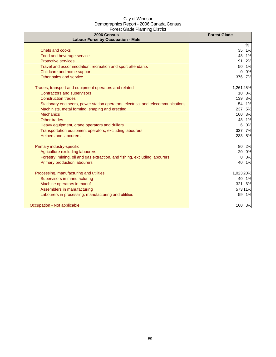| 2006 Census<br><b>Labour Force by Occupation - Male</b>                          | <b>Forest Glade</b>  |
|----------------------------------------------------------------------------------|----------------------|
|                                                                                  | $\%$                 |
| <b>Chefs and cooks</b>                                                           | 35<br>1%             |
| Food and beverage service                                                        | 48<br>1%             |
| <b>Protective services</b>                                                       | 2%<br>91             |
| Travel and accommodation, recreation and sport attendants                        | 1%<br>50             |
| Childcare and home support                                                       | 0%<br><sup>0</sup>   |
| Other sales and service                                                          | 376<br>7%            |
| Trades, transport and equipment operators and related                            | 1,261 25%            |
| <b>Contractors and supervisors</b>                                               | 0%<br>10             |
| <b>Construction trades</b>                                                       | 139<br>3%            |
| Stationary engineers, power station operators, electrical and telecommunications | 1%<br>54             |
| Machinists, metal forming, shaping and erecting                                  | 5%<br>237            |
| <b>Mechanics</b>                                                                 | 3%<br>160            |
| Other trades                                                                     | 48<br>1%             |
| Heavy equipment, crane operators and drillers                                    | 0%<br>6              |
| Transportation equipment operators, excluding labourers                          | 337<br>7%            |
| <b>Helpers and labourers</b>                                                     | 233<br>5%            |
| Primary industry-specific                                                        | 80<br>2%             |
| Agriculture excluding labourers                                                  | 20<br>0%             |
| Forestry, mining, oil and gas extraction, and fishing, excluding labourers       | 0%<br>$\overline{0}$ |
| <b>Primary production labourers</b>                                              | 40<br>1%             |
| Processing, manufacturing and utilities                                          | 1,023 20%            |
| Supervisors in manufacturing                                                     | 40<br>1%             |
| Machine operators in manuf.                                                      | 321<br>6%            |
| Assemblers in manufacturing                                                      | 573 11%              |
| Labourers in processing, manufacturing and utilities                             | 59<br>1%             |
| Occupation - Not applicable                                                      | 160 3%               |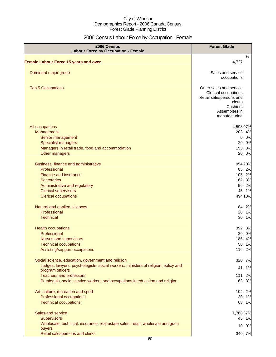## 2006 Census Labour Force by Occupation - Female

| 2006 Census<br><b>Labour Force by Occupation - Female</b>                         | <b>Forest Glade</b>                                                                                                                |      |
|-----------------------------------------------------------------------------------|------------------------------------------------------------------------------------------------------------------------------------|------|
| <b>Female Labour Force 15 years and over</b>                                      | 4,727                                                                                                                              | $\%$ |
|                                                                                   |                                                                                                                                    |      |
| Dominant major group                                                              | Sales and service<br>occupations                                                                                                   |      |
| <b>Top 5 Occupations</b>                                                          | Other sales and service<br>Clerical occupations<br>Retail salespersons and<br>clerks<br>Cashiers<br>Assemblers in<br>manufacturing |      |
| All occupations                                                                   | 4,598 97%                                                                                                                          |      |
| Management                                                                        | 203                                                                                                                                | 4%   |
| Senior management                                                                 | $\overline{0}$                                                                                                                     | 0%   |
| <b>Specialist managers</b>                                                        | 20                                                                                                                                 | 0%   |
| Managers in retail trade, food and accommodation                                  | 153                                                                                                                                | 3%   |
| Other managers                                                                    | 20                                                                                                                                 | 0%   |
| Business, finance and administrative                                              | 954 20%                                                                                                                            |      |
| Professional                                                                      | 85 2%                                                                                                                              |      |
| <b>Finance and insurance</b>                                                      | 105 2%                                                                                                                             |      |
| <b>Secretaries</b>                                                                | 162 3%                                                                                                                             |      |
| Administrative and regulatory                                                     | 96 2%                                                                                                                              |      |
| <b>Clerical supervisors</b>                                                       | 45 1%                                                                                                                              |      |
| <b>Clerical occupations</b>                                                       | 494 10%                                                                                                                            |      |
| Natural and applied sciences                                                      | 84                                                                                                                                 | 2%   |
| Professional                                                                      | 28 1%                                                                                                                              |      |
| <b>Technical</b>                                                                  | 30 <sup>1</sup>                                                                                                                    | 1%   |
| <b>Health occupations</b>                                                         | 392 8%                                                                                                                             |      |
| Professional                                                                      | 20 0%                                                                                                                              |      |
| Nurses and supervisors                                                            | 186 4%                                                                                                                             |      |
| <b>Technical occupations</b>                                                      | 50 1%                                                                                                                              |      |
| Assisting/support occupations                                                     | 116                                                                                                                                | 2%   |
| Social science, education, government and religion                                | 320                                                                                                                                | 7%   |
| Judges, lawyers, psychologists, social workers, ministers of religion, policy and | 41                                                                                                                                 | 1%   |
| program officers                                                                  |                                                                                                                                    |      |
| <b>Teachers and professors</b>                                                    | $111$                                                                                                                              | 2%   |
| Paralegals, social service workers and occupations in education and religion      | 163                                                                                                                                | 3%   |
| Art, culture, recreation and sport                                                | 104 2%                                                                                                                             |      |
| Professional occupations                                                          | 30 1%                                                                                                                              |      |
| <b>Technical occupations</b>                                                      | 68 1%                                                                                                                              |      |
| Sales and service                                                                 | 1,76837%                                                                                                                           |      |
| <b>Supervisors</b>                                                                | 45 1%                                                                                                                              |      |
| Wholesale, technical, insurance, real estate sales, retail, wholesale and grain   |                                                                                                                                    |      |
| buyers                                                                            | 10 0%                                                                                                                              |      |
| Retail salespersons and clerks                                                    | 340 7%                                                                                                                             |      |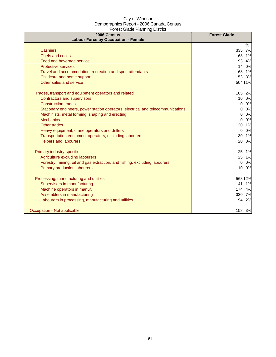| 2006 Census<br><b>Labour Force by Occupation - Female</b>                        | <b>Forest Glade</b>   |
|----------------------------------------------------------------------------------|-----------------------|
|                                                                                  | %                     |
| <b>Cashiers</b>                                                                  | 335<br>7%             |
| Chefs and cooks                                                                  | 1%<br>68              |
| Food and beverage service                                                        | 4%<br>193             |
| <b>Protective services</b>                                                       | 0%<br>14              |
| Travel and accommodation, recreation and sport attendants                        | 68<br>1%              |
| Childcare and home support                                                       | 153<br>3%             |
| Other sales and service                                                          | 504 11%               |
| Trades, transport and equipment operators and related                            | 105<br>2%             |
| <b>Contractors and supervisors</b>                                               | 10 <sup>1</sup><br>0% |
| <b>Construction trades</b>                                                       | 0%<br>0l              |
| Stationary engineers, power station operators, electrical and telecommunications | 0%<br>0               |
| Machinists, metal forming, shaping and erecting                                  | 0%<br><sub>0</sub>    |
| <b>Mechanics</b>                                                                 | 0%<br><sub>0</sub>    |
| Other trades                                                                     | 30<br>1%              |
| Heavy equipment, crane operators and drillers                                    | 0%<br>0               |
| Transportation equipment operators, excluding labourers                          | 30<br>1%              |
| <b>Helpers and labourers</b>                                                     | 20<br>0%              |
| Primary industry-specific                                                        | 25<br>1%              |
| Agriculture excluding labourers                                                  | 25<br>1%              |
| Forestry, mining, oil and gas extraction, and fishing, excluding labourers       | 0%<br>$\Omega$        |
| <b>Primary production labourers</b>                                              | 0%<br>10              |
| Processing, manufacturing and utilities                                          | 568 12%               |
| Supervisors in manufacturing                                                     | 41<br>1%              |
| Machine operators in manuf.                                                      | 174<br>4%             |
| Assemblers in manufacturing                                                      | 330<br>7%             |
| Labourers in processing, manufacturing and utilities                             | 2%<br>94              |
| Occupation - Not applicable                                                      | 158<br>3%             |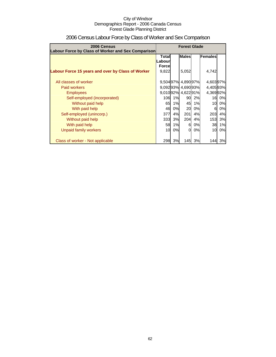| 2006 Census                                        | <b>Forest Glade</b> |    |                     |    |           |    |
|----------------------------------------------------|---------------------|----|---------------------|----|-----------|----|
| Labour Force by Class of Worker and Sex Comparison |                     |    |                     |    |           |    |
|                                                    | <b>Total</b>        |    | <b>Males</b>        |    | Females   |    |
|                                                    | Labour              |    |                     |    |           |    |
|                                                    | <b>Force</b>        |    |                     |    |           |    |
| Labour Force 15 years and over by Class of Worker  | 9,822               |    | 5,052               |    | 4,742     |    |
|                                                    |                     |    |                     |    |           |    |
| All classes of worker                              |                     |    | 9,504 97% 4,890 97% |    | 4,603 97% |    |
| Paid workers                                       |                     |    | 9,09293% 4,69093%   |    | 4,405 93% |    |
| <b>Employees</b>                                   |                     |    | 9,01092% 4,62291%   |    | 4,36992%  |    |
| Self-employed (incorporated)                       | 106                 | 1% | 90                  | 2% | 16        | 0% |
| Without paid help                                  | 65                  | 1% | 45                  | 1% | 10        | 0% |
| With paid help                                     | 46                  | 0% | 20                  | 0% | 6         | 0% |
| Self-employed (unincorp.)                          | 377                 | 4% | 201                 | 4% | 203       | 4% |
| Without paid help                                  | 333                 | 3% | <b>204</b>          | 4% | 153       | 3% |
| With paid help                                     | 58                  | 1% | 61                  | 0% | 38        | 1% |
| Unpaid family workers                              | 10                  | 0% | 01                  | 0% | 10        | 0% |
|                                                    |                     |    |                     |    |           |    |
| Class of worker - Not applicable                   | 298                 | 3% | 145                 | 3% | 144       | 3% |

## 2006 Census Labour Force by Class of Worker and Sex Comparison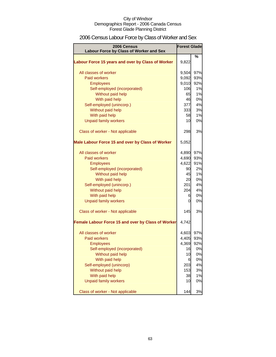## 2006 Census Labour Force by Class of Worker and Sex

| 2006 Census<br>Labour Force by Class of Worker and Sex | <b>Forest Glade</b> |     |
|--------------------------------------------------------|---------------------|-----|
|                                                        |                     | %   |
| Labour Force 15 years and over by Class of Worker      | 9,822               |     |
| All classes of worker                                  | 9,504               | 97% |
| <b>Paid workers</b>                                    | 9,092               | 93% |
| <b>Employees</b>                                       | 9,010               | 92% |
| Self-employed (incorporated)                           | 106                 | 1%  |
| Without paid help                                      | 65                  | 1%  |
| With paid help                                         | 46                  | 0%  |
| Self-employed (unincorp.)                              | 377                 | 4%  |
| Without paid help                                      | 333                 | 3%  |
| With paid help                                         | 58                  | 1%  |
| <b>Unpaid family workers</b>                           | 10                  | 0%  |
| Class of worker - Not applicable                       | 298                 | 3%  |
| Male Labour Force 15 and over by Class of Worker       | 5,052               |     |
| All classes of worker                                  | 4,890               | 97% |
| Paid workers                                           | 4,690               | 93% |
| <b>Employees</b>                                       | 4,622               | 91% |
| Self-employed (incorporated)                           | 90                  | 2%  |
| Without paid help                                      | 45                  | 1%  |
| With paid help                                         | 20                  | 0%  |
| Self-employed (unincorp.)                              | 201                 | 4%  |
| Without paid help                                      | 204                 | 4%  |
| With paid help                                         | 6                   | 0%  |
| <b>Unpaid family workers</b>                           | 0                   | 0%  |
| Class of worker - Not applicable                       | 145                 | 3%  |
| Female Labour Force 15 and over by Class of Worker     | 4,742               |     |
| All classes of worker                                  | 4,603               | 97% |
| <b>Paid workers</b>                                    | 4,405               | 93% |
| <b>Employees</b>                                       | 4,369               | 92% |
| Self-employed (incorporated)                           | 16                  | 0%  |
| Without paid help                                      | 10                  | 0%  |
| With paid help                                         | 6                   | 0%  |
| Self-employed (unincorp)                               | 203                 | 4%  |
| Without paid help                                      | 153                 | 3%  |
| With paid help                                         | 38                  | 1%  |
| <b>Unpaid family workers</b>                           | 10                  | 0%  |
| Class of worker - Not applicable                       | 144                 | 3%  |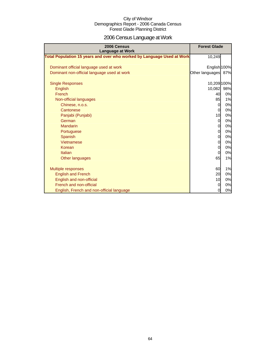# 2006 Census Language at Work

| 2006 Census<br><b>Language at Work</b>                                 | <b>Forest Glade</b> |     |
|------------------------------------------------------------------------|---------------------|-----|
| Total Population 15 years and over who worked by Language Used at Work | 10,249              |     |
| Dominant official language used at work                                | English 100%        |     |
| Dominant non-official language used at work                            | Other languages     | 87% |
| <b>Single Responses</b>                                                | 10,209 100%         |     |
| English                                                                | 10,082              | 98% |
| French                                                                 | 40                  | 0%  |
| Non-official languages                                                 | 85                  | 1%  |
| Chinese, n.o.s.                                                        | $\Omega$            | 0%  |
| Cantonese                                                              | $\mathbf 0$         | 0%  |
| Panjabi (Punjabi)                                                      | 10                  | 0%  |
| German                                                                 | $\overline{0}$      | 0%  |
| Mandarin                                                               | $\mathbf 0$         | 0%  |
| Portuguese                                                             | $\overline{0}$      | 0%  |
| Spanish                                                                | $\overline{O}$      | 0%  |
| Vietnamese                                                             | $\overline{0}$      | 0%  |
| Korean                                                                 | $\Omega$            | 0%  |
| Italian                                                                | $\Omega$            | 0%  |
| Other languages                                                        | 65                  | 1%  |
| <b>Multiple responses</b>                                              | 60                  | 1%  |
| <b>English and French</b>                                              | 20                  | 0%  |
| English and non-official                                               | 10                  | 0%  |
| French and non-official                                                | $\Omega$            | 0%  |
| English, French and non-official language                              | 0                   | 0%  |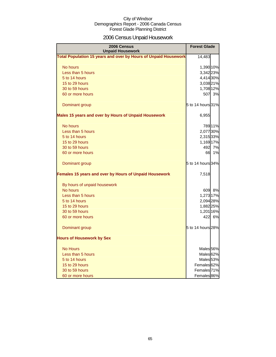## 2006 Census Unpaid Housework

| 2006 Census<br><b>Unpaid Housework</b>                                 | <b>Forest Glade</b>    |        |
|------------------------------------------------------------------------|------------------------|--------|
| <b>Total Population 15 years and over by Hours of Unpaid Housework</b> | 14,483                 |        |
| No hours                                                               | 1,390 10%              |        |
| Less than 5 hours                                                      | 3,342 23%              |        |
| 5 to 14 hours                                                          | 4,414 30%              |        |
| 15 to 29 hours                                                         | 3,038 21%              |        |
| 30 to 59 hours                                                         | 1,708 12%              |        |
| 60 or more hours                                                       | 507                    | 3%     |
| Dominant group                                                         | 5 to 14 hours 31%      |        |
| Males 15 years and over by Hours of Unpaid Housework                   | 6,955                  |        |
| No hours                                                               |                        | 78911% |
| Less than 5 hours                                                      | 2,077 30%              |        |
| 5 to 14 hours                                                          | 2,315 33%              |        |
| 15 to 29 hours                                                         | 1,169 17%              |        |
| 30 to 59 hours                                                         | 492                    | 7%     |
| 60 or more hours                                                       | 66                     | 1%     |
| Dominant group                                                         | 5 to 14 hours 34%      |        |
| Females 15 years and over by Hours of Unpaid Housework                 | 7,518                  |        |
| By hours of unpaid housework                                           |                        |        |
| No hours                                                               |                        | 609 8% |
| Less than 5 hours                                                      | 1,273 17%              |        |
| 5 to 14 hours                                                          | 2,094 28%              |        |
| 15 to 29 hours                                                         | 1,882 25%              |        |
| 30 to 59 hours                                                         | 1,201 16%              |        |
| 60 or more hours                                                       | 422                    | 6%     |
| Dominant group                                                         | 5 to 14 hours 28%      |        |
| <b>Hours of Housework by Sex</b>                                       |                        |        |
| <b>No Hours</b>                                                        | Males <sub>56%</sub>   |        |
| Less than 5 hours                                                      | Males <sup>62%</sup>   |        |
| 5 to 14 hours                                                          | Males <sub>53%</sub>   |        |
| 15 to 29 hours                                                         | Females 62%            |        |
| 30 to 59 hours                                                         | Females <sup>71%</sup> |        |
| 60 or more hours                                                       | Females <sup>86%</sup> |        |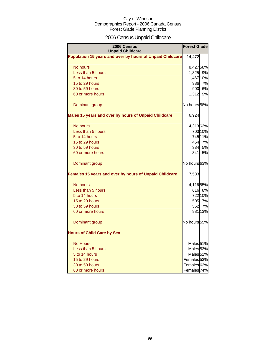## 2006 Census Unpaid Childcare

| 2006 Census<br><b>Unpaid Childcare</b>                    | <b>Forest Glade</b>    |           |
|-----------------------------------------------------------|------------------------|-----------|
| Population 15 years and over by hours of Unpaid Childcare | 14,472                 |           |
| No hours                                                  | 8,42758%               |           |
| Less than 5 hours                                         | 1,325 9%               |           |
| 5 to 14 hours                                             | 1,467 10%              |           |
| 15 to 29 hours                                            | 986                    | 7%        |
| 30 to 59 hours                                            | 900                    | 6%        |
| 60 or more hours                                          | 1,312                  | 9%        |
| Dominant group                                            | No hours 58%           |           |
| Males 15 years and over by hours of Unpaid Childcare      | 6,924                  |           |
| No hours                                                  | 4,31362%               |           |
| Less than 5 hours                                         |                        | 703 10%   |
| 5 to 14 hours                                             |                        | 745 11%   |
| 15 to 29 hours                                            |                        | 454 7%    |
| 30 to 59 hours                                            | 334                    | 5%        |
| 60 or more hours                                          | 341                    | <b>5%</b> |
| Dominant group                                            | No hours 63%           |           |
| Females 15 years and over by hours of Unpaid Childcare    | 7,533                  |           |
| No hours                                                  | 4,116 55%              |           |
| Less than 5 hours                                         |                        | 616 8%    |
| 5 to 14 hours                                             |                        | 722 10%   |
| 15 to 29 hours                                            |                        | 505 7%    |
| 30 to 59 hours                                            | 552                    | 7%        |
| 60 or more hours                                          |                        | 981 13%   |
| Dominant group                                            | No hours 55%           |           |
| <b>Hours of Child Care by Sex</b>                         |                        |           |
| <b>No Hours</b>                                           | Males <sub>51%</sub>   |           |
| Less than 5 hours                                         | Males <sub>53%</sub>   |           |
| 5 to 14 hours                                             | Males <sub>51%</sub>   |           |
| 15 to 29 hours                                            | Females <sub>53%</sub> |           |
| 30 to 59 hours                                            | Females <sup>62%</sup> |           |
| 60 or more hours                                          | Females 74%            |           |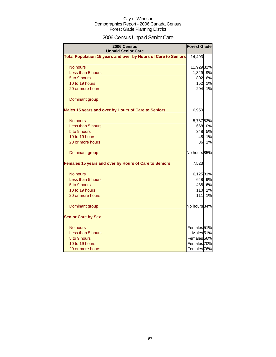## 2006 Census Unpaid Senior Care

| 2006 Census<br><b>Unpaid Senior Care</b>                       | <b>Forest Glade</b>    |         |
|----------------------------------------------------------------|------------------------|---------|
| Total Population 15 years and over by Hours of Care to Seniors | 14,493                 |         |
| No hours                                                       | 11,92982%              |         |
| Less than 5 hours                                              | 1,329                  | 9%      |
| 5 to 9 hours                                                   | 802                    | 6%      |
| 10 to 19 hours                                                 | 152                    | 1%      |
| 20 or more hours                                               | 204                    | 1%      |
| Dominant group                                                 |                        |         |
| Males 15 years and over by Hours of Care to Seniors            | 6,950                  |         |
| No hours                                                       | 5,78783%               |         |
| Less than 5 hours                                              |                        | 668 10% |
| 5 to 9 hours                                                   | 348                    | 5%      |
| 10 to 19 hours                                                 | 48                     | 1%      |
| 20 or more hours                                               | 36                     | 1%      |
| Dominant group                                                 | No hours 85%           |         |
| Females 15 years and over by Hours of Care to Seniors          | 7,523                  |         |
| No hours                                                       | 6,12581%               |         |
| Less than 5 hours                                              | 648                    | 9%      |
| 5 to 9 hours                                                   | 438                    | 6%      |
| 10 to 19 hours                                                 | 110                    | 1%      |
| 20 or more hours                                               | 111                    | 1%      |
| Dominant group                                                 | No hours 84%           |         |
| <b>Senior Care by Sex</b>                                      |                        |         |
| No hours                                                       | Females <sup>51%</sup> |         |
| Less than 5 hours                                              | Males <sub>51%</sub>   |         |
| 5 to 9 hours                                                   | Females 56%            |         |
| 10 to 19 hours                                                 | Females 70%            |         |
| 20 or more hours                                               | Females 76%            |         |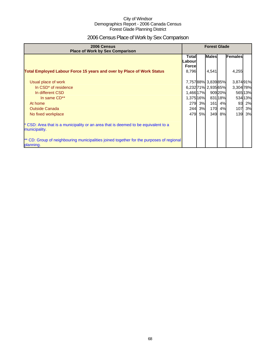## 2006 Census Place of Work by Sex Comparison

| 2006 Census<br><b>Place of Work by Sex Comparison</b>                                                 | <b>Forest Glade</b>                |    |                    |         |           |         |
|-------------------------------------------------------------------------------------------------------|------------------------------------|----|--------------------|---------|-----------|---------|
|                                                                                                       | Totall<br>Labourl<br><b>Forcel</b> |    | <b>Males</b>       |         | Females   |         |
| <b>Total Employed Labour Force 15 years and over by Place of Work Status</b>                          | 8,796                              |    | 4,541              |         | 4,255     |         |
| Usual place of work                                                                                   |                                    |    | 7,75788% 3,83985%  |         | 3,87491%  |         |
| In CSD <sup>*</sup> of residence                                                                      |                                    |    | 6,23271% 2,935 65% |         | 3,304 78% |         |
| In different CSD                                                                                      | 1,466 17%                          |    |                    | 90920%  |           | 565 13% |
| In same CD**                                                                                          | 1,375 16%                          |    |                    | 831 18% |           | 534 13% |
| At home                                                                                               | 279                                | 3% | 161                | 4%      | 93        | 2%      |
| <b>Outside Canada</b>                                                                                 | 244                                | 3% | 170                | 4%      | 107       | 3%      |
| No fixed workplace                                                                                    | 479                                | 5% | 349                | 8%      |           | 139 3%  |
| * CSD: Area that is a municipality or an area that is deemed to be equivalent to a<br>municipality.   |                                    |    |                    |         |           |         |
| ** CD: Group of neighbouring municipalities joined together for the purposes of regional<br>planning. |                                    |    |                    |         |           |         |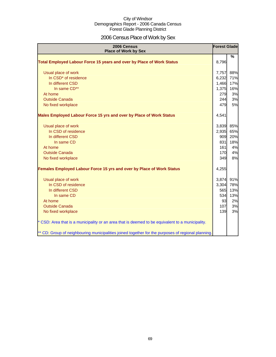## 2006 Census Place of Work by Sex

| 2006 Census<br><b>Place of Work by Sex</b>                                                         | <b>Forest Glade</b> |               |
|----------------------------------------------------------------------------------------------------|---------------------|---------------|
| Total Employed Labour Force 15 years and over by Place of Work Status                              | 8,796               | $\frac{9}{6}$ |
| Usual place of work                                                                                | 7,757               | 88%           |
| In CSD <sup>*</sup> of residence                                                                   | 6,232               | 71%           |
| In different CSD                                                                                   | 1,466               | 17%           |
| In same CD**                                                                                       | 1,375               | 16%           |
| At home                                                                                            | 279                 | 3%            |
| <b>Outside Canada</b>                                                                              | 244                 | 3%            |
| No fixed workplace                                                                                 | 479                 | 5%            |
| Males Employed Labour Force 15 yrs and over by Place of Work Status                                | 4,541               |               |
| Usual place of work                                                                                | 3,839               | 85%           |
| In CSD of residence                                                                                | 2,935               | 65%           |
| In different CSD                                                                                   | 909                 | 20%           |
| In same CD                                                                                         | 831                 | 18%           |
| At home                                                                                            | 161                 | 4%            |
| <b>Outside Canada</b>                                                                              | 170                 | 4%            |
| No fixed workplace                                                                                 | 349                 | 8%            |
| Females Employed Labour Force 15 yrs and over by Place of Work Status                              | 4,255               |               |
| Usual place of work                                                                                | 3,874               | 91%           |
| In CSD of residence                                                                                | 3,304               | 78%           |
| In different CSD                                                                                   | 565                 | 13%           |
| In same CD                                                                                         | 534                 | 13%           |
| At home                                                                                            | 93                  | 2%            |
| <b>Outside Canada</b>                                                                              | 107                 | 3%            |
| No fixed workplace                                                                                 | 139                 | 3%            |
| * CSD: Area that is a municipality or an area that is deemed to be equivalent to a municipality.   |                     |               |
| ** CD: Group of neighbouring municipalities joined together for the purposes of regional planning. |                     |               |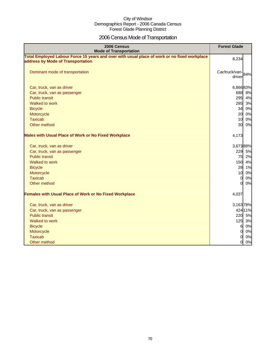## 2006 Census Mode of Transportation

| 2006 Census<br><b>Mode of Transportation</b>                                                                                      | <b>Forest Glade</b>          |
|-----------------------------------------------------------------------------------------------------------------------------------|------------------------------|
| Total Employed Labour Force 15 years and over with usual place of work or no fixed workplace<br>address by Mode of Transportation | 8,234                        |
| Dominant mode of transportation                                                                                                   | Car/truck/van-184%<br>driver |
| Car, truck, van as driver                                                                                                         | 6,86683%                     |
| Car, truck, van as passenger                                                                                                      | 688 8%                       |
| <b>Public transit</b>                                                                                                             | 4%<br>295                    |
| Walked to work                                                                                                                    | 285<br>3%                    |
| <b>Bicycle</b>                                                                                                                    | 34<br>0%                     |
| Motorcycle                                                                                                                        | 20<br>0%                     |
| <b>Taxicab</b>                                                                                                                    | 10<br>0%                     |
| Other method                                                                                                                      | 30<br>0%                     |
| <b>Males with Usual Place of Work or No Fixed Workplace</b>                                                                       | 4,173                        |
| Car, truck, van as driver                                                                                                         | 3,67388%                     |
| Car, truck, van as passenger                                                                                                      | 229<br>5%                    |
| <b>Public transit</b>                                                                                                             | 75<br>2%                     |
| Walked to work                                                                                                                    | 150<br>4%                    |
| <b>Bicycle</b>                                                                                                                    | 28 1%                        |
| Motorcycle                                                                                                                        | 10<br>0%                     |
| <b>Taxicab</b>                                                                                                                    | $\overline{0}$<br>0%         |
| Other method                                                                                                                      | $\Omega$<br>0%               |
| <b>Females with Usual Place of Work or No Fixed Workplace</b>                                                                     | 4,037                        |
| Car, truck, van as driver                                                                                                         | 3,163 78%                    |
| Car, truck, van as passenger                                                                                                      | 424 11%                      |
| <b>Public transit</b>                                                                                                             | 220 5%                       |
| Walked to work                                                                                                                    | 125 3%                       |
| <b>Bicycle</b>                                                                                                                    | 0%<br>6                      |
| Motorcycle                                                                                                                        | $\overline{0}$<br>$0\%$      |
| <b>Taxicab</b>                                                                                                                    | 0%<br>0l                     |
| Other method                                                                                                                      | 0%<br>$\overline{0}$         |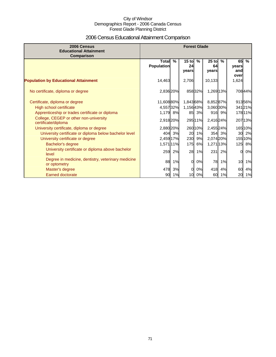## 2006 Census Educational Attainment Comparison

| 2006 Census<br><b>Educational Attainment</b><br>Comparison         | <b>Forest Glade</b>               |        |                        |         |                        |        |                            |               |
|--------------------------------------------------------------------|-----------------------------------|--------|------------------------|---------|------------------------|--------|----------------------------|---------------|
|                                                                    | <b>Total</b><br><b>Population</b> | %      | $15$ to<br>24<br>vears | %       | $25$ to<br>64<br>years | $\%$   | 65<br>years<br>and<br>over | $\frac{9}{6}$ |
| <b>Population by Educational Attainment</b>                        | 14,463                            |        | 2,706                  |         | 10,133                 |        | 1,624                      |               |
| No certificate, diploma or degree                                  | 2,836 20%                         |        |                        | 85832%  | 1,269 13%              |        |                            | 70844%        |
| Certificate, diploma or degree                                     | 11,608 80%                        |        | 1,843 68%              |         | 8,85287%               |        |                            | 91356%        |
| High school certificate                                            | 4,557 32%                         |        | 1,15643%               |         | 3,060 30%              |        |                            | 34121%        |
| Apprenticeship or trades certificate or diploma                    | 1,179 8%                          |        |                        | 85 3%   |                        | 916 9% |                            | 178 11%       |
| College, CEGEP or other non-university<br>certificate/diploma      | 2,918 20%                         |        |                        | 295 11% | 2,416 24%              |        |                            | 207 13%       |
| University certificate, diploma or degree                          | 2,880 20%                         |        |                        | 260 10% | 2,455 24%              |        |                            | 165 10%       |
| University certificate or diploma below bachelor level             |                                   | 404 3% | 20                     | 1%      |                        | 354 3% | 30                         | 2%            |
| University certificate or degree                                   | 2,459 17%                         |        | 230                    | 9%      | 2,074 20%              |        |                            | 155 10%       |
| Bachelor's degree                                                  | 1,571 11%                         |        | 175                    | 6%      | 1,271 13%              |        | 125                        | 8%            |
| University certificate or diploma above bachelor<br>level          |                                   | 259 2% | 28                     | 1%      | 231                    | 2%     | $\Omega$                   | 0%            |
| Degree in medicine, dentistry, veterinary medicine<br>or optometry | 88                                | 1%     | 0l                     | 0%      | 78                     | 1%     | 10                         | 1%            |
| Master's degree                                                    | 478                               | 3%     | 0                      | 0%      | 418                    | 4%     | 60                         | 4%            |
| <b>Earned doctorate</b>                                            | 90                                | 1%     | 10                     | 0%      | 60                     | 1%     | 20                         | 1%            |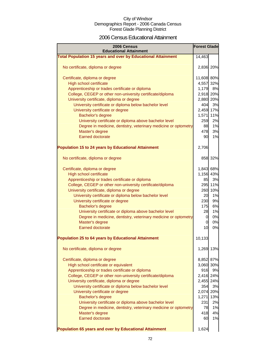### 2006 Census Educational Attainment

| 2006 Census<br><b>Educational Attainment</b>                        | <b>Forest Glade</b> |         |
|---------------------------------------------------------------------|---------------------|---------|
| <b>Total Population 15 years and over by Educational Attainment</b> | 14,463              |         |
|                                                                     |                     |         |
| No certificate, diploma or degree                                   | 2,836 20%           |         |
| Certificate, diploma or degree                                      | 11,608 80%          |         |
| High school certificate                                             | 4,557 32%           |         |
| Apprenticeship or trades certificate or diploma                     | 1,179               | 8%      |
| College, CEGEP or other non-university certificate/diploma          | 2,918 20%           |         |
| University certificate, diploma or degree                           | 2,880 20%           |         |
| University certificate or diploma below bachelor level              | 404                 | 3%      |
| University certificate or degree                                    | 2,459 17%           |         |
| Bachelor's degree                                                   | 1,571 11%           |         |
| University certificate or diploma above bachelor level              | 259                 | 2%      |
| Degree in medicine, dentistry, veterinary medicine or optometry     | 88                  | 1%      |
| Master's degree                                                     | 478                 | 3%      |
| <b>Earned doctorate</b>                                             | 90                  | 1%      |
|                                                                     |                     |         |
| <b>Population 15 to 24 years by Educational Attainment</b>          | 2,706               |         |
| No certificate, diploma or degree                                   |                     | 858 32% |
| Certificate, diploma or degree                                      | 1,843 68%           |         |
| High school certificate                                             | 1,156 43%           |         |
| Apprenticeship or trades certificate or diploma                     | 85                  | 3%      |
| College, CEGEP or other non-university certificate/diploma          |                     | 295 11% |
| University certificate, diploma or degree                           |                     | 260 10% |
| University certificate or diploma below bachelor level              | 20                  | 1%      |
| University certificate or degree                                    | 230                 | 9%      |
| Bachelor's degree                                                   | 175                 | 6%      |
| University certificate or diploma above bachelor level              | 28                  | 1%      |
| Degree in medicine, dentistry, veterinary medicine or optometry     | $\overline{0}$      | 0%      |
| Master's degree                                                     | $\overline{0}$      | 0%      |
| <b>Earned doctorate</b>                                             | 10                  | 0%      |
| <b>Population 25 to 64 years by Educational Attainment</b>          | 10,133              |         |
| No certificate, diploma or degree                                   | 1,269               | 13%     |
| Certificate, diploma or degree                                      | 8,852 87%           |         |
| High school certificate or equivalent                               | 3,060 30%           |         |
| Apprenticeship or trades certificate or diploma                     | 916                 | 9%      |
| College, CEGEP or other non-university certificate/diploma          | 2,416 24%           |         |
| University certificate, diploma or degree                           | 2,455 24%           |         |
| University certificate or diploma below bachelor level              | 354                 | 3%      |
| University certificate or degree                                    | 2,074 20%           |         |
| Bachelor's degree                                                   | 1,271               | 13%     |
| University certificate or diploma above bachelor level              | 231                 | 2%      |
| Degree in medicine, dentistry, veterinary medicine or optometry     | 78                  | 1%      |
| Master's degree                                                     | 418                 | 4%      |
| <b>Earned doctorate</b>                                             | 60                  | 1%      |
| Population 65 years and over by Educational Attainment              | 1,624               |         |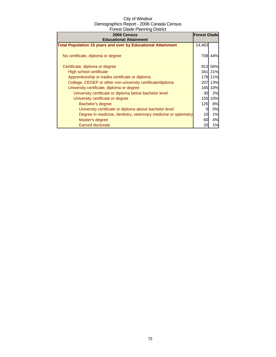| 2006 Census                                                         | <b>Forest Glade</b> |           |
|---------------------------------------------------------------------|---------------------|-----------|
| <b>Educational Attainment</b>                                       |                     |           |
| <b>Total Population 15 years and over by Educational Attainment</b> | 14,463              |           |
| No certificate, diploma or degree                                   |                     | 708 44%   |
| Certificate, diploma or degree                                      |                     | 913 56%   |
| High school certificate                                             |                     | 341 21%   |
| Apprenticeship or trades certificate or diploma                     |                     | 178 11%   |
| College, CEGEP or other non-university certificate/diploma          | 207                 | 13%       |
| University certificate, diploma or degree                           | 165                 | 10%       |
| University certificate or diploma below bachelor level              | 30                  | 2%        |
| University certificate or degree                                    | 155                 | 10%       |
| Bachelor's degree                                                   | 125                 | <b>8%</b> |
| University certificate or diploma above bachelor level              | 0                   | 0%        |
| Degree in medicine, dentistry, veterinary medicine or optometry     | 10                  | 1%        |
| Master's degree                                                     | 60                  | 4%        |
| Earned doctorate                                                    | 20                  | 1%        |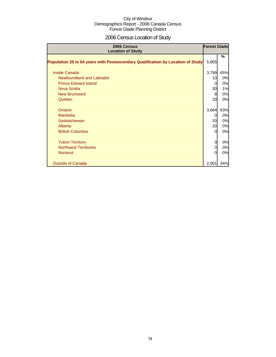# 2006 Census Location of Study

| 2006 Census<br><b>Location of Study</b>                                         | <b>Forest Glade</b> |     |
|---------------------------------------------------------------------------------|---------------------|-----|
| Population 25 to 64 years with Postsecondary Qualification by Location of Study | 5,805               | %   |
| Inside Canada                                                                   | 3,799               | 65% |
| Newfoundland and Labrador                                                       | 10                  | 0%  |
| <b>Prince Edward Island</b>                                                     | 0                   | 0%  |
| Nova Scotia                                                                     | 30                  | 1%  |
| <b>New Brunswick</b>                                                            | 8                   | 0%  |
| Quebec                                                                          | 20                  | 0%  |
| Ontario                                                                         | 3,664               | 63% |
| Manitoba                                                                        | 0                   | 0%  |
| Saskatchewan                                                                    | 20                  | 0%  |
| Alberta                                                                         | 20                  | 0%  |
| <b>British Columbia</b>                                                         | $\Omega$            | 0%  |
| <b>Yukon Territory</b>                                                          | 0                   | 0%  |
| <b>Northwest Territories</b>                                                    | 0                   | 0%  |
| <b>Nunavut</b>                                                                  | $\Omega$            | 0%  |
| <b>Outside of Canada</b>                                                        | 2,001               | 34% |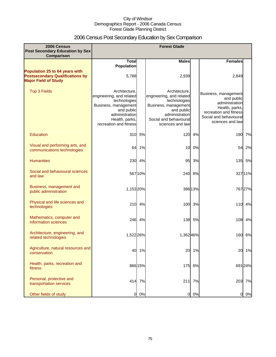# 2006 Census Post Secondary Education by Sex Comparison

| 2006 Census<br><b>Post Secondary Education by Sex</b><br>Comparison                                     |                                                                                                                                                               |         | <b>Forest Glade</b>                                                                                                                                             |         |                                                                                                                                                |         |
|---------------------------------------------------------------------------------------------------------|---------------------------------------------------------------------------------------------------------------------------------------------------------------|---------|-----------------------------------------------------------------------------------------------------------------------------------------------------------------|---------|------------------------------------------------------------------------------------------------------------------------------------------------|---------|
|                                                                                                         | <b>Total</b>                                                                                                                                                  |         | <b>Males</b>                                                                                                                                                    |         | <b>Females</b>                                                                                                                                 |         |
| Population 25 to 64 years with<br><b>Postsecondary Qualifications by</b><br><b>Major Field of Study</b> | <b>Population</b><br>5,788                                                                                                                                    |         | 2,939                                                                                                                                                           |         | 2,849                                                                                                                                          |         |
| <b>Top 3 Fields</b>                                                                                     | Architecture.<br>engineering, and related<br>technologies<br>Business, management<br>and public<br>administration<br>Health, parks,<br>recreation and fitness |         | Architecture.<br>engineering, and related<br>technologies<br>Business, management<br>and public<br>administration<br>Social and behavioural<br>sciences and law |         | Business, management<br>and public<br>administration<br>Health, parks,<br>recreation and fitness<br>Social and behavioural<br>sciences and law |         |
| Education                                                                                               | 310                                                                                                                                                           | 5%      | 120                                                                                                                                                             | 4%      | 190                                                                                                                                            | 7%      |
| Visual and performing arts, and<br>communications technologies                                          | 64                                                                                                                                                            | 1%      | 10                                                                                                                                                              | 0%      | 54                                                                                                                                             | 2%      |
| <b>Humanities</b>                                                                                       |                                                                                                                                                               | 230 4%  | 95                                                                                                                                                              | 3%      |                                                                                                                                                | 135 5%  |
| Social and behavioural sciences<br>and law                                                              |                                                                                                                                                               | 567 10% | 240                                                                                                                                                             | 8%      |                                                                                                                                                | 327 11% |
| Business, management and<br>public administration                                                       | 1,15320%                                                                                                                                                      |         |                                                                                                                                                                 | 386 13% |                                                                                                                                                | 76727%  |
| Physical and life sciences and<br>technologies                                                          | 210                                                                                                                                                           | 4%      | 100                                                                                                                                                             | 3%      | 110                                                                                                                                            | 4%      |
| Mathematics, computer and<br>information sciences                                                       | 246                                                                                                                                                           | 4%      | 138                                                                                                                                                             | 5%      | 108                                                                                                                                            | 4%      |
| Architecture, engineering, and<br>related technologies                                                  | 1,522 26%                                                                                                                                                     |         | 1,362 46%                                                                                                                                                       |         | 160                                                                                                                                            | 6%      |
| Agriculture, natural resources and<br>conservation                                                      | 40                                                                                                                                                            | 1%      | 20                                                                                                                                                              | 1%      | 20                                                                                                                                             | 1%      |
| Health, parks, recreation and<br>fitness                                                                |                                                                                                                                                               | 866 15% | 175                                                                                                                                                             | 6%      |                                                                                                                                                | 691 24% |
| Personal, protective and<br>transportation services                                                     |                                                                                                                                                               | 414 7%  | 211                                                                                                                                                             | 7%      |                                                                                                                                                | 203 7%  |
| Other fields of study                                                                                   | 0                                                                                                                                                             | 0%      | $\overline{0}$                                                                                                                                                  | 0%      | 0                                                                                                                                              | 0%      |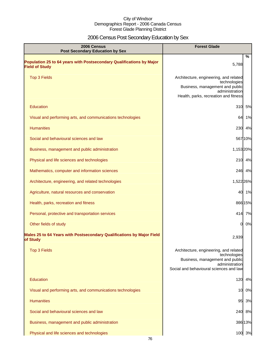# 2006 Census Post Secondary Education by Sex

| 2006 Census<br><b>Post Secondary Education by Sex</b>                                         | <b>Forest Glade</b>                                                                                                                                    |
|-----------------------------------------------------------------------------------------------|--------------------------------------------------------------------------------------------------------------------------------------------------------|
| Population 25 to 64 years with Postsecondary Qualifications by Major<br><b>Field of Study</b> | %<br>5,788                                                                                                                                             |
| <b>Top 3 Fields</b>                                                                           | Architecture, engineering, and related<br>technologies<br>Business, management and public<br>administration<br>Health, parks, recreation and fitness   |
| <b>Education</b>                                                                              | 5%<br>310                                                                                                                                              |
| Visual and performing arts, and communications technologies                                   | 1%<br>64                                                                                                                                               |
| <b>Humanities</b>                                                                             | 230 4%                                                                                                                                                 |
| Social and behavioural sciences and law                                                       | 567 10%                                                                                                                                                |
| Business, management and public administration                                                | 1,153 20%                                                                                                                                              |
| Physical and life sciences and technologies                                                   | 210 4%                                                                                                                                                 |
| Mathematics, computer and information sciences                                                | 246 4%                                                                                                                                                 |
| Architecture, engineering, and related technologies                                           | 1,522 26%                                                                                                                                              |
| Agriculture, natural resources and conservation                                               | 40 1%                                                                                                                                                  |
| Health, parks, recreation and fitness                                                         | 866 15%                                                                                                                                                |
| Personal, protective and transportation services                                              | 414 7%                                                                                                                                                 |
| Other fields of study                                                                         | 0%<br>0I                                                                                                                                               |
| Males 25 to 64 Years with Postsecondary Qualifications by Major Field<br>of Study             | 2,939                                                                                                                                                  |
| <b>Top 3 Fields</b>                                                                           | Architecture, engineering, and related<br>technologies<br>Business, management and public<br>administration<br>Social and behavioural sciences and law |
| Education                                                                                     | 120<br>4%                                                                                                                                              |
| Visual and performing arts, and communications technologies                                   | 0%<br>10                                                                                                                                               |
| <b>Humanities</b>                                                                             | 3%<br>95                                                                                                                                               |
| Social and behavioural sciences and law                                                       | 8%<br>240                                                                                                                                              |
| Business, management and public administration                                                | 386 13%                                                                                                                                                |
| Physical and life sciences and technologies                                                   | 100 3%                                                                                                                                                 |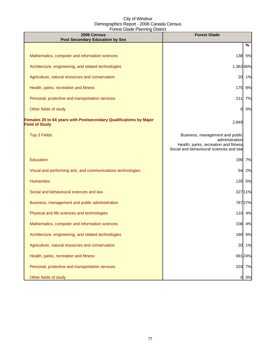| 2006 Census<br><b>Post Secondary Education by Sex</b>                                      | <b>Forest Glade</b>                                                                                                                   |
|--------------------------------------------------------------------------------------------|---------------------------------------------------------------------------------------------------------------------------------------|
|                                                                                            | %                                                                                                                                     |
| Mathematics, computer and information sciences                                             | 138<br>5%                                                                                                                             |
| Architecture, engineering, and related technologies                                        | 1,36246%                                                                                                                              |
| Agriculture, natural resources and conservation                                            | 1%<br>20                                                                                                                              |
| Health, parks, recreation and fitness                                                      | 6%<br>175                                                                                                                             |
| Personal, protective and transportation services                                           | 211<br>7%                                                                                                                             |
| Other fields of study                                                                      | 0%<br>0                                                                                                                               |
| Females 25 to 64 years with Postsecondary Qualifications by Major<br><b>Field of Study</b> | 2,849                                                                                                                                 |
| <b>Top 3 Fields</b>                                                                        | Business, management and public<br>administration<br>Health, parks, recreation and fitness<br>Social and behavioural sciences and law |
| Education                                                                                  | 190<br>7%                                                                                                                             |
| Visual and performing arts, and communications technologies                                | 54<br>2%                                                                                                                              |
| <b>Humanities</b>                                                                          | 135 5%                                                                                                                                |
| Social and behavioural sciences and law                                                    | 32711%                                                                                                                                |
| Business, management and public administration                                             | 76727%                                                                                                                                |
| Physical and life sciences and technologies                                                | 110 4%                                                                                                                                |
| Mathematics, computer and information sciences                                             | 108 4%                                                                                                                                |
| Architecture, engineering, and related technologies                                        | 160<br>6%                                                                                                                             |
| Agriculture, natural resources and conservation                                            | 20<br>1%                                                                                                                              |
| Health, parks, recreation and fitness                                                      | 691 24%                                                                                                                               |
| Personal, protective and transportation services                                           | 7%<br>203                                                                                                                             |
| Other fields of study                                                                      | 0%<br>O                                                                                                                               |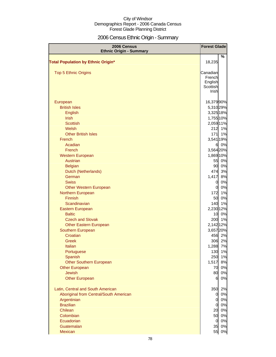# 2006 Census Ethnic Origin - Summary

| 2006 Census<br><b>Ethnic Origin - Summary</b> | <b>Forest Glade</b> |                     |
|-----------------------------------------------|---------------------|---------------------|
|                                               |                     | %                   |
| <b>Total Population by Ethnic Origin*</b>     | 18,235              |                     |
| <b>Top 5 Ethnic Origins</b>                   | Canadian            |                     |
|                                               | French              |                     |
|                                               | English             |                     |
|                                               | Scottish            |                     |
|                                               | Irishl              |                     |
| European                                      | 16,37990%           |                     |
| <b>British Isles</b>                          |                     | 5,310 29%           |
| English                                       | 3,325 18%           |                     |
| <b>Irish</b>                                  |                     | 1,755 10%           |
| <b>Scottish</b>                               |                     | 2,059 11%           |
| Welsh                                         |                     | 212 1%              |
| <b>Other British Isles</b>                    | 171                 | 1%                  |
| French                                        |                     | 3,541 19%           |
| Acadian                                       | 6                   | 0%                  |
| French                                        |                     | 3,564 20%           |
| <b>Western European</b>                       |                     | 1,869 10%           |
| Austrian                                      | 55                  | 0%                  |
| <b>Belgian</b>                                | 90                  | 0%                  |
| Dutch (Netherlands)                           | 474                 | 3%                  |
| German                                        | 1,417               | 8%                  |
| <b>Swiss</b>                                  | $\mathbf 0$         | 0%                  |
| <b>Other Western European</b>                 | $\overline{0}$      | 0%                  |
| Northern European                             | 172                 | 1%                  |
| Finnish                                       | 50                  | 0%                  |
| Scandinavian                                  | 140                 | 1%                  |
| Eastern European                              |                     | 2,230 12%           |
| <b>Baltic</b>                                 | 10                  | 0%                  |
| <b>Czech and Slovak</b>                       |                     | 200 1%              |
| <b>Other Eastern European</b>                 | 2,142 12%           |                     |
| Southern European<br>Croatian                 |                     | 3,657 20%<br>456 2% |
| Greek                                         | 306                 | 2%                  |
| Italian                                       |                     | 1,288 7%            |
| Portuguese                                    | 130                 | 1%                  |
| Spanish                                       | 250                 | 1%                  |
| <b>Other Southern European</b>                | 1,517               | 8%                  |
| <b>Other European</b>                         | 70                  | 0%                  |
| <b>Jewish</b>                                 | 80                  | 0%                  |
| <b>Other European</b>                         | 61                  | 0%                  |
|                                               |                     |                     |
| Latin, Central and South American             | 350                 | 2%                  |
| Aboriginal from Central/South American        | O<br>$\overline{0}$ | 0%<br>0%            |
| Argentinian<br><b>Brazilian</b>               | 0                   | 0%                  |
| Chilean                                       | 20                  | 0%                  |
| Colombian                                     | 50                  | 0%                  |
| Ecuadorian                                    | $\Omega$            | 0%                  |
| Guatemalan                                    | 35                  | 0%                  |
| Mexican                                       | 55                  | 0%                  |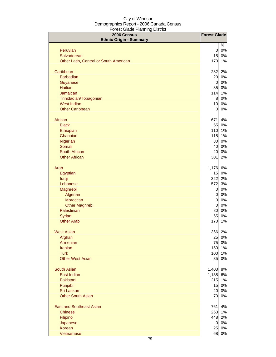| 2006 Census<br><b>Ethnic Origin - Summary</b> | <b>Forest Glade</b> |        |
|-----------------------------------------------|---------------------|--------|
|                                               |                     | %      |
| Peruvian                                      | $\mathbf{0}$        | 0%     |
| Salvadorean                                   | 15                  | 0%     |
| Other Latin, Central or South American        | 170                 | 1%     |
| Caribbean                                     | 282                 | 2%     |
| <b>Barbadian</b>                              | 20                  | 0%     |
| Guyanese                                      | $\overline{0}$      | 0%     |
| <b>Haitian</b>                                | 85                  | 0%     |
| Jamaican                                      | 114                 | 1%     |
| Trinidadian/Tobagonian                        | 8                   | 0%     |
| <b>West Indian</b>                            | 10                  | 0%     |
| <b>Other Caribbean</b>                        | $\overline{O}$      | 0%     |
| African                                       | 671                 | 4%     |
| <b>Black</b>                                  | 55                  | 0%     |
| Ethiopian                                     | 110                 | 1%     |
| Ghanaian                                      | 115                 | 1%     |
| Nigerian                                      | 80                  | 0%     |
| Somali                                        | 40                  | 0%     |
| South African                                 | 20                  | 0%     |
| <b>Other African</b>                          | 301                 | 2%     |
| Arab                                          | 1,176               | 6%     |
| Egyptian                                      | 15                  | 0%     |
| Iraqi                                         | 322                 | 2%     |
| Lebanese                                      | 572                 | 3%     |
| Maghrebi                                      | $\overline{0}$      | 0%     |
| Algerian                                      | $\overline{0}$      | 0%     |
| Moroccan                                      | $\overline{O}$      | 0%     |
| <b>Other Maghrebi</b>                         | $\overline{0}$      | 0%     |
| Palestinian                                   | 80                  | 0%     |
| Syrian                                        | 65                  | 0%     |
| <b>Other Arab</b>                             | 170                 | 1%     |
| <b>West Asian</b>                             |                     | 366 2% |
| Afghan                                        | 25                  | 0%     |
| Armenian                                      | 75                  | 0%     |
| <b>Iranian</b><br><b>Turk</b>                 | 150                 | 1%     |
| <b>Other West Asian</b>                       | 100                 | 1%     |
|                                               | 35                  | 0%     |
| <b>South Asian</b>                            | 1,403               | 8%     |
| East Indian                                   | 1,138               | 6%     |
| Pakistani                                     | 215                 | 1%     |
| Punjabi                                       | 15                  | 0%     |
| Sri Lankan                                    | 20                  | 0%     |
| <b>Other South Asian</b>                      | 70                  | 0%     |
| <b>East and Southeast Asian</b>               | 761                 | 4%     |
| <b>Chinese</b>                                | 263                 | 1%     |
| Filipino                                      | 448                 | 2%     |
| Japanese                                      | 01                  | 0%     |
| Korean                                        | 25                  | 0%     |
| Vietnamese                                    | 68                  | $0\%$  |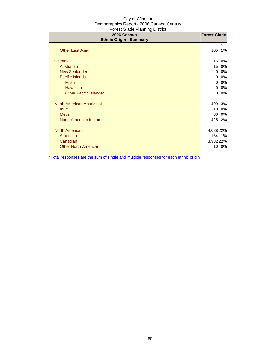| 2006 Census<br><b>Ethnic Origin - Summary</b>                                        |           | <b>Forest Glade</b> |
|--------------------------------------------------------------------------------------|-----------|---------------------|
| <b>Other East Asian</b>                                                              | 105       | %<br>1%             |
| Oceania                                                                              | 15        | 0%                  |
| Australian                                                                           | 15        | 0%                  |
| <b>New Zealander</b>                                                                 | 0         | 0%                  |
| <b>Pacific Islands</b>                                                               | 0         | 0%                  |
| Fijian                                                                               | 0         | 0%                  |
| Hawaiian                                                                             | 0         | 0%                  |
| <b>Other Pacific Islander</b>                                                        | $\Omega$  | 0%                  |
| North American Aboriginal                                                            | 499       | 3%                  |
| <b>Inuit</b>                                                                         | 10        | 0%                  |
| <b>Métis</b>                                                                         | 80        | 0%                  |
| North American Indian                                                                | 425       | 2%                  |
| <b>North American</b>                                                                | 4,088 22% |                     |
| American                                                                             |           | 164 1%              |
| Canadian                                                                             | 3,932 22% |                     |
| <b>Other North American</b>                                                          |           | 10 0%               |
| *Total responses are the sum of single and multiple responses for each ethnic origin |           |                     |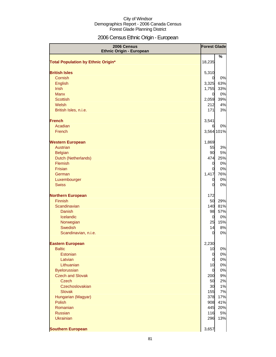# 2006 Census Ethnic Origin - European

| 2006 Census<br><b>Ethnic Origin - European</b> | <b>Forest Glade</b>   |            |
|------------------------------------------------|-----------------------|------------|
|                                                |                       | %          |
| <b>Total Population by Ethnic Origin*</b>      | 18,235                |            |
| <b>British Isles</b>                           | 5,310                 |            |
| Cornish                                        | 0                     | 0%         |
| English                                        | 3,325                 | 63%        |
| Irish                                          | 1,755                 | 33%        |
| <b>Manx</b>                                    | $\overline{0}$        | 0%         |
| <b>Scottish</b>                                | 2,059                 | 39%        |
| Welsh                                          | 212                   | 4%         |
| British Isles, n.i.e.                          | 171                   | 3%         |
| <b>French</b>                                  | 3,541                 |            |
| Acadian                                        | 6                     | 0%         |
| French                                         |                       | 3,564 101% |
| <b>Western European</b>                        | 1,869                 |            |
| Austrian                                       | 55                    | 3%         |
| <b>Belgian</b>                                 | 90                    | 5%         |
| Dutch (Netherlands)                            | 474                   | 25%        |
| Flemish                                        | $\overline{0}$        | 0%         |
| Frisian                                        | 0                     | 0%         |
| German                                         | 1,417                 | 76%        |
| Luxembourger                                   | 0                     | 0%         |
| <b>Swiss</b>                                   | 0                     | 0%         |
| <b>Northern European</b>                       | 172                   |            |
| Finnish                                        | 50                    | 29%        |
| Scandinavian                                   | 140                   | 81%        |
| <b>Danish</b>                                  | 98                    | 57%        |
| Icelandic                                      | $\overline{0}$        | 0%         |
| Norwegian                                      | 25                    | 15%        |
| Swedish                                        | 14<br>0               | 8%<br>0%   |
| Scandinavian, n.i.e.                           |                       |            |
| <b>Eastern European</b>                        | 2,230                 |            |
| <b>Baltic</b>                                  | 10                    | 0%         |
| Estonian                                       | $\overline{0}$        | 0%         |
| Latvian                                        | $\overline{0}$        | 0%         |
| Lithuanian                                     | 10                    | 0%         |
| <b>Byelorussian</b><br><b>Czech and Slovak</b> | $\overline{0}$<br>200 | 0%<br>9%   |
| <b>Czech</b>                                   | 50                    | 2%         |
| Czechoslovakian                                | 30                    | 1%         |
| <b>Slovak</b>                                  | 155                   | 7%         |
| Hungarian (Magyar)                             | 378                   | 17%        |
| Polish                                         | 908                   | 41%        |
| Romanian                                       | 445                   | 20%        |
| <b>Russian</b>                                 | 116                   | 5%         |
| <b>Ukrainian</b>                               | 296                   | 13%        |
| <b>Southern European</b>                       | 3,657                 |            |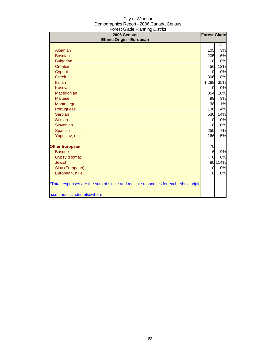| 2006 Census<br><b>Ethnic Origin - European</b>                                       |            | <b>Forest Glade</b> |
|--------------------------------------------------------------------------------------|------------|---------------------|
|                                                                                      |            | %                   |
| Albanian                                                                             | <b>105</b> | 3%                  |
| <b>Bosnian</b>                                                                       | 205        | 6%                  |
| <b>Bulgarian</b>                                                                     | 10         | 0%                  |
| Croatian                                                                             | 456        | 12%                 |
| Cypriot                                                                              | 0          | 0%                  |
| <b>Greek</b>                                                                         | 306        | 8%                  |
| <b>Italian</b>                                                                       | 1,288      | 35%                 |
| Kosovar                                                                              | $\Omega$   | 0%                  |
| Macedonian                                                                           | 354        | 10%                 |
| <b>Maltese</b>                                                                       | 99         | 3%                  |
| Montenegrin                                                                          | 38         | 1%                  |
| Portuguese                                                                           | 130        | 4%                  |
| Serbian                                                                              | 530        | 14%                 |
| <b>Sicilian</b>                                                                      | 0          | 0%                  |
| Slovenian                                                                            | 10         | 0%                  |
| Spanish                                                                              | 250        | 7%                  |
| Yugoslav, n.i.e.                                                                     | 166        | 5%                  |
|                                                                                      | 70         |                     |
| <b>Other European</b><br><b>Basque</b>                                               | 6          | 9%                  |
| Gypsy (Roma)                                                                         | $\Omega$   | 0%                  |
| Jewish                                                                               |            | 80 114%             |
| Slav (European)                                                                      | 0          | 0%                  |
| European, n.i.e.                                                                     | $\Omega$   | 0%                  |
|                                                                                      |            |                     |
| *Total responses are the sum of single and multiple responses for each ethnic origin |            |                     |
| n.i.e.: not included elsewhere                                                       |            |                     |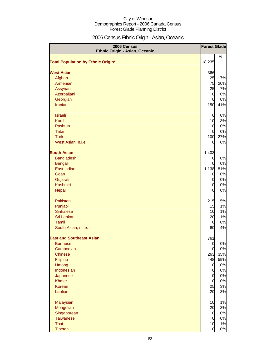# 2006 Census Ethnic Origin - Asian, Oceanic

| 2006 Census<br>Ethnic Origin - Asian, Oceanic |                | <b>Forest Glade</b> |
|-----------------------------------------------|----------------|---------------------|
|                                               |                | %                   |
| <b>Total Population by Ethnic Origin*</b>     | 18,235         |                     |
| <b>West Asian</b>                             | 366            |                     |
| Afghan                                        | 25             | 7%                  |
| Armenian                                      | 75             | 20%                 |
| <b>Assyrian</b>                               | 25             | 7%                  |
| Azerbaijani                                   | $\overline{0}$ | 0%                  |
| Georgian                                      | 0              | 0%                  |
| <b>Iranian</b>                                | 150            | 41%                 |
| <b>Israeli</b>                                | $\mathbf 0$    | 0%                  |
| <b>Kurd</b>                                   | 10             | 3%                  |
| Pashtun                                       | $\mathbf 0$    | 0%                  |
| <b>Tatar</b>                                  | 0              | 0%                  |
| <b>Turk</b>                                   | 100            | 27%                 |
| West Asian, n.i.e.                            | 0              | 0%                  |
| <b>South Asian</b>                            | 1,403          |                     |
| Bangladeshi                                   | 0              | 0%                  |
| <b>Bengali</b>                                | 0              | 0%                  |
| East Indian                                   | 1,138          | 81%                 |
| Goan                                          | $\overline{0}$ | 0%                  |
| Gujarati                                      | 0              | 0%                  |
| Kashmiri                                      | 0              | 0%                  |
| <b>Nepali</b>                                 | 0              | 0%                  |
| Pakistani                                     | 215            | 15%                 |
| Punjabi                                       | 15             | 1%                  |
| <b>Sinhalese</b>                              | 10             | 1%                  |
| Sri Lankan                                    | 20             | 1%                  |
| Tamil                                         | 0              | 0%                  |
| South Asian, n.i.e.                           | 60             | 4%                  |
| <b>East and Southeast Asian</b>               | 761            |                     |
| <b>Burmese</b>                                | 0              | 0%                  |
| Cambodian                                     | $\mathbf 0$    | 0%                  |
| <b>Chinese</b>                                | 263            | 35%                 |
| Filipino                                      | 448            | 59%                 |
| Hmong                                         | $\overline{0}$ | 0%                  |
| Indonesian                                    | $\overline{0}$ | 0%                  |
| Japanese                                      | $\mathbf 0$    | 0%                  |
| <b>Khmer</b>                                  | $\overline{0}$ | 0%                  |
| Korean                                        | 25             | 3%                  |
| Laotian                                       | 20             | 3%                  |
| Malaysian                                     | 10             | 1%                  |
| Mongolian                                     | 20             | 3%                  |
| Singaporean                                   | $\overline{0}$ | 0%                  |
| <b>Taiwanese</b>                              | $\overline{0}$ | 0%                  |
| Thai                                          | 10             | 1%                  |
| Tibetan                                       | $\overline{0}$ | 0%                  |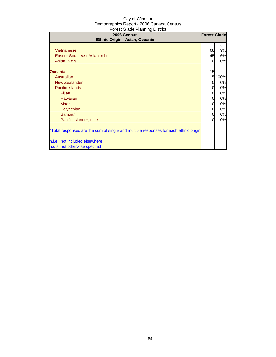| 2006 Census<br>Ethnic Origin - Asian, Oceanic                                                                                                                                                                                                                                                                                                                                                                | <b>Forest Glade</b>                                                |                                                                                |
|--------------------------------------------------------------------------------------------------------------------------------------------------------------------------------------------------------------------------------------------------------------------------------------------------------------------------------------------------------------------------------------------------------------|--------------------------------------------------------------------|--------------------------------------------------------------------------------|
| Vietnamese<br>East or Southeast Asian, n.i.e.<br>Asian, n.o.s.<br><b>Oceania</b><br>Australian<br><b>New Zealander</b><br><b>Pacific Islands</b><br>Fijian<br><b>Hawaiian</b><br><b>Maori</b><br>Polynesian<br>Samoan<br>Pacific Islander, n.i.e.<br>*Total responses are the sum of single and multiple responses for each ethnic origin<br>n.i.e.: not included elsewhere<br>n.o.s: not otherwise specfied | 68<br>45<br>$\Omega$<br>15<br>0<br>0<br>0<br>0<br>0<br>0<br>0<br>0 | %<br>9%<br>6%<br>0%<br>15 100%<br>0%<br>0%<br>0%<br>0%<br>0%<br>0%<br>0%<br>0% |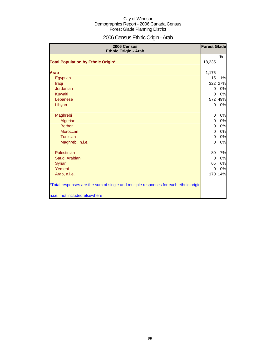# 2006 Census Ethnic Origin - Arab

| 2006 Census<br>Ethnic Origin - Arab                                                  | <b>Forest Glade</b> |         |
|--------------------------------------------------------------------------------------|---------------------|---------|
|                                                                                      |                     | %       |
| <b>Total Population by Ethnic Origin*</b>                                            | 18,235              |         |
| <b>Arab</b>                                                                          | 1,176               |         |
| Egyptian                                                                             | 15                  | 1%      |
| Iraqi                                                                                |                     | 322 27% |
| <b>Jordanian</b>                                                                     | 0                   | 0%      |
| Kuwaiti                                                                              | 0                   | 0%      |
| Lebanese                                                                             | 572                 | 49%     |
| Libyan                                                                               | $\Omega$            | 0%      |
|                                                                                      |                     |         |
| Maghrebi                                                                             | 0                   | 0%      |
| Algerian                                                                             | 0                   | 0%      |
| <b>Berber</b>                                                                        | 0                   | 0%      |
| Moroccan                                                                             | $\overline{0}$      | 0%      |
| Tunisian                                                                             | 0                   | 0%      |
| Maghrebi, n.i.e.                                                                     | 0                   | 0%      |
| Palestinian                                                                          | 80                  | 7%      |
| Saudi Arabian                                                                        | 0                   | $0\%$   |
| <b>Syrian</b>                                                                        | 65                  | 6%      |
| Yemeni                                                                               | 0                   | 0%      |
| Arab, n.i.e.                                                                         |                     | 170 14% |
| *Total responses are the sum of single and multiple responses for each ethnic origin |                     |         |
| n.i.e.: not included elsewhere                                                       |                     |         |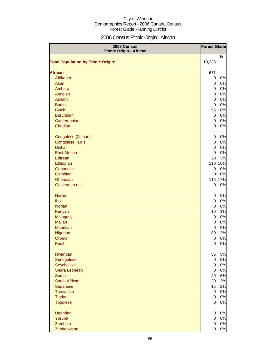# 2006 Census Ethnic Origin - African

| 2006 Census<br><b>Ethnic Origin - African</b> | <b>Forest Glade</b>              |       |
|-----------------------------------------------|----------------------------------|-------|
| <b>Total Population by Ethnic Origin*</b>     | 18,235                           | %     |
|                                               |                                  |       |
| <b>African</b>                                | 671                              |       |
| Afrikaner                                     | $\overline{0}$                   | 0%    |
| Akan                                          | $\mathbf 0$                      | 0%    |
| Amhara                                        | $\overline{O}$                   | 0%    |
| Angolan<br>Ashanti                            | $\overline{O}$                   | 0%    |
| <b>Bantu</b>                                  | $\overline{O}$                   | 0%    |
|                                               | $\overline{O}$                   | 0%    |
| <b>Black</b><br><b>Burundian</b>              | 55                               | 8%    |
| Cameroonian                                   | $\overline{0}$                   | 0%    |
| Chadian                                       | $\overline{O}$<br>$\overline{0}$ | 0%    |
|                                               |                                  | 0%    |
| Congolese (Zairian)                           | $\overline{0}$                   | 0%    |
| Congolese, n.o.s.                             | $\overline{O}$                   | 0%    |
| <b>Dinka</b>                                  | $\overline{O}$                   | 0%    |
| <b>East African</b>                           | $\overline{O}$                   | 0%    |
| Eritrean                                      | 20                               | 3%    |
| Ethiopian                                     | 110                              | 16%   |
| Gabonese                                      | $\overline{0}$                   | 0%    |
| Gambian                                       | $\overline{0}$                   | 0%    |
| Ghanaian                                      | 115                              | 17%   |
| Guinean, n.o.s.                               | $\overline{0}$                   | 0%    |
| Harari                                        | $\overline{0}$                   | 0%    |
| Ibo                                           | $\overline{O}$                   | 0%    |
| <b>Ivorian</b>                                | $\overline{0}$                   | 0%    |
| Kenyan                                        | 10                               | 1%    |
| Malagasy                                      | $\overline{0}$                   | 0%    |
| <b>Malian</b>                                 | $\overline{0}$                   | 0%    |
| <b>Mauritian</b>                              | $\overline{0}$                   | 0%    |
| Nigerian                                      | 80                               | 12%   |
| Oromo                                         | 0                                | 0%    |
| Peulh                                         | $\overline{0}$                   | $0\%$ |
| Rwandan                                       | 35                               | 5%    |
| Senegalese                                    | $\overline{0}$                   | 0%    |
| Seychellois                                   | $\overline{0}$                   | 0%    |
| Sierra Leonean                                | $\overline{0}$                   | 0%    |
| Somali                                        | 40                               | 6%    |
| South African                                 | 20                               | 3%    |
| <b>Sudanese</b>                               | 15                               | 2%    |
| Tanzanian                                     | $\overline{0}$                   | 0%    |
| <b>Tigrian</b>                                | $\overline{0}$                   | 0%    |
| <b>Togolese</b>                               | $\overline{0}$                   | 0%    |
| Ugandan                                       | $\overline{O}$                   | $0\%$ |
| Yoruba                                        | $\mathbf 0$                      | 0%    |
| Zambian                                       | $\overline{O}$                   | $0\%$ |
| Zimbabwean                                    | $\overline{0}$                   | 0%    |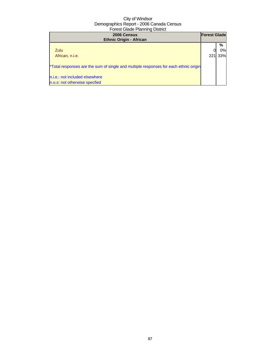| 2006 Census<br><b>Ethnic Origin - African</b>                                        | <b>Forest Glade</b> |     |
|--------------------------------------------------------------------------------------|---------------------|-----|
|                                                                                      |                     | %   |
| Zulu                                                                                 |                     | 0%  |
| African, n.i.e.                                                                      | $22^{\circ}$        | 33% |
| *Total responses are the sum of single and multiple responses for each ethnic origin |                     |     |
| n.i.e.: not included elsewhere                                                       |                     |     |
| n.o.s: not otherwise specfied                                                        |                     |     |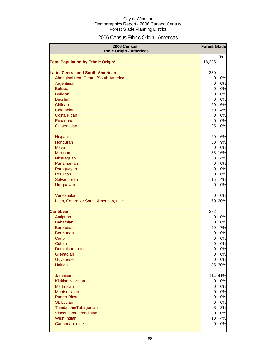# 2006 Census Ethnic Origin - Americas

| 2006 Census<br><b>Ethnic Origin - Americas</b> | <b>Forest Glade</b> |         |
|------------------------------------------------|---------------------|---------|
| <b>Total Population by Ethnic Origin*</b>      | 18,235              | %       |
|                                                |                     |         |
| <b>Latin, Central and South American</b>       | 350                 |         |
| Aboriginal from Central/South America          | $\overline{0}$      | 0%      |
| Argentinian                                    | $\overline{O}$      | 0%      |
| <b>Belizean</b>                                | $\mathbf 0$         | 0%      |
| <b>Bolivian</b>                                | $\overline{O}$      | 0%      |
| <b>Brazilian</b>                               | $\overline{O}$      | 0%      |
| Chilean                                        | 20                  | 6%      |
| Colombian                                      |                     | 50 14%  |
| <b>Costa Rican</b>                             | $\overline{0}$      | 0%      |
| Ecuadorian                                     | $\overline{0}$      | 0%      |
| Guatemalan                                     |                     | 35 10%  |
| Hispanic                                       | 20                  | 6%      |
| Honduran                                       | 30                  | 9%      |
| Maya                                           | $\overline{0}$      | 0%      |
| <b>Mexican</b>                                 | 55                  | 16%     |
| Nicaraguan                                     | 50                  | 14%     |
| Panamanian                                     | $\overline{0}$      | 0%      |
| Paraguayan                                     | $\overline{O}$      | 0%      |
| Peruvian                                       | $\overline{O}$      | 0%      |
| Salvadorean                                    | 15                  | 4%      |
| Uruguayan                                      | $\overline{0}$      | 0%      |
| Venezuelan                                     | 0                   | 0%      |
| Latin, Central or South American, n.i.e.       |                     | 70 20%  |
| <b>Caribbean</b>                               | 282                 |         |
| Antiguan                                       | $\overline{0}$      | 0%      |
| <b>Bahamian</b>                                | $\overline{0}$      | 0%      |
| <b>Barbadian</b>                               | 20                  | 7%      |
| <b>Bermudan</b>                                | $\mathbf 0$         | 0%      |
| Carib                                          | 0                   | 0%      |
| Cuban                                          | 0                   | 0%      |
| Dominican, n.o.s.                              | $\mathbf 0$         | $0\%$   |
| Grenadian                                      | $\overline{O}$      | 0%      |
| Guyanese                                       | $\overline{0}$      | 0%      |
| <b>Haitian</b>                                 |                     | 85 30%  |
| Jamaican                                       |                     | 114 41% |
| Kittitian/Nevisian                             | $\overline{0}$      | 0%      |
| <b>Martinican</b>                              | $\overline{O}$      | $0\%$   |
| Montserratan                                   | $\overline{0}$      | $0\%$   |
| <b>Puerto Rican</b>                            | $\overline{O}$      | 0%      |
| St. Lucian                                     | $\overline{0}$      | 0%      |
| Trinidadian/Tobagonian                         | 8                   | 3%      |
| Vincentian/Grenadinian                         | $\mathbf 0$         | $0\%$   |
| <b>West Indian</b>                             | 10                  | 4%      |
| Caribbean, n.i.e.                              | 0                   | $0\%$   |
|                                                |                     |         |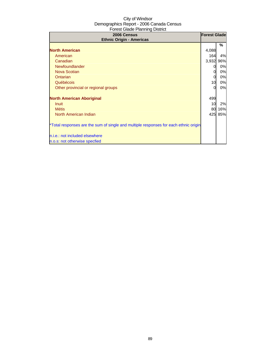| 2006 Census<br><b>Ethnic Origin - Americas</b>                                       | <b>Forest Glade</b> |     |
|--------------------------------------------------------------------------------------|---------------------|-----|
|                                                                                      |                     | ℅   |
| <b>North American</b>                                                                | 4,088               |     |
| American                                                                             | 164                 | 4%  |
| Canadian                                                                             | 3,932               | 96% |
| Newfoundlander                                                                       |                     | 0%  |
| Nova Scotian                                                                         |                     | 0%  |
| Ontarian                                                                             |                     | 0%  |
| Québécois                                                                            | 10                  | 0%  |
| Other provincial or regional groups                                                  |                     | 0%  |
| <b>North American Aboriginal</b>                                                     | 499                 |     |
| <b>Inuit</b>                                                                         | 10                  | 2%  |
| <b>Métis</b>                                                                         | 80                  | 16% |
| North American Indian                                                                | 425                 | 85% |
| *Total responses are the sum of single and multiple responses for each ethnic origin |                     |     |
| n.i.e.: not included elsewhere                                                       |                     |     |
| n.o.s: not otherwise specfied                                                        |                     |     |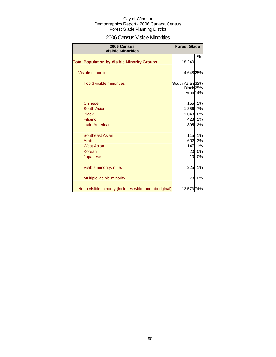### 2006 Census Visible Minorities

| 2006 Census<br><b>Visible Minorities</b>               | <b>Forest Glade</b>                     |                     |
|--------------------------------------------------------|-----------------------------------------|---------------------|
| <b>Total Population by Visible Minority Groups</b>     | 18,240                                  | %                   |
| Visible minorities                                     | 4,648 25%                               |                     |
| Top 3 visible minorities                               | South Asian 32%<br>Black <sub>25%</sub> | Arab <sub>14%</sub> |
| <b>Chinese</b>                                         | 155                                     | 1%                  |
| South Asian                                            | 1,356                                   | 7%                  |
| <b>Black</b>                                           | 1,048                                   | 6%                  |
| Filipino                                               | 423                                     | 2%                  |
| <b>Latin American</b>                                  | 395                                     | 2%                  |
| Southeast Asian                                        | 115                                     | 1%                  |
| Arab                                                   | 602                                     | 3%                  |
| <b>West Asian</b>                                      | 147                                     | 1%                  |
| Korean                                                 | 20                                      | 0%                  |
| Japanese                                               | 10                                      | 0%                  |
| Visible minority, n.i.e.                               | 225                                     | 1%                  |
| Multiple visible minority                              | 78                                      | 0%                  |
| Not a visible minority (includes white and aboriginal) | 13,57374%                               |                     |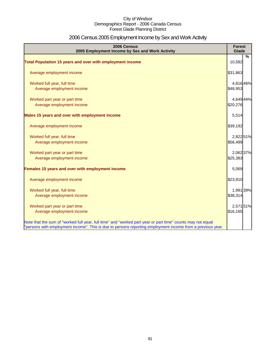# 2006 Census 2005 Employment Income by Sex and Work Activity

| 2006 Census<br>2005 Employment Income by Sex and Work Activity                                              | <b>Forest</b><br>Glade |   |
|-------------------------------------------------------------------------------------------------------------|------------------------|---|
|                                                                                                             |                        | % |
| Total Population 15 years and over with employment income                                                   | 10,582                 |   |
| Average employment income                                                                                   | \$31,863               |   |
| Worked full year, full time                                                                                 | 4,816 46%              |   |
| Average employment income                                                                                   | \$48,953               |   |
| Worked part year or part time                                                                               | 4,649 44%              |   |
| Average employment income                                                                                   | \$20,276               |   |
| Males 15 years and over with employment income                                                              | 5,514                  |   |
| Average employment income                                                                                   | \$39,192               |   |
| Worked full year, full time                                                                                 | 2,822 51%              |   |
| Average employment income                                                                                   | \$56,499               |   |
| Worked part year or part time                                                                               | 2,062 37%              |   |
| Average employment income                                                                                   | \$25,383               |   |
| Females 15 years and over with employment income                                                            | 5,069                  |   |
| Average employment income                                                                                   | \$23,910               |   |
| Worked full year, full time                                                                                 | 1,991 39%              |   |
| Average employment income                                                                                   | \$38,314               |   |
| Worked part year or part time                                                                               | 2,571 51%              |   |
| Average employment income                                                                                   | \$16,165               |   |
| Note that the sum of "worked full year, full time" and "worked part year or part time" counts may not equal |                        |   |
| "persons with employment income". This is due to persons reporting employment income from a previous year.  |                        |   |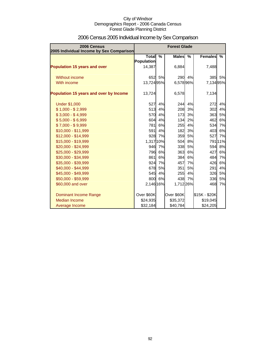| 2006 Census<br>2005 Individual Income by Sex Comparison |                                   |        | <b>Forest Glade</b> |        |                |         |
|---------------------------------------------------------|-----------------------------------|--------|---------------------|--------|----------------|---------|
|                                                         | <b>Total</b><br><b>Population</b> | $\%$   | <b>Males</b>        | $\%$   | <b>Females</b> | %       |
| <b>Population 15 years and over</b>                     | 14,387                            |        | 6,884               |        | 7,488          |         |
| Without income                                          | 652                               | 5%     | 290                 | 4%     | 385            | 5%      |
| With income                                             | 13,72495%                         |        | 6,57896%            |        | 7,134 95%      |         |
| Population 15 years and over by Income                  | 13,724                            |        | 6,578               |        | 7,134          |         |
| <b>Under \$1,000</b>                                    | 527                               | 4%     | 244                 | 4%     | 272            | 4%      |
| $$1,000 - $2,999$                                       | 513                               | 4%     | 208                 | 3%     | 302            | 4%      |
| $$3,000 - $4,999$                                       | 570                               | 4%     | 173                 | 3%     | 363            | 5%      |
| $$5,000 - $6,999$                                       | 604                               | 4%     | 134                 | 2%     | 462            | 6%      |
| $$7,000 - $9,999$                                       | 781                               | 6%     | 255                 | 4%     | 534            | 7%      |
| \$10,000 - \$11,999                                     | 591                               | 4%     | 182                 | 3%     | 403            | 6%      |
| \$12,000 - \$14,999                                     | 928                               | 7%     | 359                 | 5%     | 527            | 7%      |
| \$15,000 - \$19,999                                     | 1,317 10%                         |        | 504                 | 8%     |                | 791 11% |
| \$20,000 - \$24,999                                     |                                   | 946 7% | 338                 | 5%     | 594            | 8%      |
| \$25,000 - \$29,999                                     | 796                               | 6%     | 363                 | 6%     | 427            | 6%      |
| \$30,000 - \$34,999                                     | 861                               | 6%     | 384                 | 6%     | 484            | 7%      |
| \$35,000 - \$39,999                                     | 924                               | 7%     | 457                 | 7%     | 426            | 6%      |
| \$40,000 - \$44,999                                     | 678                               | 5%     | 351                 | 5%     | 291            | 4%      |
| \$45,000 - \$49,999                                     | 545                               | 4%     | 255                 | 4%     | 326            | 5%      |
| \$50,000 - \$59,999                                     | 800                               | 6%     |                     | 438 7% | 336            | 5%      |
| \$60,000 and over                                       | 2,146 16%                         |        | 1,712 26%           |        | 468            | 7%      |
| <b>Dominant Income Range</b>                            | Over \$60K                        |        | Over \$60K          |        | \$15K - \$20K  |         |
| Median Income                                           | \$24,935                          |        | \$35,372            |        | \$19,045       |         |
| Average Income                                          | \$32,184                          |        | \$40,784            |        | \$24,205       |         |

# 2006 Census 2005 Individual Income by Sex Comparison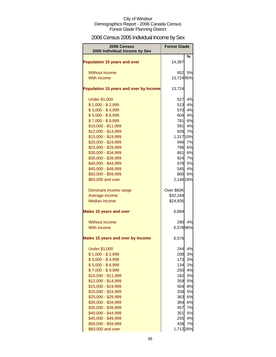# 2006 Census 2005 Individual Income by Sex

| 2006 Census<br>2005 Individual Income by Sex | <b>Forest Glade</b> |        |  |
|----------------------------------------------|---------------------|--------|--|
| <b>Population 15 years and over</b>          | 14,387              | %      |  |
| <b>Without income</b>                        | 6521                | 5%     |  |
| With income                                  | 13,72495%           |        |  |
| Population 15 years and over by Income       | 13,724              |        |  |
| <b>Under \$1,000</b>                         | 527                 | 4%     |  |
| $$1,000 - $2,999$                            | 513                 | 4%     |  |
| $$3,000 - $4,999$                            | 570                 | 4%     |  |
| $$5,000 - $6,999$                            | 604                 | 4%     |  |
| $$7,000 - $9,999$                            | 781                 | 6%     |  |
| \$10,000 - \$11,999                          | 591                 | 4%     |  |
| \$12,000 - \$14,999                          | 928                 | 7%     |  |
| \$15,000 - \$19,999                          | 1,317 10%           |        |  |
| \$20,000 - \$24,999                          | 946                 | 7%     |  |
| \$25,000 - \$29,999                          | 796                 | 6%     |  |
| \$30,000 - \$34,999                          | 861                 | 6%     |  |
| \$35,000 - \$39,999                          | 924                 | 7%     |  |
| \$40,000 - \$44,999                          | 678                 | 5%     |  |
| \$45,000 - \$49,999                          | 545                 | 4%     |  |
| \$50,000 - \$59,999                          |                     | 800 6% |  |
| \$60,000 and over                            | 2,146 16%           |        |  |
| Dominant income range                        | Over \$60K          |        |  |
| Average income                               | \$32,184            |        |  |
| <b>Median income</b>                         | \$24,935            |        |  |
| <b>Males 15 years and over</b>               | 6,884               |        |  |
| Without income                               | 290                 | 4%     |  |
| With income                                  | 6,578 96%           |        |  |
| <b>Males 15 years and over by Income</b>     | 6,578               |        |  |
| <b>Under \$1,000</b>                         | 244                 | 4%     |  |
| $$1,000 - $2,999$                            | 208                 | 3%     |  |
| $$3,000 - $4,999$                            | 173                 | 3%     |  |
| $$5,000 - $6,999$                            | 134                 | 2%     |  |
| $$7,000 - $9,999$                            | 255                 | 4%     |  |
| \$10,000 - \$11,999                          | 182                 | 3%     |  |
| \$12,000 - \$14,999                          | 359                 | 5%     |  |
| \$15,000 - \$19,999                          | 504                 | 8%     |  |
| \$20,000 - \$24,999                          | 338                 | 5%     |  |
| \$25,000 - \$29,999                          | 363                 | 6%     |  |
| \$30,000 - \$34,999                          | 384                 | 6%     |  |
| \$35,000 - \$39,999                          | 457                 | 7%     |  |
| \$40,000 - \$44,999                          | 351                 | 5%     |  |
| \$45,000 - \$49,999                          | 255                 | 4%     |  |
| \$50,000 - \$59,999                          | 438                 | 7%     |  |
| \$60,000 and over                            | 1,712 26%           |        |  |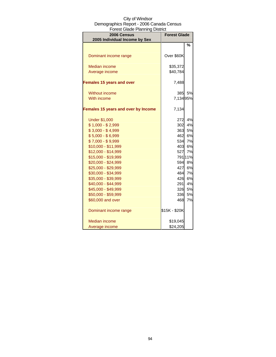| <b>DIGOL ORAC LIGHTING DIGHT</b><br>2006 Census<br>2005 Individual Income by Sex | <b>Forest Glade</b> |         |  |
|----------------------------------------------------------------------------------|---------------------|---------|--|
|                                                                                  |                     | %       |  |
|                                                                                  |                     |         |  |
| Dominant income range                                                            | Over \$60K          |         |  |
| <b>Median income</b>                                                             | \$35,372            |         |  |
| Average income                                                                   | \$40,784            |         |  |
| <b>Females 15 years and over</b>                                                 | 7,488               |         |  |
| <b>Without income</b>                                                            | 385                 | 5%      |  |
| With income                                                                      | 7,134 95%           |         |  |
| Females 15 years and over by Income                                              | 7,134               |         |  |
| <b>Under \$1,000</b>                                                             | 272                 | 4%      |  |
| $$1,000 - $2,999$                                                                | 302                 | 4%      |  |
| $$3,000 - $4,999$                                                                | 363                 | 5%      |  |
| $$5,000 - $6,999$                                                                | 462                 | 6%      |  |
| $$7,000 - $9,999$                                                                | 534                 | 7%      |  |
| \$10,000 - \$11,999                                                              | 403                 | 6%      |  |
| \$12,000 - \$14,999                                                              | 527                 | 7%      |  |
| \$15,000 - \$19,999                                                              |                     | 791 11% |  |
| \$20,000 - \$24,999                                                              | 594                 | 8%      |  |
| \$25,000 - \$29,999                                                              | 427                 | 6%      |  |
| \$30,000 - \$34,999                                                              | 484                 | 7%      |  |
| \$35,000 - \$39,999                                                              | 426                 | 6%      |  |
| \$40,000 - \$44,999                                                              | 291                 | 4%      |  |
| \$45,000 - \$49,999                                                              | 326                 | 5%      |  |
| \$50,000 - \$59,999                                                              | 336                 | 5%      |  |
| \$60,000 and over                                                                | 468                 | 7%      |  |
| Dominant income range                                                            | \$15K - \$20K       |         |  |
| Median income                                                                    | \$19,045            |         |  |
| Average income                                                                   | \$24,205            |         |  |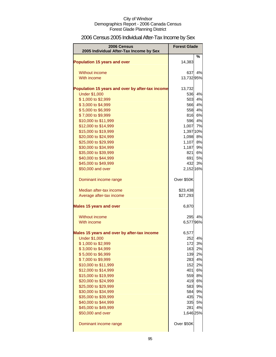# 2006 Census 2005 Individual After-Tax Income by Sex

| 2006 Census                                      | <b>Forest Glade</b> |        |
|--------------------------------------------------|---------------------|--------|
| 2005 Individual After-Tax Income by Sex          |                     |        |
| Population 15 years and over                     | 14,383              | %      |
| Without income                                   | 637                 | 4%     |
| With income                                      | 13,732 95%          |        |
| Population 15 years and over by after-tax income | 13,732              |        |
| <b>Under \$1,000</b>                             | 536                 | 4%     |
| \$1,000 to \$2,999                               | 503                 | 4%     |
| \$3,000 to \$4,999                               | 566                 | 4%     |
| \$5,000 to \$6,999                               | 558                 | 4%     |
| \$7,000 to \$9,999                               | 816                 | 6%     |
| \$10,000 to \$11,999                             | 596                 | 4%     |
| \$12,000 to \$14,999                             | 1,007               | 7%     |
| \$15,000 to \$19,999                             | 1,397 10%           |        |
| \$20,000 to \$24,999                             | 1,098 8%            |        |
| \$25,000 to \$29,999                             | 1,107               | 8%     |
| \$30,000 to \$34,999                             | 1,187               | 9%     |
| \$35,000 to \$39,999                             | 821                 | 6%     |
| \$40,000 to \$44,999                             | 691                 | 5%     |
| \$45,000 to \$49,999                             | 432                 | 3%     |
| \$50,000 and over                                | 2,152 16%           |        |
| Dominant income range                            | Over \$50K          |        |
| Median after-tax income                          | \$23,438            |        |
| Average after-tax income                         | \$27,293            |        |
| <b>Males 15 years and over</b>                   | 6,870               |        |
| Without income                                   | 295                 | 4%     |
| With income                                      | 6,57796%            |        |
| Males 15 years and over by after-tax income      | 6,577               |        |
| <b>Under \$1,000</b>                             | 252                 | 4%     |
| \$1,000 to \$2,999                               | 172                 | 3%     |
| \$3,000 to \$4,999                               |                     | 163 2% |
| \$5,000 to \$6,999                               |                     | 139 2% |
| \$7,000 to \$9,999                               | 283                 | 4%     |
| \$10,000 to \$11,999                             |                     | 152 2% |
| \$12,000 to \$14,999                             |                     | 401 6% |
| \$15,000 to \$19,999                             | 559                 | 8%     |
| \$20,000 to \$24,999                             | 419                 | 6%     |
| \$25,000 to \$29,999                             | 583                 | 9%     |
| \$30,000 to \$34,999                             | 584                 | 9%     |
| \$35,000 to \$39,999                             | 435                 | 7%     |
| \$40,000 to \$44,999                             | 335                 | 5%     |
| \$45,000 to \$49,999                             | 281                 | 4%     |
| \$50,000 and over                                | 1,646 25%           |        |
| Dominant income range                            | Over \$50K          |        |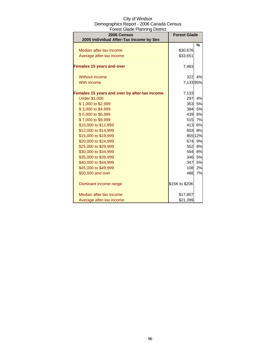| City of Windsor                          |
|------------------------------------------|
| Demographics Report - 2006 Canada Census |
| <b>Forest Glade Planning District</b>    |

| 2006 Census<br>2005 Individual After-Tax Income by Sex | <b>Forest Glade</b> |         |
|--------------------------------------------------------|---------------------|---------|
|                                                        |                     | $\%$    |
| Median after-tax income                                | \$30,676            |         |
| Average after-tax income                               | \$33,651            |         |
| <b>Females 15 years and over</b>                       | 7,483               |         |
| Without income                                         | 322                 | 4%      |
| With income                                            | 7,13395%            |         |
| Females 15 years and over by after-tax income          | 7,133               |         |
| <b>Under \$1,000</b>                                   | 297                 | 4%      |
| \$1,000 to \$2,999                                     | 353                 | 5%      |
| \$3,000 to \$4,999                                     | 384                 | 5%      |
| \$5,000 to \$6,999                                     | 439                 | 6%      |
| \$7,000 to \$9,999                                     |                     | 515 7%  |
| \$10,000 to \$11,999                                   | 413                 | 6%      |
| \$12,000 to \$14,999                                   |                     | 603 8%  |
| \$15,000 to \$19,999                                   |                     | 855 12% |
| \$20,000 to \$24,999                                   | 674                 | 9%      |
| \$25,000 to \$29,999                                   | 552                 | 8%      |
| \$30,000 to \$34,999                                   | 594                 | 8%      |
| \$35,000 to \$39,999                                   | 346                 | 5%      |
| \$40,000 to \$44,999                                   | 347                 | 5%      |
| \$45,000 to \$49,999                                   | 108                 | 2%      |
| \$50,000 and over                                      | 488                 | 7%      |
| Dominant income range                                  | \$15K to \$20K      |         |
| Median after-tax income                                | \$17,807            |         |
| Average after-tax income                               | \$21,399            |         |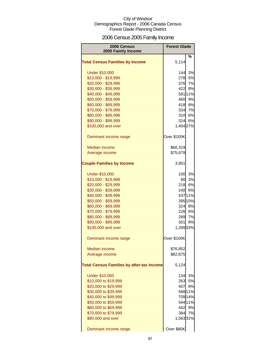# 2006 Census 2005 Family Income

| 2006 Census<br>2005 Family Income                | <b>Forest Glade</b> |         |
|--------------------------------------------------|---------------------|---------|
|                                                  |                     | %       |
| <b>Total Census Families by Income</b>           | 5,114               |         |
| <b>Under \$10,000</b>                            | 144l                | 3%      |
| \$10,000 - \$19,999                              | 278                 | 5%      |
| \$20,000 - \$29,999                              | 376                 | 7%      |
| \$30,000 - \$39,999                              | 422                 | 8%      |
| \$40,000 - \$49,999                              |                     | 581 11% |
| \$50,000 - \$59,999                              |                     | 460 9%  |
| \$60,000 - \$69,999                              |                     | 418 8%  |
| \$70,000 - \$79,999                              | 334                 | 7%      |
| \$80,000 - \$89,999                              | 310                 | 6%      |
| \$90,000 - \$99,999                              |                     | 324 6%  |
| \$100,000 and over                               | 1,404 27%           |         |
| Dominant income range                            | Over \$100K         |         |
| <b>Median income</b>                             | \$66,319            |         |
| Average income                                   | \$75,679            |         |
|                                                  |                     |         |
| <b>Couple Families by Income</b>                 | 3,951               |         |
| <b>Under \$10,000</b>                            |                     | 100 3%  |
| \$10,000 - \$19,999                              | 80                  | 2%      |
| \$20,000 - \$29,999                              |                     | 218 6%  |
| \$30,000 - \$39,999                              |                     | 240 6%  |
| \$40,000 - \$49,999                              |                     | 437 11% |
| \$50,000 - \$59,999                              |                     | 395 10% |
| \$60,000 - \$69,999                              |                     | 324 8%  |
| \$70,000 - \$79,999                              | 226                 | 6%      |
| \$80,000 - \$89,999                              | 289                 | 7%      |
| \$90,000 - \$99,999                              | 301                 | 8%      |
| \$100,000 and over                               | 1,289 33%           |         |
| Dominant income range                            | Over \$100K         |         |
| <b>Median income</b>                             | \$76,852            |         |
| Average income                                   | \$82,875            |         |
| <b>Total Census Families by after-tax Income</b> | 5,124               |         |
| <b>Under \$10,000</b>                            | 134                 | 3%      |
| \$10,000 to \$19,999                             | 263                 | 5%      |
| \$20,000 to \$29,999                             | 407                 | 8%      |
| \$30,000 to \$39,999                             |                     | 568 11% |
| \$40,000 to \$49,999                             |                     | 709 14% |
| \$50,000 to \$59,999                             |                     | 544 11% |
| \$60,000 to \$69,999                             | 442                 | 9%      |
| \$70,000 to \$79,999                             | 384                 | 7%      |
| \$80,000 and over                                | 1,56331%            |         |
| Dominant income range                            | Over \$80K          |         |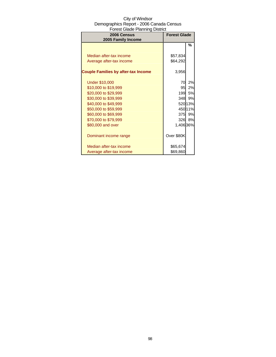| 2006 Census<br>2005 Family Income          | <b>Forest Glade</b> |           |
|--------------------------------------------|---------------------|-----------|
|                                            |                     | %         |
|                                            |                     |           |
| Median after-tax income                    | \$57,834            |           |
| Average after-tax income                   | \$64,292            |           |
| <b>Couple Families by after-tax Income</b> | 3,956               |           |
| <b>Under \$10,000</b>                      | 70                  | 2%        |
| \$10,000 to \$19,999                       | 95                  | 2%        |
| \$20,000 to \$29,999                       | 199                 | <b>5%</b> |
| \$30,000 to \$39,999                       | 348                 | 9%        |
| \$40,000 to \$49,999                       |                     | 520 13%   |
| \$50,000 to \$59,999                       |                     | 450 11%   |
| \$60,000 to \$69,999                       |                     | 375 9%    |
| \$70,000 to \$79,999                       | 326                 | 8%        |
| \$80,000 and over                          | 1,406 36%           |           |
| Dominant income range                      | Over \$80K          |           |
| Median after-tax income                    | \$65,674            |           |
| Average after-tax income                   | \$69,860            |           |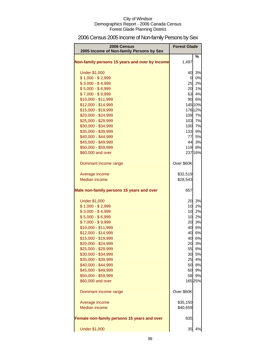# 2006 Census 2005 Income of Non-family Persons by Sex

| 2006 Census<br>2005 Income of Non-family Persons by Sex | <b>Forest Glade</b> |         |
|---------------------------------------------------------|---------------------|---------|
| Non-family persons 15 years and over by Income          | 1,497               | %       |
| <b>Under \$1,000</b>                                    | 40                  | 3%      |
| $$1,000 - $2,999$                                       |                     | 0 0%    |
| $$3,000 - $4,999$                                       |                     | 25 2%   |
| $$5,000 - $6,999$                                       | 20                  | 1%      |
| $$7,000 - $9,999$                                       | 63                  | 4%      |
| \$10,000 - \$11,999                                     |                     | 90 6%   |
| \$12,000 - \$14,999                                     |                     | 145 10% |
| \$15,000 - \$19,999                                     |                     | 176 12% |
| \$20,000 - \$24,999                                     |                     | 109 7%  |
| \$25,000 - \$29,999                                     |                     | 103 7%  |
| \$30,000 - \$34,999                                     |                     | 100 7%  |
| \$35,000 - \$39,999                                     | 133                 | 9%      |
| \$40,000 - \$44,999                                     | 77                  | 5%      |
| \$45,000 - \$49,999                                     | 44                  | 3%      |
| \$50,000 - \$59,999                                     |                     | 119 8%  |
| \$60,000 and over                                       |                     | 237 16% |
| Dominant income range                                   | Over \$60K          |         |
| Average income                                          | \$32,519            |         |
| <b>Median income</b>                                    | \$28,543            |         |
| Male non-family persons 15 years and over               | 657                 |         |
| <b>Under \$1,000</b>                                    | 20                  | 3%      |
| $$1,000 - $2,999$                                       | 10                  | 2%      |
| $$3,000 - $4,999$                                       | 10                  | 2%      |
| $$5,000 - $6,999$                                       | 10                  | 2%      |
| $$7,000 - $9,999$                                       | 20                  | 3%      |
| \$10,000 - \$11,999                                     |                     | 40 6%   |
| \$12,000 - \$14,999                                     |                     | 40 6%   |
| \$15,000 - \$19,999                                     | 40                  | 6%      |
| \$20,000 - \$24,999                                     | 20                  | 3%      |
| \$25,000 - \$29,999                                     | 55                  | 8%      |
| \$30,000 - \$34,999                                     | 30                  | 5%      |
| \$35,000 - \$39,999                                     | 25                  | 4%      |
| \$40,000 - \$44,999                                     | 50                  | 8%      |
| \$45,000 - \$49,999                                     | 60                  | 9%      |
| \$50,000 - \$59,999                                     | 58                  | 9%      |
| \$60,000 and over                                       |                     | 16525%  |
| Dominant income range                                   | Over \$60K          |         |
| Average income                                          | \$35,150            |         |
| <b>Median income</b>                                    | \$40,659            |         |
| Female non-family persons 15 years and over             | 835                 |         |
| <b>Under \$1,000</b>                                    | 35                  | 4%      |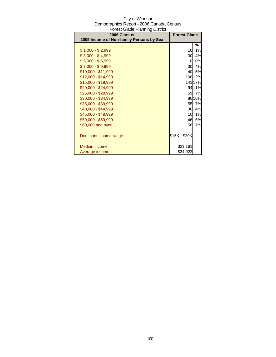| 2006 Census                              | <b>Forest Glade</b> |         |
|------------------------------------------|---------------------|---------|
| 2005 Income of Non-family Persons by Sex |                     |         |
|                                          |                     | %       |
| $$1,000 - $2,999$                        | 10                  | 1%      |
| $$3,000 - $4,999$                        | 30                  | 4%      |
| $$5,000 - $6,999$                        | 0                   | 0%      |
| \$7,000 - \$9,999                        | 30                  | 4%      |
| $$10,000 - $11,999$                      | 40                  | 5%      |
| \$12,000 - \$14,999                      |                     | 100 12% |
| \$15,000 - \$19,999                      |                     | 141 17% |
| \$20,000 - \$24,999                      |                     | 94 11%  |
| \$25,000 - \$29,999                      | 59                  | 7%      |
| \$30,000 - \$34,999                      |                     | 80 10%  |
| \$35,000 - \$39,999                      | 55                  | 7%      |
| \$40,000 - \$44,999                      | 30                  | 4%      |
| \$45,000 - \$49,999                      | 10                  | 1%      |
| \$50,000 - \$59,999                      | 46                  | 6%      |
| \$60,000 and over                        | 56                  | 7%      |
|                                          |                     |         |
| Dominant income range                    | \$15K - \$20K       |         |
|                                          |                     |         |
| Median income                            | \$21,161            |         |
| Average income                           | \$24,022            |         |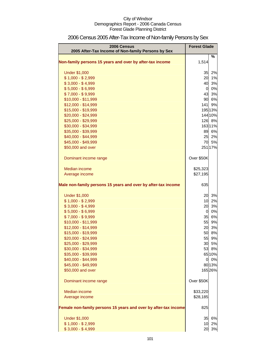| <b>2006 Census</b><br>2005 After-Tax Income of Non-family Persons by Sex | <b>Forest Glade</b> |         |
|--------------------------------------------------------------------------|---------------------|---------|
|                                                                          |                     | %       |
| Non-family persons 15 years and over by after-tax income                 | 1,514               |         |
| <b>Under \$1,000</b>                                                     | 35                  | 2%      |
| $$1,000 - $2,999$                                                        | 20                  | 1%      |
| $$3,000 - $4,999$                                                        | 40                  | 3%      |
| $$5,000 - $6,999$                                                        | <sub>0</sub>        | 0%      |
| $$7,000 - $9,999$                                                        | 43                  | 3%      |
| \$10,000 - \$11,999                                                      | 90                  | 6%      |
| \$12,000 - \$14,999                                                      | 141                 | 9%      |
| \$15,000 - \$19,999                                                      |                     | 195 13% |
| \$20,000 - \$24,999                                                      |                     | 144 10% |
| \$25,000 - \$29,999                                                      |                     | 126 8%  |
| \$30,000 - \$34,999                                                      |                     | 163 11% |
| \$35,000 - \$39,999                                                      |                     | 89 6%   |
| \$40,000 - \$44,999                                                      | 25                  | 2%      |
| \$45,000 - \$49,999                                                      | 70                  | 5%      |
| \$50,000 and over                                                        |                     | 251 17% |
| Dominant income range                                                    | Over \$50K          |         |
| Median income                                                            | \$25,323            |         |
| Average income                                                           | \$27,195            |         |
|                                                                          |                     |         |
| Male non-family persons 15 years and over by after-tax income            | 635                 |         |
| <b>Under \$1,000</b>                                                     | 20                  | 3%      |
| $$1,000 - $2,999$                                                        | 10                  | 2%      |
| $$3,000 - $4,999$                                                        | 20                  | 3%      |
| $$5,000 - $6,999$                                                        | $\overline{0}$      | 0%      |
| $$7,000 - $9,999$                                                        | 35                  | 6%      |
| \$10,000 - \$11,999                                                      | 55                  | 9%      |
| \$12,000 - \$14,999                                                      | 20                  | 3%      |
| \$15,000 - \$19,999                                                      | 50                  | 8%      |
| \$20,000 - \$24,999                                                      | 55                  | 9%      |
| \$25,000 - \$29,999                                                      | 30                  | 5%      |
| \$30,000 - \$34,999                                                      | 53                  | 8%      |
| \$35,000 - \$39,999                                                      |                     | 65 10%  |
| \$40,000 - \$44,999                                                      |                     | 0 0%    |
| \$45,000 - \$49,999                                                      |                     | 80 13%  |
| \$50,000 and over                                                        |                     | 16526%  |
| Dominant income range                                                    | Over \$50K          |         |
| Median income                                                            | \$33,220            |         |
| Average income                                                           | \$28,185            |         |
| Female non-family persons 15 years and over by after-tax income          | 825                 |         |
| <b>Under \$1,000</b>                                                     | 35                  | 6%      |
| $$1,000 - $2,999$                                                        | 10                  | 2%      |
| $$3,000 - $4,999$                                                        | 20                  | 3%      |

# 2006 Census 2005 After-Tax Income of Non-family Persons by Sex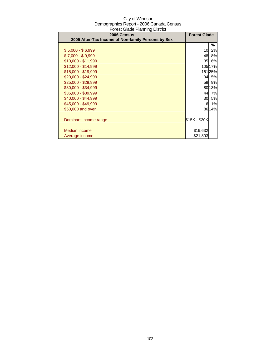| 2006 Census<br>2005 After-Tax Income of Non-family Persons by Sex | <b>Forest Glade</b> |           |
|-------------------------------------------------------------------|---------------------|-----------|
|                                                                   |                     |           |
|                                                                   |                     | ℅         |
| $$5,000 - $6,999$                                                 | 10                  | 2%        |
| $$7,000 - $9,999$                                                 | 48                  | <b>8%</b> |
| \$10,000 - \$11,999                                               | 35                  | 6%        |
| $$12,000 - $14,999$                                               |                     | 10517%    |
| \$15,000 - \$19,999                                               |                     | 16125%    |
| $$20,000 - $24,999$                                               |                     | 94 15%    |
| \$25,000 - \$29,999                                               |                     | 59 9%     |
| \$30,000 - \$34,999                                               |                     | 80 13%    |
| \$35,000 - \$39,999                                               | 44                  | 7%        |
| \$40,000 - \$44,999                                               | 30                  | 5%        |
| \$45,000 - \$49,999                                               | 6                   | 1%        |
| \$50,000 and over                                                 |                     | 86 14%    |
|                                                                   |                     |           |
| Dominant income range                                             | \$15K - \$20K       |           |
|                                                                   |                     |           |
| Median income                                                     | \$19,632            |           |
| Average income                                                    | \$21,803            |           |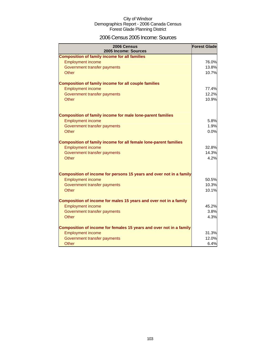### 2006 Census 2005 Income: Sources

| 2006 Census<br>2005 Income: Sources                                     | <b>Forest Glade</b> |
|-------------------------------------------------------------------------|---------------------|
| <b>Composition of family income for all families</b>                    |                     |
| <b>Employment income</b>                                                | 76.0%               |
| Government transfer payments                                            | 13.8%               |
| <b>Other</b>                                                            | 10.7%               |
| <b>Composition of family income for all couple families</b>             |                     |
| <b>Employment income</b>                                                | 77.4%               |
| Government transfer payments                                            | 12.2%               |
| Other                                                                   | 10.9%               |
| <b>Composition of family income for male lone-parent families</b>       |                     |
| <b>Employment income</b>                                                | 5.8%                |
| Government transfer payments                                            | 1.9%                |
| Other                                                                   | 0.0%                |
| <b>Composition of family income for all female lone-parent families</b> |                     |
| <b>Employment income</b>                                                | 32.8%               |
| Government transfer payments                                            | 14.3%               |
| Other                                                                   | 4.2%                |
| Composition of income for persons 15 years and over not in a family     |                     |
| <b>Employment income</b>                                                | 50.5%               |
| Government transfer payments                                            | 10.3%               |
| Other                                                                   | 10.1%               |
| Composition of income for males 15 years and over not in a family       |                     |
| <b>Employment income</b>                                                | 45.2%               |
| Government transfer payments                                            | 3.8%                |
| Other                                                                   | 4.3%                |
| Composition of income for females 15 years and over not in a family     |                     |
| <b>Employment income</b>                                                | 31.3%               |
| Government transfer payments                                            | 12.0%               |
| Other                                                                   | 6.4%                |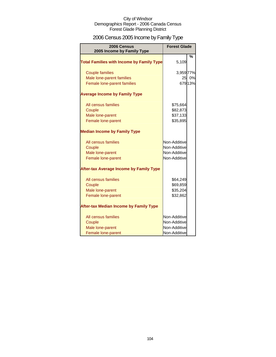# 2006 Census 2005 Income by Family Type

| 2006 Census<br>2005 Income by Family Type        | <b>Forest Glade</b> |         |
|--------------------------------------------------|---------------------|---------|
| <b>Total Families with Income by Family Type</b> | 5,109               | %       |
| <b>Couple families</b>                           | 3,959 77%           |         |
| Male lone-parent families                        | 25                  | 0%      |
| Female lone-parent families                      |                     | 679 13% |
| <b>Average Income by Family Type</b>             |                     |         |
| All census families                              | \$75,664            |         |
| Couple                                           | \$82,873            |         |
| Male lone-parent                                 | \$37,133            |         |
| Female lone-parent                               | \$35,895            |         |
| <b>Median Income by Family Type</b>              |                     |         |
| All census families                              | Non-Additive        |         |
| Couple                                           | Non-Additive        |         |
| Male lone-parent                                 | Non-Additive        |         |
| Female lone-parent                               | Non-Additive        |         |
| <b>After-tax Average Income by Family Type</b>   |                     |         |
| All census families                              | \$64,249            |         |
| Couple                                           | \$69,859            |         |
| Male lone-parent                                 | \$35,204            |         |
| Female lone-parent                               | \$32,862            |         |
| <b>After-tax Median Income by Family Type</b>    |                     |         |
| All census families                              | Non-Additive        |         |
| Couple                                           | Non-Additive        |         |
| Male lone-parent                                 | Non-Additive        |         |
| Female lone-parent                               | Non-Additive        |         |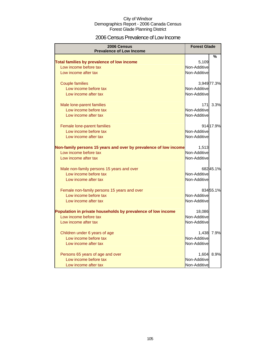### 2006 Census Prevalence of Low Income

| 2006 Census<br><b>Prevalence of Low Income</b>                   | <b>Forest Glade</b> |             |
|------------------------------------------------------------------|---------------------|-------------|
|                                                                  |                     | %           |
| Total families by prevalence of low income                       | 5,109               |             |
| Low income before tax                                            | Non-Additive        |             |
| Low income after tax                                             | Non-Additive        |             |
| <b>Couple families</b>                                           |                     | 3,949 77.3% |
| Low income before tax                                            | Non-Additive        |             |
| Low income after tax                                             | Non-Additive        |             |
| Male lone-parent families                                        | 171                 | 3.3%        |
| Low income before tax                                            | Non-Additive        |             |
| Low income after tax                                             | Non-Additive        |             |
| Female lone-parent families                                      |                     | 914 17.9%   |
| Low income before tax                                            | Non-Additive        |             |
| Low income after tax                                             | Non-Additive        |             |
| Non-family persons 15 years and over by prevalence of low income | 1,513               |             |
| Low income before tax                                            | Non-Additive        |             |
| Low income after tax                                             | Non-Additive        |             |
| Male non-family persons 15 years and over                        |                     | 68245.1%    |
| Low income before tax                                            | Non-Additive        |             |
| Low income after tax                                             | Non-Additive        |             |
| Female non-family persons 15 years and over                      |                     | 83455.1%    |
| Low income before tax                                            | Non-Additive        |             |
| Low income after tax                                             | Non-Additive        |             |
| Population in private households by prevalence of low income     | 18,086              |             |
| Low income before tax                                            | Non-Additive        |             |
| Low income after tax                                             | Non-Additive        |             |
| Children under 6 years of age                                    | 1,438               | 7.9%        |
| Low income before tax                                            | Non-Additive        |             |
| Low income after tax                                             | Non-Additive        |             |
| Persons 65 years of age and over                                 | 1,604               | 8.9%        |
| Low income before tax                                            | Non-Additive        |             |
| Low income after tax                                             | Non-Additive        |             |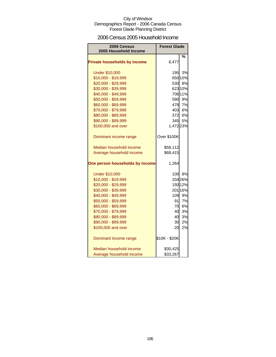### 2006 Census 2005 Household Income

| 2006 Census<br>2005 Household Income | <b>Forest Glade</b> |         |
|--------------------------------------|---------------------|---------|
|                                      |                     | %       |
| <b>Private households by income</b>  | 6,477               |         |
| <b>Under \$10,000</b>                | 195                 | 3%      |
| \$10,000 - \$19,999                  |                     | 650 10% |
| \$20,000 - \$29,999                  | 530                 | 8%      |
| \$30,000 - \$39,999                  |                     | 623 10% |
| \$40,000 - \$49,999                  |                     | 706 11% |
| \$50,000 - \$59,999                  |                     | 590 9%  |
| \$60,000 - \$69,999                  |                     | 478 7%  |
| \$70,000 - \$79,999                  | 403                 | 6%      |
| \$80,000 - \$89,999                  | 372                 | 6%      |
| \$90,000 - \$99,999                  |                     | 345 5%  |
| \$100,000 and over                   | 1,47223%            |         |
| Dominant income range                | Over \$100K         |         |
| Median household income              | \$58,112            |         |
| Average household income             | \$68,415            |         |
| One person households by income      | 1,264               |         |
| <b>Under \$10,000</b>                |                     | 100 8%  |
| \$10,000 - \$19,999                  |                     | 334 26% |
| \$20,000 - \$29,999                  |                     | 150 12% |
| \$30,000 - \$39,999                  |                     | 201 16% |
| \$40,000 - \$49,999                  | 109                 | 9%      |
| \$50,000 - \$59,999                  | 91                  | 7%      |
| \$60,000 - \$69,999                  | 70                  | 6%      |
| \$70,000 - \$79,999                  | 40                  | 3%      |
| \$80,000 - \$89,999                  | 40                  | 3%      |
| \$90,000 - \$99,999                  | 30                  | 2%      |
| \$100,000 and over                   | 20                  | 2%      |
| Dominant income range                | \$10K - \$20K       |         |
| Median household income              | \$30,425            |         |
| Average household income             | \$33,267            |         |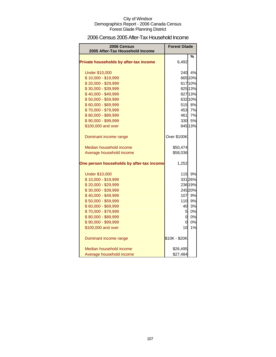### 2006 Census 2005 After-Tax Household Income

| 2006 Census<br>2005 After-Tax Household Income | <b>Forest Glade</b> |         |
|------------------------------------------------|---------------------|---------|
|                                                |                     | %       |
| Private households by after-tax income         | 6,492               |         |
| <b>Under \$10,000</b>                          | 240                 | 4%      |
| \$10,000 - \$19,999                            |                     | 665 10% |
| \$20,000 - \$29,999                            |                     | 617 10% |
| \$30,000 - \$39,999                            |                     | 825 13% |
| \$40,000 - \$49,999                            |                     | 827 13% |
| \$50,000 - \$59,999                            |                     | 632 10% |
| \$60,000 - \$69,999                            |                     | 515 8%  |
| \$70,000 - \$79,999                            |                     | 453 7%  |
| \$80,000 - \$89,999                            | 461                 | 7%      |
| \$90,000 - \$99,999                            |                     | 330 5%  |
| \$100,000 and over                             |                     | 845 13% |
| Dominant income range                          | Over \$100K         |         |
| Median household income                        | \$50,474            |         |
| Average household income                       | \$58,036            |         |
| One person households by after-tax income      | 1,252               |         |
| <b>Under \$10,000</b>                          | 115                 | 9%      |
| \$10,000 - \$19,999                            |                     | 331 26% |
| \$20,000 - \$29,999                            |                     | 236 19% |
| \$30,000 - \$39,999                            |                     | 245 20% |
| \$40,000 - \$49,999                            | 107                 | 9%      |
| \$50,000 - \$59,999                            | <b>110</b>          | 9%      |
| \$60,000 - \$69,999                            | 40                  | 3%      |
| \$70,000 - \$79,999                            | 5                   | 0%      |
| \$80,000 - \$89,999                            | $\overline{0}$      | 0%      |
| \$90,000 - \$99,999                            | $\overline{0}$      | 0%      |
| \$100,000 and over                             | 10                  | 1%      |
| Dominant income range                          | \$10K - \$20K       |         |
| Median household income                        | \$26,495            |         |
| Average household income                       | \$27,484            |         |